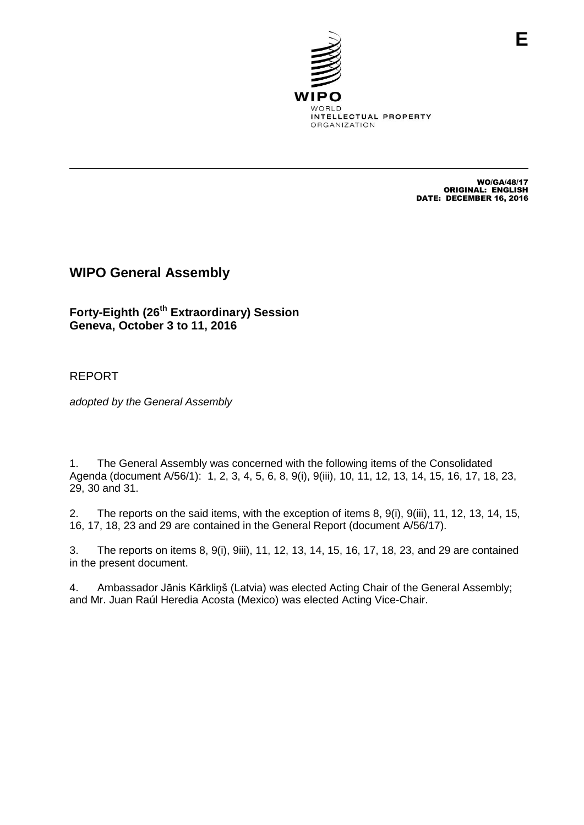

WO/GA/48/17 ORIGINAL: ENGLISH DATE: DECEMBER 16, 2016

**E**

# **WIPO General Assembly**

**Forty-Eighth (26 th Extraordinary) Session Geneva, October 3 to 11, 2016**

REPORT

*adopted by the General Assembly*

1. The General Assembly was concerned with the following items of the Consolidated Agenda (document A/56/1): 1, 2, 3, 4, 5, 6, 8, 9(i), 9(iii), 10, 11, 12, 13, 14, 15, 16, 17, 18, 23, 29, 30 and 31.

2. The reports on the said items, with the exception of items 8, 9(i), 9(iii), 11, 12, 13, 14, 15, 16, 17, 18, 23 and 29 are contained in the General Report (document A/56/17).

3. The reports on items 8, 9(i), 9iii), 11, 12, 13, 14, 15, 16, 17, 18, 23, and 29 are contained in the present document.

4. Ambassador Jānis Kārkliņš (Latvia) was elected Acting Chair of the General Assembly; and Mr. Juan Raúl Heredia Acosta (Mexico) was elected Acting Vice-Chair.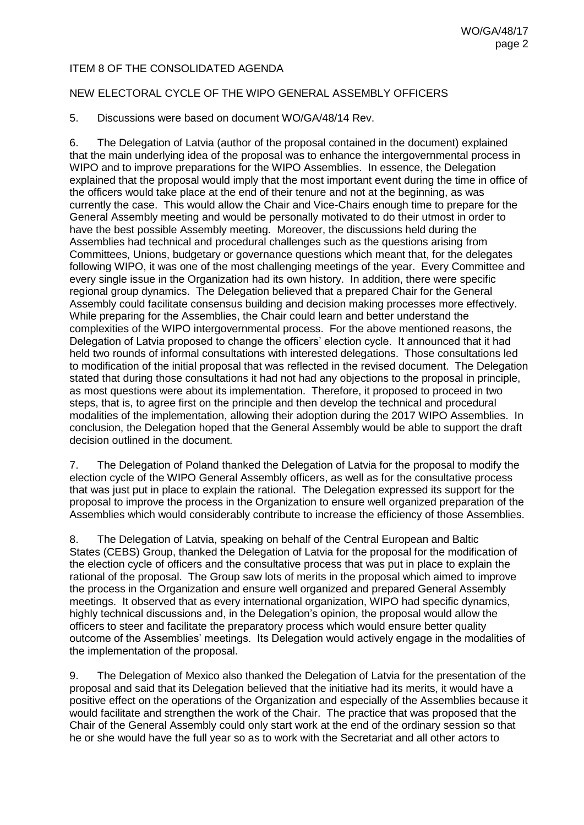### ITEM 8 OF THE CONSOLIDATED AGENDA

### NEW ELECTORAL CYCLE OF THE WIPO GENERAL ASSEMBLY OFFICERS

5. Discussions were based on document WO/GA/48/14 Rev.

6. The Delegation of Latvia (author of the proposal contained in the document) explained that the main underlying idea of the proposal was to enhance the intergovernmental process in WIPO and to improve preparations for the WIPO Assemblies. In essence, the Delegation explained that the proposal would imply that the most important event during the time in office of the officers would take place at the end of their tenure and not at the beginning, as was currently the case. This would allow the Chair and Vice-Chairs enough time to prepare for the General Assembly meeting and would be personally motivated to do their utmost in order to have the best possible Assembly meeting. Moreover, the discussions held during the Assemblies had technical and procedural challenges such as the questions arising from Committees, Unions, budgetary or governance questions which meant that, for the delegates following WIPO, it was one of the most challenging meetings of the year. Every Committee and every single issue in the Organization had its own history. In addition, there were specific regional group dynamics. The Delegation believed that a prepared Chair for the General Assembly could facilitate consensus building and decision making processes more effectively. While preparing for the Assemblies, the Chair could learn and better understand the complexities of the WIPO intergovernmental process. For the above mentioned reasons, the Delegation of Latvia proposed to change the officers' election cycle. It announced that it had held two rounds of informal consultations with interested delegations. Those consultations led to modification of the initial proposal that was reflected in the revised document. The Delegation stated that during those consultations it had not had any objections to the proposal in principle, as most questions were about its implementation. Therefore, it proposed to proceed in two steps, that is, to agree first on the principle and then develop the technical and procedural modalities of the implementation, allowing their adoption during the 2017 WIPO Assemblies. In conclusion, the Delegation hoped that the General Assembly would be able to support the draft decision outlined in the document.

7. The Delegation of Poland thanked the Delegation of Latvia for the proposal to modify the election cycle of the WIPO General Assembly officers, as well as for the consultative process that was just put in place to explain the rational. The Delegation expressed its support for the proposal to improve the process in the Organization to ensure well organized preparation of the Assemblies which would considerably contribute to increase the efficiency of those Assemblies.

8. The Delegation of Latvia, speaking on behalf of the Central European and Baltic States (CEBS) Group, thanked the Delegation of Latvia for the proposal for the modification of the election cycle of officers and the consultative process that was put in place to explain the rational of the proposal. The Group saw lots of merits in the proposal which aimed to improve the process in the Organization and ensure well organized and prepared General Assembly meetings. It observed that as every international organization, WIPO had specific dynamics, highly technical discussions and, in the Delegation's opinion, the proposal would allow the officers to steer and facilitate the preparatory process which would ensure better quality outcome of the Assemblies' meetings. Its Delegation would actively engage in the modalities of the implementation of the proposal.

9. The Delegation of Mexico also thanked the Delegation of Latvia for the presentation of the proposal and said that its Delegation believed that the initiative had its merits, it would have a positive effect on the operations of the Organization and especially of the Assemblies because it would facilitate and strengthen the work of the Chair. The practice that was proposed that the Chair of the General Assembly could only start work at the end of the ordinary session so that he or she would have the full year so as to work with the Secretariat and all other actors to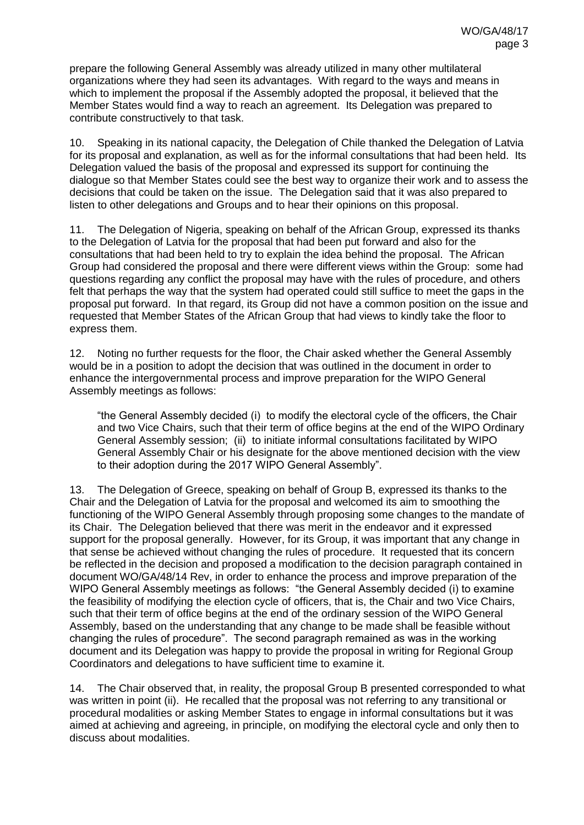prepare the following General Assembly was already utilized in many other multilateral organizations where they had seen its advantages. With regard to the ways and means in which to implement the proposal if the Assembly adopted the proposal, it believed that the Member States would find a way to reach an agreement. Its Delegation was prepared to contribute constructively to that task.

10. Speaking in its national capacity, the Delegation of Chile thanked the Delegation of Latvia for its proposal and explanation, as well as for the informal consultations that had been held. Its Delegation valued the basis of the proposal and expressed its support for continuing the dialogue so that Member States could see the best way to organize their work and to assess the decisions that could be taken on the issue. The Delegation said that it was also prepared to listen to other delegations and Groups and to hear their opinions on this proposal.

11. The Delegation of Nigeria, speaking on behalf of the African Group, expressed its thanks to the Delegation of Latvia for the proposal that had been put forward and also for the consultations that had been held to try to explain the idea behind the proposal. The African Group had considered the proposal and there were different views within the Group: some had questions regarding any conflict the proposal may have with the rules of procedure, and others felt that perhaps the way that the system had operated could still suffice to meet the gaps in the proposal put forward. In that regard, its Group did not have a common position on the issue and requested that Member States of the African Group that had views to kindly take the floor to express them.

12. Noting no further requests for the floor, the Chair asked whether the General Assembly would be in a position to adopt the decision that was outlined in the document in order to enhance the intergovernmental process and improve preparation for the WIPO General Assembly meetings as follows:

"the General Assembly decided (i) to modify the electoral cycle of the officers, the Chair and two Vice Chairs, such that their term of office begins at the end of the WIPO Ordinary General Assembly session; (ii) to initiate informal consultations facilitated by WIPO General Assembly Chair or his designate for the above mentioned decision with the view to their adoption during the 2017 WIPO General Assembly".

13. The Delegation of Greece, speaking on behalf of Group B, expressed its thanks to the Chair and the Delegation of Latvia for the proposal and welcomed its aim to smoothing the functioning of the WIPO General Assembly through proposing some changes to the mandate of its Chair. The Delegation believed that there was merit in the endeavor and it expressed support for the proposal generally. However, for its Group, it was important that any change in that sense be achieved without changing the rules of procedure. It requested that its concern be reflected in the decision and proposed a modification to the decision paragraph contained in document WO/GA/48/14 Rev, in order to enhance the process and improve preparation of the WIPO General Assembly meetings as follows: "the General Assembly decided (i) to examine the feasibility of modifying the election cycle of officers, that is, the Chair and two Vice Chairs, such that their term of office begins at the end of the ordinary session of the WIPO General Assembly, based on the understanding that any change to be made shall be feasible without changing the rules of procedure". The second paragraph remained as was in the working document and its Delegation was happy to provide the proposal in writing for Regional Group Coordinators and delegations to have sufficient time to examine it.

14. The Chair observed that, in reality, the proposal Group B presented corresponded to what was written in point (ii). He recalled that the proposal was not referring to any transitional or procedural modalities or asking Member States to engage in informal consultations but it was aimed at achieving and agreeing, in principle, on modifying the electoral cycle and only then to discuss about modalities.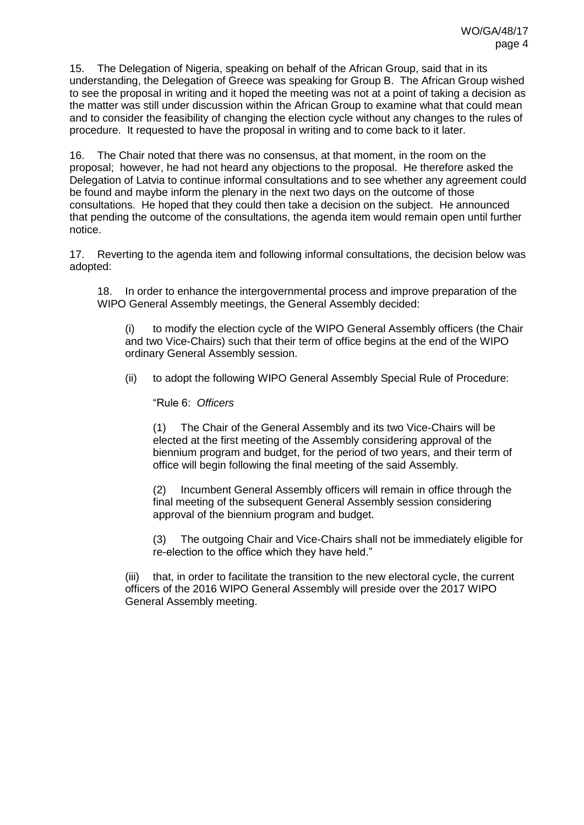15. The Delegation of Nigeria, speaking on behalf of the African Group, said that in its understanding, the Delegation of Greece was speaking for Group B. The African Group wished to see the proposal in writing and it hoped the meeting was not at a point of taking a decision as the matter was still under discussion within the African Group to examine what that could mean and to consider the feasibility of changing the election cycle without any changes to the rules of procedure. It requested to have the proposal in writing and to come back to it later.

16. The Chair noted that there was no consensus, at that moment, in the room on the proposal; however, he had not heard any objections to the proposal. He therefore asked the Delegation of Latvia to continue informal consultations and to see whether any agreement could be found and maybe inform the plenary in the next two days on the outcome of those consultations. He hoped that they could then take a decision on the subject. He announced that pending the outcome of the consultations, the agenda item would remain open until further notice.

17. Reverting to the agenda item and following informal consultations, the decision below was adopted:

18. In order to enhance the intergovernmental process and improve preparation of the WIPO General Assembly meetings, the General Assembly decided:

(i) to modify the election cycle of the WIPO General Assembly officers (the Chair and two Vice-Chairs) such that their term of office begins at the end of the WIPO ordinary General Assembly session.

(ii) to adopt the following WIPO General Assembly Special Rule of Procedure:

"Rule 6: *Officers*

(1) The Chair of the General Assembly and its two Vice-Chairs will be elected at the first meeting of the Assembly considering approval of the biennium program and budget, for the period of two years, and their term of office will begin following the final meeting of the said Assembly.

(2) Incumbent General Assembly officers will remain in office through the final meeting of the subsequent General Assembly session considering approval of the biennium program and budget.

(3) The outgoing Chair and Vice-Chairs shall not be immediately eligible for re-election to the office which they have held."

(iii) that, in order to facilitate the transition to the new electoral cycle, the current officers of the 2016 WIPO General Assembly will preside over the 2017 WIPO General Assembly meeting.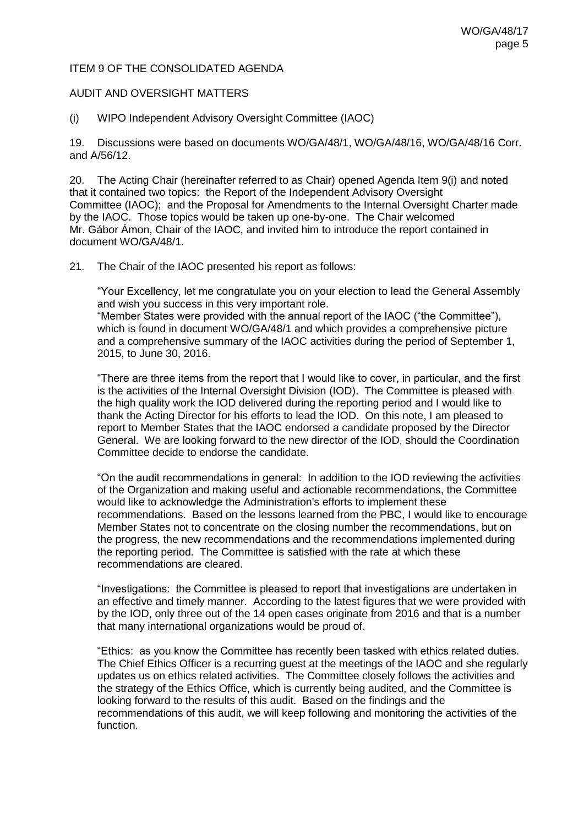#### ITEM 9 OF THE CONSOLIDATED AGENDA

#### AUDIT AND OVERSIGHT MATTERS

(i) WIPO Independent Advisory Oversight Committee (IAOC)

19. Discussions were based on documents WO/GA/48/1, WO/GA/48/16, WO/GA/48/16 Corr. and A/56/12.

20. The Acting Chair (hereinafter referred to as Chair) opened Agenda Item 9(i) and noted that it contained two topics: the Report of the Independent Advisory Oversight Committee (IAOC); and the Proposal for Amendments to the Internal Oversight Charter made by the IAOC. Those topics would be taken up one-by-one. The Chair welcomed Mr. Gábor Ámon, Chair of the IAOC, and invited him to introduce the report contained in document WO/GA/48/1.

21. The Chair of the IAOC presented his report as follows:

"Your Excellency, let me congratulate you on your election to lead the General Assembly and wish you success in this very important role. "Member States were provided with the annual report of the IAOC ("the Committee"), which is found in document WO/GA/48/1 and which provides a comprehensive picture and a comprehensive summary of the IAOC activities during the period of September 1, 2015, to June 30, 2016.

"There are three items from the report that I would like to cover, in particular, and the first is the activities of the Internal Oversight Division (IOD). The Committee is pleased with the high quality work the IOD delivered during the reporting period and I would like to thank the Acting Director for his efforts to lead the IOD. On this note, I am pleased to report to Member States that the IAOC endorsed a candidate proposed by the Director General. We are looking forward to the new director of the IOD, should the Coordination Committee decide to endorse the candidate.

"On the audit recommendations in general: In addition to the IOD reviewing the activities of the Organization and making useful and actionable recommendations, the Committee would like to acknowledge the Administration's efforts to implement these recommendations. Based on the lessons learned from the PBC, I would like to encourage Member States not to concentrate on the closing number the recommendations, but on the progress, the new recommendations and the recommendations implemented during the reporting period. The Committee is satisfied with the rate at which these recommendations are cleared.

"Investigations: the Committee is pleased to report that investigations are undertaken in an effective and timely manner. According to the latest figures that we were provided with by the IOD, only three out of the 14 open cases originate from 2016 and that is a number that many international organizations would be proud of.

"Ethics: as you know the Committee has recently been tasked with ethics related duties. The Chief Ethics Officer is a recurring guest at the meetings of the IAOC and she regularly updates us on ethics related activities. The Committee closely follows the activities and the strategy of the Ethics Office, which is currently being audited, and the Committee is looking forward to the results of this audit. Based on the findings and the recommendations of this audit, we will keep following and monitoring the activities of the function.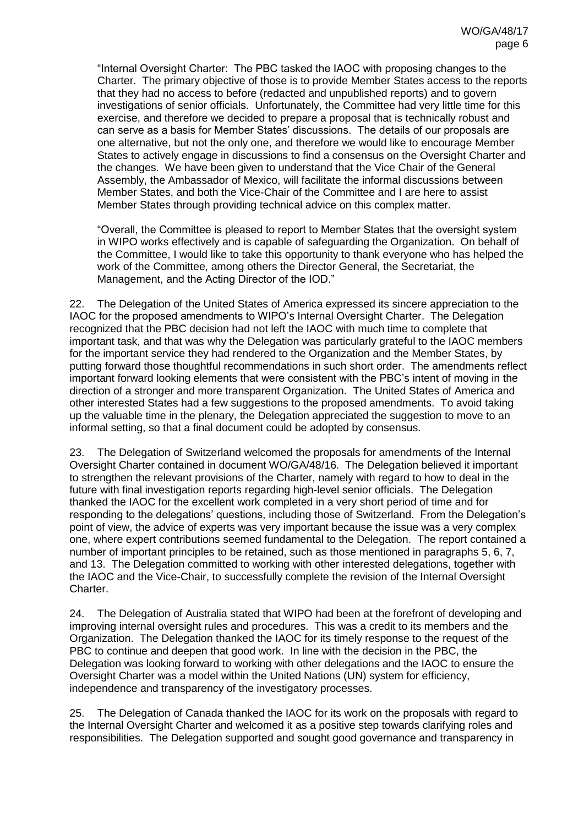"Internal Oversight Charter: The PBC tasked the IAOC with proposing changes to the Charter. The primary objective of those is to provide Member States access to the reports that they had no access to before (redacted and unpublished reports) and to govern investigations of senior officials. Unfortunately, the Committee had very little time for this exercise, and therefore we decided to prepare a proposal that is technically robust and can serve as a basis for Member States' discussions. The details of our proposals are one alternative, but not the only one, and therefore we would like to encourage Member States to actively engage in discussions to find a consensus on the Oversight Charter and the changes. We have been given to understand that the Vice Chair of the General Assembly, the Ambassador of Mexico, will facilitate the informal discussions between Member States, and both the Vice-Chair of the Committee and I are here to assist Member States through providing technical advice on this complex matter.

"Overall, the Committee is pleased to report to Member States that the oversight system in WIPO works effectively and is capable of safeguarding the Organization. On behalf of the Committee, I would like to take this opportunity to thank everyone who has helped the work of the Committee, among others the Director General, the Secretariat, the Management, and the Acting Director of the IOD."

22. The Delegation of the United States of America expressed its sincere appreciation to the IAOC for the proposed amendments to WIPO's Internal Oversight Charter. The Delegation recognized that the PBC decision had not left the IAOC with much time to complete that important task, and that was why the Delegation was particularly grateful to the IAOC members for the important service they had rendered to the Organization and the Member States, by putting forward those thoughtful recommendations in such short order. The amendments reflect important forward looking elements that were consistent with the PBC's intent of moving in the direction of a stronger and more transparent Organization. The United States of America and other interested States had a few suggestions to the proposed amendments. To avoid taking up the valuable time in the plenary, the Delegation appreciated the suggestion to move to an informal setting, so that a final document could be adopted by consensus.

23. The Delegation of Switzerland welcomed the proposals for amendments of the Internal Oversight Charter contained in document WO/GA/48/16. The Delegation believed it important to strengthen the relevant provisions of the Charter, namely with regard to how to deal in the future with final investigation reports regarding high-level senior officials. The Delegation thanked the IAOC for the excellent work completed in a very short period of time and for responding to the delegations' questions, including those of Switzerland. From the Delegation's point of view, the advice of experts was very important because the issue was a very complex one, where expert contributions seemed fundamental to the Delegation. The report contained a number of important principles to be retained, such as those mentioned in paragraphs 5, 6, 7, and 13. The Delegation committed to working with other interested delegations, together with the IAOC and the Vice-Chair, to successfully complete the revision of the Internal Oversight Charter.

24. The Delegation of Australia stated that WIPO had been at the forefront of developing and improving internal oversight rules and procedures. This was a credit to its members and the Organization. The Delegation thanked the IAOC for its timely response to the request of the PBC to continue and deepen that good work. In line with the decision in the PBC, the Delegation was looking forward to working with other delegations and the IAOC to ensure the Oversight Charter was a model within the United Nations (UN) system for efficiency, independence and transparency of the investigatory processes.

25. The Delegation of Canada thanked the IAOC for its work on the proposals with regard to the Internal Oversight Charter and welcomed it as a positive step towards clarifying roles and responsibilities. The Delegation supported and sought good governance and transparency in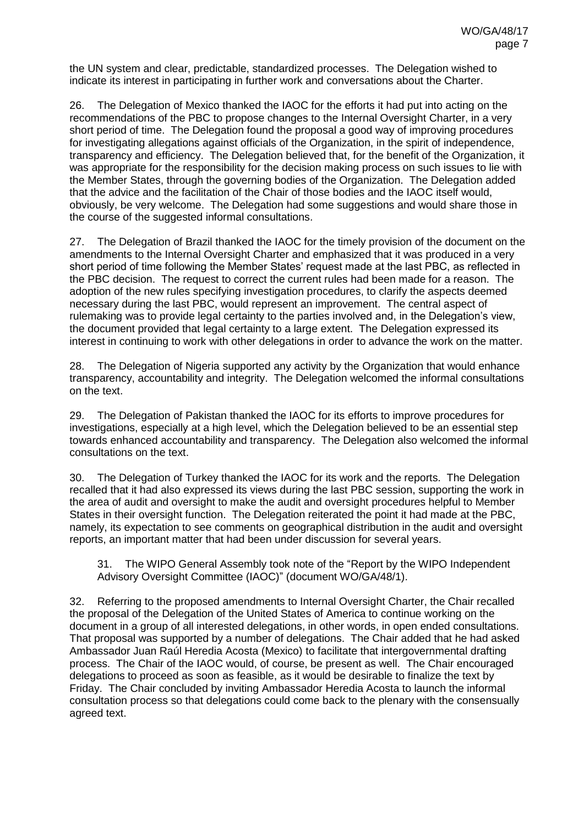the UN system and clear, predictable, standardized processes. The Delegation wished to indicate its interest in participating in further work and conversations about the Charter.

26. The Delegation of Mexico thanked the IAOC for the efforts it had put into acting on the recommendations of the PBC to propose changes to the Internal Oversight Charter, in a very short period of time. The Delegation found the proposal a good way of improving procedures for investigating allegations against officials of the Organization, in the spirit of independence, transparency and efficiency. The Delegation believed that, for the benefit of the Organization, it was appropriate for the responsibility for the decision making process on such issues to lie with the Member States, through the governing bodies of the Organization. The Delegation added that the advice and the facilitation of the Chair of those bodies and the IAOC itself would, obviously, be very welcome. The Delegation had some suggestions and would share those in the course of the suggested informal consultations.

27. The Delegation of Brazil thanked the IAOC for the timely provision of the document on the amendments to the Internal Oversight Charter and emphasized that it was produced in a very short period of time following the Member States' request made at the last PBC, as reflected in the PBC decision. The request to correct the current rules had been made for a reason. The adoption of the new rules specifying investigation procedures, to clarify the aspects deemed necessary during the last PBC, would represent an improvement. The central aspect of rulemaking was to provide legal certainty to the parties involved and, in the Delegation's view, the document provided that legal certainty to a large extent. The Delegation expressed its interest in continuing to work with other delegations in order to advance the work on the matter.

28. The Delegation of Nigeria supported any activity by the Organization that would enhance transparency, accountability and integrity. The Delegation welcomed the informal consultations on the text.

29. The Delegation of Pakistan thanked the IAOC for its efforts to improve procedures for investigations, especially at a high level, which the Delegation believed to be an essential step towards enhanced accountability and transparency. The Delegation also welcomed the informal consultations on the text.

30. The Delegation of Turkey thanked the IAOC for its work and the reports. The Delegation recalled that it had also expressed its views during the last PBC session, supporting the work in the area of audit and oversight to make the audit and oversight procedures helpful to Member States in their oversight function. The Delegation reiterated the point it had made at the PBC, namely, its expectation to see comments on geographical distribution in the audit and oversight reports, an important matter that had been under discussion for several years.

31. The WIPO General Assembly took note of the "Report by the WIPO Independent Advisory Oversight Committee (IAOC)" (document WO/GA/48/1).

32. Referring to the proposed amendments to Internal Oversight Charter, the Chair recalled the proposal of the Delegation of the United States of America to continue working on the document in a group of all interested delegations, in other words, in open ended consultations. That proposal was supported by a number of delegations. The Chair added that he had asked Ambassador Juan Raúl Heredia Acosta (Mexico) to facilitate that intergovernmental drafting process. The Chair of the IAOC would, of course, be present as well. The Chair encouraged delegations to proceed as soon as feasible, as it would be desirable to finalize the text by Friday. The Chair concluded by inviting Ambassador Heredia Acosta to launch the informal consultation process so that delegations could come back to the plenary with the consensually agreed text.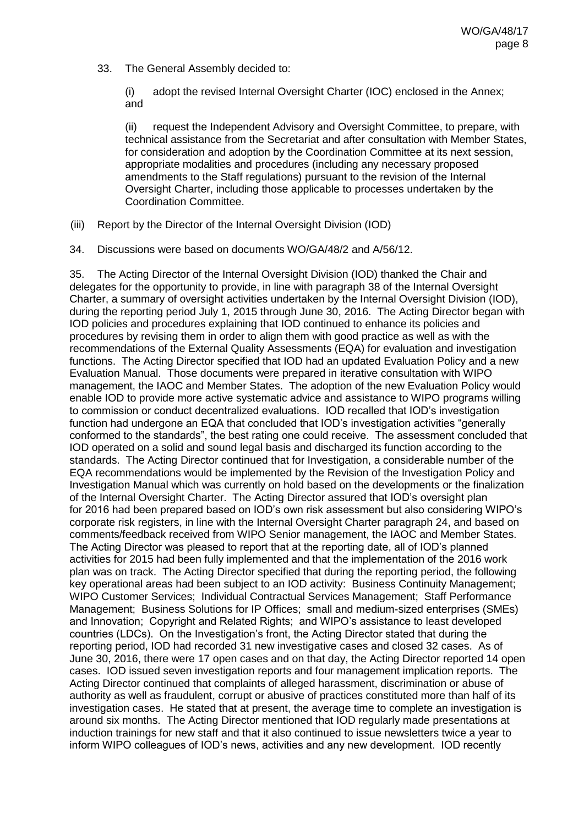33. The General Assembly decided to:

(i) adopt the revised Internal Oversight Charter (IOC) enclosed in the Annex; and

(ii) request the Independent Advisory and Oversight Committee, to prepare, with technical assistance from the Secretariat and after consultation with Member States, for consideration and adoption by the Coordination Committee at its next session, appropriate modalities and procedures (including any necessary proposed amendments to the Staff regulations) pursuant to the revision of the Internal Oversight Charter, including those applicable to processes undertaken by the Coordination Committee.

(iii) Report by the Director of the Internal Oversight Division (IOD)

34. Discussions were based on documents WO/GA/48/2 and A/56/12.

35. The Acting Director of the Internal Oversight Division (IOD) thanked the Chair and delegates for the opportunity to provide, in line with paragraph 38 of the Internal Oversight Charter, a summary of oversight activities undertaken by the Internal Oversight Division (IOD), during the reporting period July 1, 2015 through June 30, 2016. The Acting Director began with IOD policies and procedures explaining that IOD continued to enhance its policies and procedures by revising them in order to align them with good practice as well as with the recommendations of the External Quality Assessments (EQA) for evaluation and investigation functions. The Acting Director specified that IOD had an updated Evaluation Policy and a new Evaluation Manual. Those documents were prepared in iterative consultation with WIPO management, the IAOC and Member States. The adoption of the new Evaluation Policy would enable IOD to provide more active systematic advice and assistance to WIPO programs willing to commission or conduct decentralized evaluations. IOD recalled that IOD's investigation function had undergone an EQA that concluded that IOD's investigation activities "generally conformed to the standards", the best rating one could receive. The assessment concluded that IOD operated on a solid and sound legal basis and discharged its function according to the standards. The Acting Director continued that for Investigation, a considerable number of the EQA recommendations would be implemented by the Revision of the Investigation Policy and Investigation Manual which was currently on hold based on the developments or the finalization of the Internal Oversight Charter. The Acting Director assured that IOD's oversight plan for 2016 had been prepared based on IOD's own risk assessment but also considering WIPO's corporate risk registers, in line with the Internal Oversight Charter paragraph 24, and based on comments/feedback received from WIPO Senior management, the IAOC and Member States. The Acting Director was pleased to report that at the reporting date, all of IOD's planned activities for 2015 had been fully implemented and that the implementation of the 2016 work plan was on track. The Acting Director specified that during the reporting period, the following key operational areas had been subject to an IOD activity: Business Continuity Management; WIPO Customer Services; Individual Contractual Services Management; Staff Performance Management; Business Solutions for IP Offices; small and medium-sized enterprises (SMEs) and Innovation; Copyright and Related Rights; and WIPO's assistance to least developed countries (LDCs). On the Investigation's front, the Acting Director stated that during the reporting period, IOD had recorded 31 new investigative cases and closed 32 cases. As of June 30, 2016, there were 17 open cases and on that day, the Acting Director reported 14 open cases. IOD issued seven investigation reports and four management implication reports. The Acting Director continued that complaints of alleged harassment, discrimination or abuse of authority as well as fraudulent, corrupt or abusive of practices constituted more than half of its investigation cases. He stated that at present, the average time to complete an investigation is around six months. The Acting Director mentioned that IOD regularly made presentations at induction trainings for new staff and that it also continued to issue newsletters twice a year to inform WIPO colleagues of IOD's news, activities and any new development. IOD recently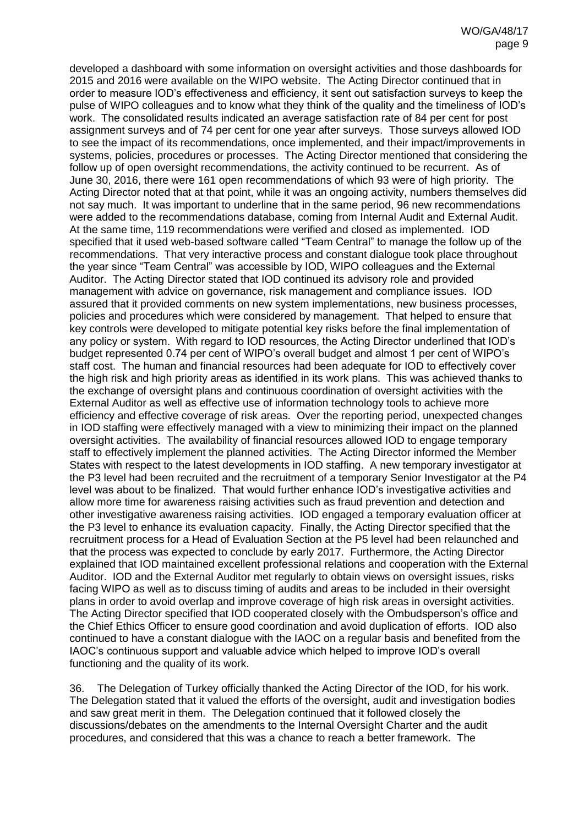developed a dashboard with some information on oversight activities and those dashboards for 2015 and 2016 were available on the WIPO website. The Acting Director continued that in order to measure IOD's effectiveness and efficiency, it sent out satisfaction surveys to keep the pulse of WIPO colleagues and to know what they think of the quality and the timeliness of IOD's work. The consolidated results indicated an average satisfaction rate of 84 per cent for post assignment surveys and of 74 per cent for one year after surveys. Those surveys allowed IOD to see the impact of its recommendations, once implemented, and their impact/improvements in systems, policies, procedures or processes. The Acting Director mentioned that considering the follow up of open oversight recommendations, the activity continued to be recurrent. As of June 30, 2016, there were 161 open recommendations of which 93 were of high priority. The Acting Director noted that at that point, while it was an ongoing activity, numbers themselves did not say much. It was important to underline that in the same period, 96 new recommendations were added to the recommendations database, coming from Internal Audit and External Audit. At the same time, 119 recommendations were verified and closed as implemented. IOD specified that it used web-based software called "Team Central" to manage the follow up of the recommendations. That very interactive process and constant dialogue took place throughout the year since "Team Central" was accessible by IOD, WIPO colleagues and the External Auditor. The Acting Director stated that IOD continued its advisory role and provided management with advice on governance, risk management and compliance issues. IOD assured that it provided comments on new system implementations, new business processes, policies and procedures which were considered by management. That helped to ensure that key controls were developed to mitigate potential key risks before the final implementation of any policy or system. With regard to IOD resources, the Acting Director underlined that IOD's budget represented 0.74 per cent of WIPO's overall budget and almost 1 per cent of WIPO's staff cost. The human and financial resources had been adequate for IOD to effectively cover the high risk and high priority areas as identified in its work plans. This was achieved thanks to the exchange of oversight plans and continuous coordination of oversight activities with the External Auditor as well as effective use of information technology tools to achieve more efficiency and effective coverage of risk areas. Over the reporting period, unexpected changes in IOD staffing were effectively managed with a view to minimizing their impact on the planned oversight activities. The availability of financial resources allowed IOD to engage temporary staff to effectively implement the planned activities. The Acting Director informed the Member States with respect to the latest developments in IOD staffing. A new temporary investigator at the P3 level had been recruited and the recruitment of a temporary Senior Investigator at the P4 level was about to be finalized. That would further enhance IOD's investigative activities and allow more time for awareness raising activities such as fraud prevention and detection and other investigative awareness raising activities. IOD engaged a temporary evaluation officer at the P3 level to enhance its evaluation capacity. Finally, the Acting Director specified that the recruitment process for a Head of Evaluation Section at the P5 level had been relaunched and that the process was expected to conclude by early 2017. Furthermore, the Acting Director explained that IOD maintained excellent professional relations and cooperation with the External Auditor. IOD and the External Auditor met regularly to obtain views on oversight issues, risks facing WIPO as well as to discuss timing of audits and areas to be included in their oversight plans in order to avoid overlap and improve coverage of high risk areas in oversight activities. The Acting Director specified that IOD cooperated closely with the Ombudsperson's office and the Chief Ethics Officer to ensure good coordination and avoid duplication of efforts. IOD also continued to have a constant dialogue with the IAOC on a regular basis and benefited from the IAOC's continuous support and valuable advice which helped to improve IOD's overall functioning and the quality of its work.

36. The Delegation of Turkey officially thanked the Acting Director of the IOD, for his work. The Delegation stated that it valued the efforts of the oversight, audit and investigation bodies and saw great merit in them. The Delegation continued that it followed closely the discussions/debates on the amendments to the Internal Oversight Charter and the audit procedures, and considered that this was a chance to reach a better framework. The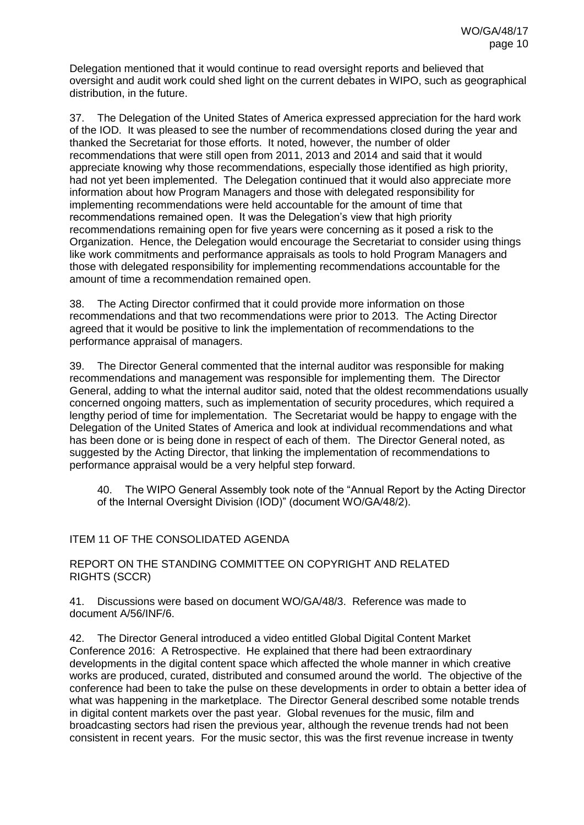Delegation mentioned that it would continue to read oversight reports and believed that oversight and audit work could shed light on the current debates in WIPO, such as geographical distribution, in the future.

37. The Delegation of the United States of America expressed appreciation for the hard work of the IOD. It was pleased to see the number of recommendations closed during the year and thanked the Secretariat for those efforts. It noted, however, the number of older recommendations that were still open from 2011, 2013 and 2014 and said that it would appreciate knowing why those recommendations, especially those identified as high priority, had not yet been implemented. The Delegation continued that it would also appreciate more information about how Program Managers and those with delegated responsibility for implementing recommendations were held accountable for the amount of time that recommendations remained open. It was the Delegation's view that high priority recommendations remaining open for five years were concerning as it posed a risk to the Organization. Hence, the Delegation would encourage the Secretariat to consider using things like work commitments and performance appraisals as tools to hold Program Managers and those with delegated responsibility for implementing recommendations accountable for the amount of time a recommendation remained open.

38. The Acting Director confirmed that it could provide more information on those recommendations and that two recommendations were prior to 2013. The Acting Director agreed that it would be positive to link the implementation of recommendations to the performance appraisal of managers.

39. The Director General commented that the internal auditor was responsible for making recommendations and management was responsible for implementing them. The Director General, adding to what the internal auditor said, noted that the oldest recommendations usually concerned ongoing matters, such as implementation of security procedures, which required a lengthy period of time for implementation. The Secretariat would be happy to engage with the Delegation of the United States of America and look at individual recommendations and what has been done or is being done in respect of each of them. The Director General noted, as suggested by the Acting Director, that linking the implementation of recommendations to performance appraisal would be a very helpful step forward.

40. The WIPO General Assembly took note of the "Annual Report by the Acting Director of the Internal Oversight Division (IOD)" (document WO/GA/48/2).

### ITEM 11 OF THE CONSOLIDATED AGENDA

REPORT ON THE STANDING COMMITTEE ON COPYRIGHT AND RELATED RIGHTS (SCCR)

41. Discussions were based on document WO/GA/48/3. Reference was made to document A/56/INF/6.

42. The Director General introduced a video entitled Global Digital Content Market Conference 2016: A Retrospective. He explained that there had been extraordinary developments in the digital content space which affected the whole manner in which creative works are produced, curated, distributed and consumed around the world. The objective of the conference had been to take the pulse on these developments in order to obtain a better idea of what was happening in the marketplace. The Director General described some notable trends in digital content markets over the past year. Global revenues for the music, film and broadcasting sectors had risen the previous year, although the revenue trends had not been consistent in recent years. For the music sector, this was the first revenue increase in twenty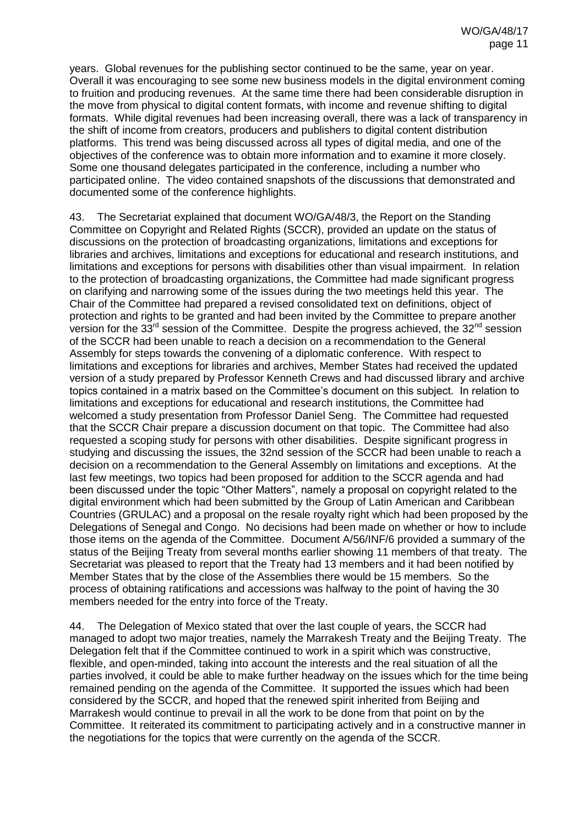years. Global revenues for the publishing sector continued to be the same, year on year. Overall it was encouraging to see some new business models in the digital environment coming to fruition and producing revenues. At the same time there had been considerable disruption in the move from physical to digital content formats, with income and revenue shifting to digital formats. While digital revenues had been increasing overall, there was a lack of transparency in the shift of income from creators, producers and publishers to digital content distribution platforms. This trend was being discussed across all types of digital media, and one of the objectives of the conference was to obtain more information and to examine it more closely. Some one thousand delegates participated in the conference, including a number who participated online. The video contained snapshots of the discussions that demonstrated and documented some of the conference highlights.

The Secretariat explained that document WO/GA/48/3, the Report on the Standing Committee on Copyright and Related Rights (SCCR), provided an update on the status of discussions on the protection of broadcasting organizations, limitations and exceptions for libraries and archives, limitations and exceptions for educational and research institutions, and limitations and exceptions for persons with disabilities other than visual impairment. In relation to the protection of broadcasting organizations, the Committee had made significant progress on clarifying and narrowing some of the issues during the two meetings held this year. The Chair of the Committee had prepared a revised consolidated text on definitions, object of protection and rights to be granted and had been invited by the Committee to prepare another version for the 33 $^{\text{rd}}$  session of the Committee. Despite the progress achieved, the 32 $^{\text{nd}}$  session of the SCCR had been unable to reach a decision on a recommendation to the General Assembly for steps towards the convening of a diplomatic conference. With respect to limitations and exceptions for libraries and archives, Member States had received the updated version of a study prepared by Professor Kenneth Crews and had discussed library and archive topics contained in a matrix based on the Committee's document on this subject. In relation to limitations and exceptions for educational and research institutions, the Committee had welcomed a study presentation from Professor Daniel Seng. The Committee had requested that the SCCR Chair prepare a discussion document on that topic. The Committee had also requested a scoping study for persons with other disabilities. Despite significant progress in studying and discussing the issues, the 32nd session of the SCCR had been unable to reach a decision on a recommendation to the General Assembly on limitations and exceptions. At the last few meetings, two topics had been proposed for addition to the SCCR agenda and had been discussed under the topic "Other Matters", namely a proposal on copyright related to the digital environment which had been submitted by the Group of Latin American and Caribbean Countries (GRULAC) and a proposal on the resale royalty right which had been proposed by the Delegations of Senegal and Congo. No decisions had been made on whether or how to include those items on the agenda of the Committee. Document A/56/INF/6 provided a summary of the status of the Beijing Treaty from several months earlier showing 11 members of that treaty. The Secretariat was pleased to report that the Treaty had 13 members and it had been notified by Member States that by the close of the Assemblies there would be 15 members. So the process of obtaining ratifications and accessions was halfway to the point of having the 30 members needed for the entry into force of the Treaty.

44. The Delegation of Mexico stated that over the last couple of years, the SCCR had managed to adopt two major treaties, namely the Marrakesh Treaty and the Beijing Treaty. The Delegation felt that if the Committee continued to work in a spirit which was constructive, flexible, and open-minded, taking into account the interests and the real situation of all the parties involved, it could be able to make further headway on the issues which for the time being remained pending on the agenda of the Committee. It supported the issues which had been considered by the SCCR, and hoped that the renewed spirit inherited from Beijing and Marrakesh would continue to prevail in all the work to be done from that point on by the Committee. It reiterated its commitment to participating actively and in a constructive manner in the negotiations for the topics that were currently on the agenda of the SCCR.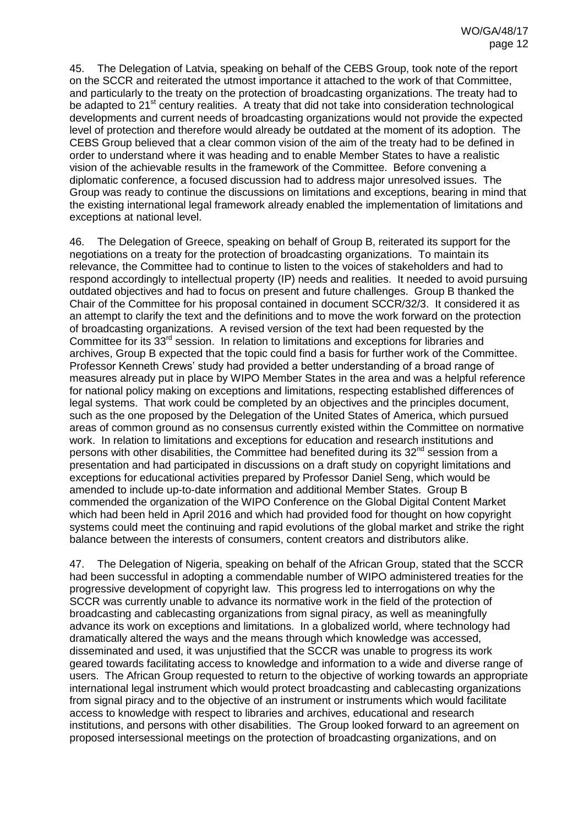45. The Delegation of Latvia, speaking on behalf of the CEBS Group, took note of the report on the SCCR and reiterated the utmost importance it attached to the work of that Committee, and particularly to the treaty on the protection of broadcasting organizations. The treaty had to be adapted to 21<sup>st</sup> century realities. A treaty that did not take into consideration technological developments and current needs of broadcasting organizations would not provide the expected level of protection and therefore would already be outdated at the moment of its adoption. The CEBS Group believed that a clear common vision of the aim of the treaty had to be defined in order to understand where it was heading and to enable Member States to have a realistic vision of the achievable results in the framework of the Committee. Before convening a diplomatic conference, a focused discussion had to address major unresolved issues. The Group was ready to continue the discussions on limitations and exceptions, bearing in mind that the existing international legal framework already enabled the implementation of limitations and exceptions at national level.

46. The Delegation of Greece, speaking on behalf of Group B, reiterated its support for the negotiations on a treaty for the protection of broadcasting organizations. To maintain its relevance, the Committee had to continue to listen to the voices of stakeholders and had to respond accordingly to intellectual property (IP) needs and realities. It needed to avoid pursuing outdated objectives and had to focus on present and future challenges. Group B thanked the Chair of the Committee for his proposal contained in document SCCR/32/3. It considered it as an attempt to clarify the text and the definitions and to move the work forward on the protection of broadcasting organizations. A revised version of the text had been requested by the Committee for its 33rd session. In relation to limitations and exceptions for libraries and archives, Group B expected that the topic could find a basis for further work of the Committee. Professor Kenneth Crews' study had provided a better understanding of a broad range of measures already put in place by WIPO Member States in the area and was a helpful reference for national policy making on exceptions and limitations, respecting established differences of legal systems. That work could be completed by an objectives and the principles document, such as the one proposed by the Delegation of the United States of America, which pursued areas of common ground as no consensus currently existed within the Committee on normative work. In relation to limitations and exceptions for education and research institutions and persons with other disabilities, the Committee had benefited during its  $32<sup>nd</sup>$  session from a presentation and had participated in discussions on a draft study on copyright limitations and exceptions for educational activities prepared by Professor Daniel Seng, which would be amended to include up-to-date information and additional Member States. Group B commended the organization of the WIPO Conference on the Global Digital Content Market which had been held in April 2016 and which had provided food for thought on how copyright systems could meet the continuing and rapid evolutions of the global market and strike the right balance between the interests of consumers, content creators and distributors alike.

47. The Delegation of Nigeria, speaking on behalf of the African Group, stated that the SCCR had been successful in adopting a commendable number of WIPO administered treaties for the progressive development of copyright law. This progress led to interrogations on why the SCCR was currently unable to advance its normative work in the field of the protection of broadcasting and cablecasting organizations from signal piracy, as well as meaningfully advance its work on exceptions and limitations. In a globalized world, where technology had dramatically altered the ways and the means through which knowledge was accessed, disseminated and used, it was unjustified that the SCCR was unable to progress its work geared towards facilitating access to knowledge and information to a wide and diverse range of users. The African Group requested to return to the objective of working towards an appropriate international legal instrument which would protect broadcasting and cablecasting organizations from signal piracy and to the objective of an instrument or instruments which would facilitate access to knowledge with respect to libraries and archives, educational and research institutions, and persons with other disabilities. The Group looked forward to an agreement on proposed intersessional meetings on the protection of broadcasting organizations, and on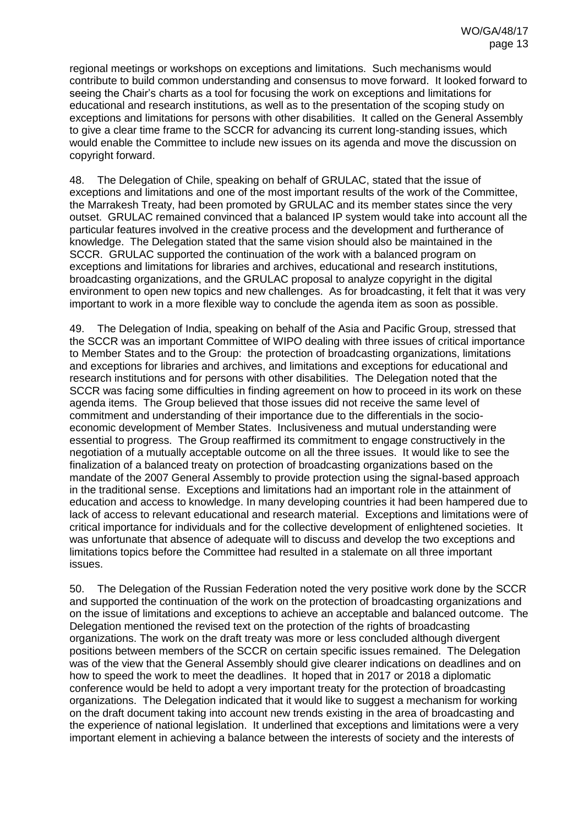regional meetings or workshops on exceptions and limitations. Such mechanisms would contribute to build common understanding and consensus to move forward. It looked forward to seeing the Chair's charts as a tool for focusing the work on exceptions and limitations for educational and research institutions, as well as to the presentation of the scoping study on exceptions and limitations for persons with other disabilities. It called on the General Assembly to give a clear time frame to the SCCR for advancing its current long-standing issues, which would enable the Committee to include new issues on its agenda and move the discussion on copyright forward.

48. The Delegation of Chile, speaking on behalf of GRULAC, stated that the issue of exceptions and limitations and one of the most important results of the work of the Committee, the Marrakesh Treaty, had been promoted by GRULAC and its member states since the very outset. GRULAC remained convinced that a balanced IP system would take into account all the particular features involved in the creative process and the development and furtherance of knowledge. The Delegation stated that the same vision should also be maintained in the SCCR. GRULAC supported the continuation of the work with a balanced program on exceptions and limitations for libraries and archives, educational and research institutions, broadcasting organizations, and the GRULAC proposal to analyze copyright in the digital environment to open new topics and new challenges. As for broadcasting, it felt that it was very important to work in a more flexible way to conclude the agenda item as soon as possible.

49. The Delegation of India, speaking on behalf of the Asia and Pacific Group, stressed that the SCCR was an important Committee of WIPO dealing with three issues of critical importance to Member States and to the Group: the protection of broadcasting organizations, limitations and exceptions for libraries and archives, and limitations and exceptions for educational and research institutions and for persons with other disabilities. The Delegation noted that the SCCR was facing some difficulties in finding agreement on how to proceed in its work on these agenda items. The Group believed that those issues did not receive the same level of commitment and understanding of their importance due to the differentials in the socioeconomic development of Member States. Inclusiveness and mutual understanding were essential to progress. The Group reaffirmed its commitment to engage constructively in the negotiation of a mutually acceptable outcome on all the three issues. It would like to see the finalization of a balanced treaty on protection of broadcasting organizations based on the mandate of the 2007 General Assembly to provide protection using the signal-based approach in the traditional sense. Exceptions and limitations had an important role in the attainment of education and access to knowledge. In many developing countries it had been hampered due to lack of access to relevant educational and research material. Exceptions and limitations were of critical importance for individuals and for the collective development of enlightened societies. It was unfortunate that absence of adequate will to discuss and develop the two exceptions and limitations topics before the Committee had resulted in a stalemate on all three important issues.

50. The Delegation of the Russian Federation noted the very positive work done by the SCCR and supported the continuation of the work on the protection of broadcasting organizations and on the issue of limitations and exceptions to achieve an acceptable and balanced outcome. The Delegation mentioned the revised text on the protection of the rights of broadcasting organizations. The work on the draft treaty was more or less concluded although divergent positions between members of the SCCR on certain specific issues remained. The Delegation was of the view that the General Assembly should give clearer indications on deadlines and on how to speed the work to meet the deadlines. It hoped that in 2017 or 2018 a diplomatic conference would be held to adopt a very important treaty for the protection of broadcasting organizations. The Delegation indicated that it would like to suggest a mechanism for working on the draft document taking into account new trends existing in the area of broadcasting and the experience of national legislation. It underlined that exceptions and limitations were a very important element in achieving a balance between the interests of society and the interests of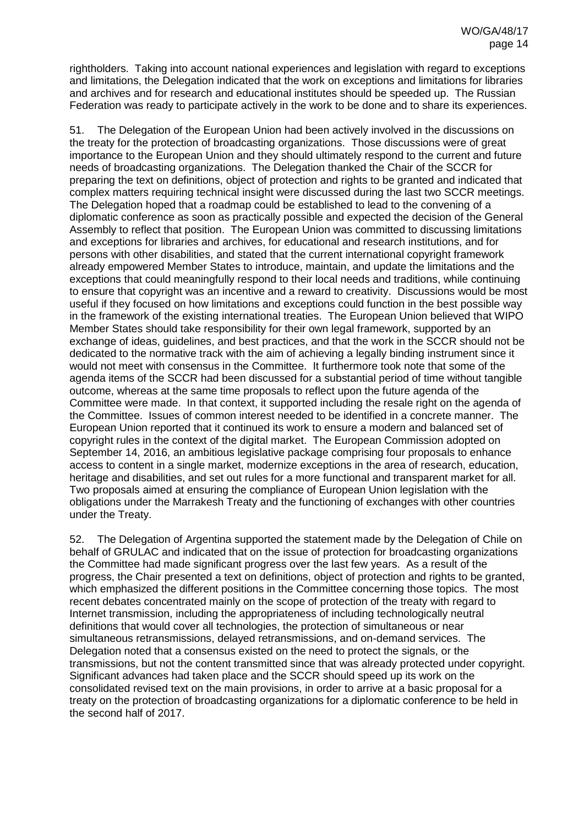rightholders. Taking into account national experiences and legislation with regard to exceptions and limitations, the Delegation indicated that the work on exceptions and limitations for libraries and archives and for research and educational institutes should be speeded up. The Russian Federation was ready to participate actively in the work to be done and to share its experiences.

51. The Delegation of the European Union had been actively involved in the discussions on the treaty for the protection of broadcasting organizations. Those discussions were of great importance to the European Union and they should ultimately respond to the current and future needs of broadcasting organizations. The Delegation thanked the Chair of the SCCR for preparing the text on definitions, object of protection and rights to be granted and indicated that complex matters requiring technical insight were discussed during the last two SCCR meetings. The Delegation hoped that a roadmap could be established to lead to the convening of a diplomatic conference as soon as practically possible and expected the decision of the General Assembly to reflect that position. The European Union was committed to discussing limitations and exceptions for libraries and archives, for educational and research institutions, and for persons with other disabilities, and stated that the current international copyright framework already empowered Member States to introduce, maintain, and update the limitations and the exceptions that could meaningfully respond to their local needs and traditions, while continuing to ensure that copyright was an incentive and a reward to creativity. Discussions would be most useful if they focused on how limitations and exceptions could function in the best possible way in the framework of the existing international treaties. The European Union believed that WIPO Member States should take responsibility for their own legal framework, supported by an exchange of ideas, guidelines, and best practices, and that the work in the SCCR should not be dedicated to the normative track with the aim of achieving a legally binding instrument since it would not meet with consensus in the Committee. It furthermore took note that some of the agenda items of the SCCR had been discussed for a substantial period of time without tangible outcome, whereas at the same time proposals to reflect upon the future agenda of the Committee were made. In that context, it supported including the resale right on the agenda of the Committee. Issues of common interest needed to be identified in a concrete manner. The European Union reported that it continued its work to ensure a modern and balanced set of copyright rules in the context of the digital market. The European Commission adopted on September 14, 2016, an ambitious legislative package comprising four proposals to enhance access to content in a single market, modernize exceptions in the area of research, education, heritage and disabilities, and set out rules for a more functional and transparent market for all. Two proposals aimed at ensuring the compliance of European Union legislation with the obligations under the Marrakesh Treaty and the functioning of exchanges with other countries under the Treaty.

52. The Delegation of Argentina supported the statement made by the Delegation of Chile on behalf of GRULAC and indicated that on the issue of protection for broadcasting organizations the Committee had made significant progress over the last few years. As a result of the progress, the Chair presented a text on definitions, object of protection and rights to be granted, which emphasized the different positions in the Committee concerning those topics. The most recent debates concentrated mainly on the scope of protection of the treaty with regard to Internet transmission, including the appropriateness of including technologically neutral definitions that would cover all technologies, the protection of simultaneous or near simultaneous retransmissions, delayed retransmissions, and on-demand services. The Delegation noted that a consensus existed on the need to protect the signals, or the transmissions, but not the content transmitted since that was already protected under copyright. Significant advances had taken place and the SCCR should speed up its work on the consolidated revised text on the main provisions, in order to arrive at a basic proposal for a treaty on the protection of broadcasting organizations for a diplomatic conference to be held in the second half of 2017.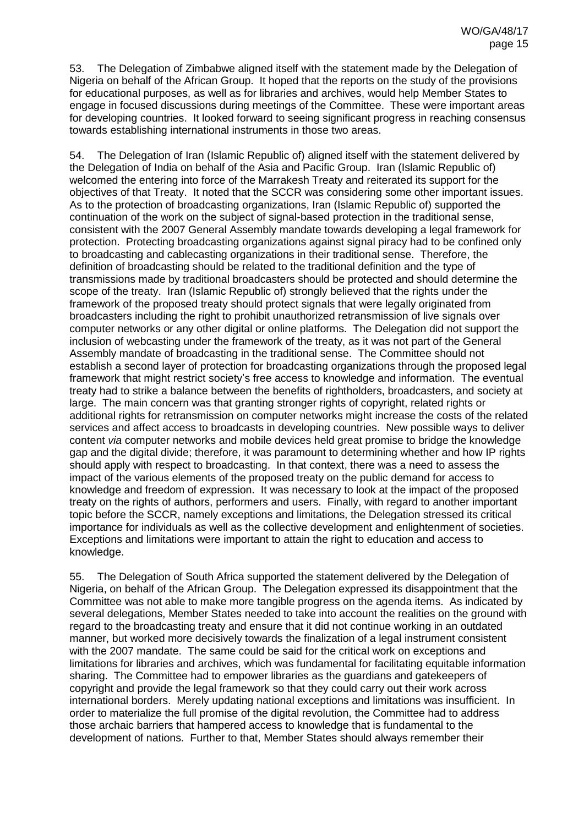53. The Delegation of Zimbabwe aligned itself with the statement made by the Delegation of Nigeria on behalf of the African Group. It hoped that the reports on the study of the provisions for educational purposes, as well as for libraries and archives, would help Member States to engage in focused discussions during meetings of the Committee. These were important areas for developing countries. It looked forward to seeing significant progress in reaching consensus towards establishing international instruments in those two areas.

54. The Delegation of Iran (Islamic Republic of) aligned itself with the statement delivered by the Delegation of India on behalf of the Asia and Pacific Group. Iran (Islamic Republic of) welcomed the entering into force of the Marrakesh Treaty and reiterated its support for the objectives of that Treaty. It noted that the SCCR was considering some other important issues. As to the protection of broadcasting organizations, Iran (Islamic Republic of) supported the continuation of the work on the subject of signal-based protection in the traditional sense, consistent with the 2007 General Assembly mandate towards developing a legal framework for protection. Protecting broadcasting organizations against signal piracy had to be confined only to broadcasting and cablecasting organizations in their traditional sense. Therefore, the definition of broadcasting should be related to the traditional definition and the type of transmissions made by traditional broadcasters should be protected and should determine the scope of the treaty. Iran (Islamic Republic of) strongly believed that the rights under the framework of the proposed treaty should protect signals that were legally originated from broadcasters including the right to prohibit unauthorized retransmission of live signals over computer networks or any other digital or online platforms. The Delegation did not support the inclusion of webcasting under the framework of the treaty, as it was not part of the General Assembly mandate of broadcasting in the traditional sense. The Committee should not establish a second layer of protection for broadcasting organizations through the proposed legal framework that might restrict society's free access to knowledge and information. The eventual treaty had to strike a balance between the benefits of rightholders, broadcasters, and society at large. The main concern was that granting stronger rights of copyright, related rights or additional rights for retransmission on computer networks might increase the costs of the related services and affect access to broadcasts in developing countries. New possible ways to deliver content *via* computer networks and mobile devices held great promise to bridge the knowledge gap and the digital divide; therefore, it was paramount to determining whether and how IP rights should apply with respect to broadcasting. In that context, there was a need to assess the impact of the various elements of the proposed treaty on the public demand for access to knowledge and freedom of expression. It was necessary to look at the impact of the proposed treaty on the rights of authors, performers and users. Finally, with regard to another important topic before the SCCR, namely exceptions and limitations, the Delegation stressed its critical importance for individuals as well as the collective development and enlightenment of societies. Exceptions and limitations were important to attain the right to education and access to knowledge.

55. The Delegation of South Africa supported the statement delivered by the Delegation of Nigeria, on behalf of the African Group. The Delegation expressed its disappointment that the Committee was not able to make more tangible progress on the agenda items. As indicated by several delegations, Member States needed to take into account the realities on the ground with regard to the broadcasting treaty and ensure that it did not continue working in an outdated manner, but worked more decisively towards the finalization of a legal instrument consistent with the 2007 mandate. The same could be said for the critical work on exceptions and limitations for libraries and archives, which was fundamental for facilitating equitable information sharing. The Committee had to empower libraries as the guardians and gatekeepers of copyright and provide the legal framework so that they could carry out their work across international borders. Merely updating national exceptions and limitations was insufficient. In order to materialize the full promise of the digital revolution, the Committee had to address those archaic barriers that hampered access to knowledge that is fundamental to the development of nations. Further to that, Member States should always remember their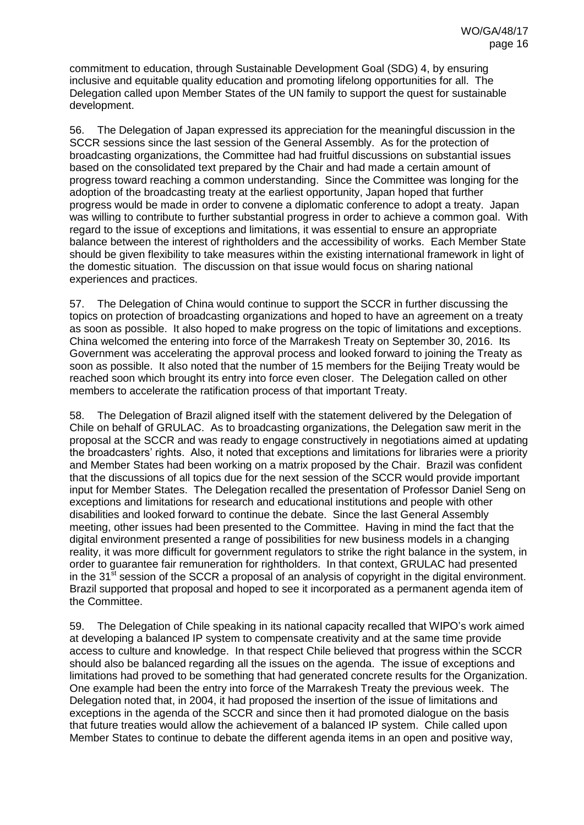commitment to education, through Sustainable Development Goal (SDG) 4, by ensuring inclusive and equitable quality education and promoting lifelong opportunities for all. The Delegation called upon Member States of the UN family to support the quest for sustainable development.

56. The Delegation of Japan expressed its appreciation for the meaningful discussion in the SCCR sessions since the last session of the General Assembly. As for the protection of broadcasting organizations, the Committee had had fruitful discussions on substantial issues based on the consolidated text prepared by the Chair and had made a certain amount of progress toward reaching a common understanding. Since the Committee was longing for the adoption of the broadcasting treaty at the earliest opportunity, Japan hoped that further progress would be made in order to convene a diplomatic conference to adopt a treaty. Japan was willing to contribute to further substantial progress in order to achieve a common goal. With regard to the issue of exceptions and limitations, it was essential to ensure an appropriate balance between the interest of rightholders and the accessibility of works. Each Member State should be given flexibility to take measures within the existing international framework in light of the domestic situation. The discussion on that issue would focus on sharing national experiences and practices.

57. The Delegation of China would continue to support the SCCR in further discussing the topics on protection of broadcasting organizations and hoped to have an agreement on a treaty as soon as possible. It also hoped to make progress on the topic of limitations and exceptions. China welcomed the entering into force of the Marrakesh Treaty on September 30, 2016. Its Government was accelerating the approval process and looked forward to joining the Treaty as soon as possible. It also noted that the number of 15 members for the Beijing Treaty would be reached soon which brought its entry into force even closer. The Delegation called on other members to accelerate the ratification process of that important Treaty.

58. The Delegation of Brazil aligned itself with the statement delivered by the Delegation of Chile on behalf of GRULAC. As to broadcasting organizations, the Delegation saw merit in the proposal at the SCCR and was ready to engage constructively in negotiations aimed at updating the broadcasters' rights. Also, it noted that exceptions and limitations for libraries were a priority and Member States had been working on a matrix proposed by the Chair. Brazil was confident that the discussions of all topics due for the next session of the SCCR would provide important input for Member States. The Delegation recalled the presentation of Professor Daniel Seng on exceptions and limitations for research and educational institutions and people with other disabilities and looked forward to continue the debate. Since the last General Assembly meeting, other issues had been presented to the Committee. Having in mind the fact that the digital environment presented a range of possibilities for new business models in a changing reality, it was more difficult for government regulators to strike the right balance in the system, in order to guarantee fair remuneration for rightholders. In that context, GRULAC had presented in the  $31<sup>st</sup>$  session of the SCCR a proposal of an analysis of copyright in the digital environment. Brazil supported that proposal and hoped to see it incorporated as a permanent agenda item of the Committee.

59. The Delegation of Chile speaking in its national capacity recalled that WIPO's work aimed at developing a balanced IP system to compensate creativity and at the same time provide access to culture and knowledge. In that respect Chile believed that progress within the SCCR should also be balanced regarding all the issues on the agenda. The issue of exceptions and limitations had proved to be something that had generated concrete results for the Organization. One example had been the entry into force of the Marrakesh Treaty the previous week. The Delegation noted that, in 2004, it had proposed the insertion of the issue of limitations and exceptions in the agenda of the SCCR and since then it had promoted dialogue on the basis that future treaties would allow the achievement of a balanced IP system. Chile called upon Member States to continue to debate the different agenda items in an open and positive way,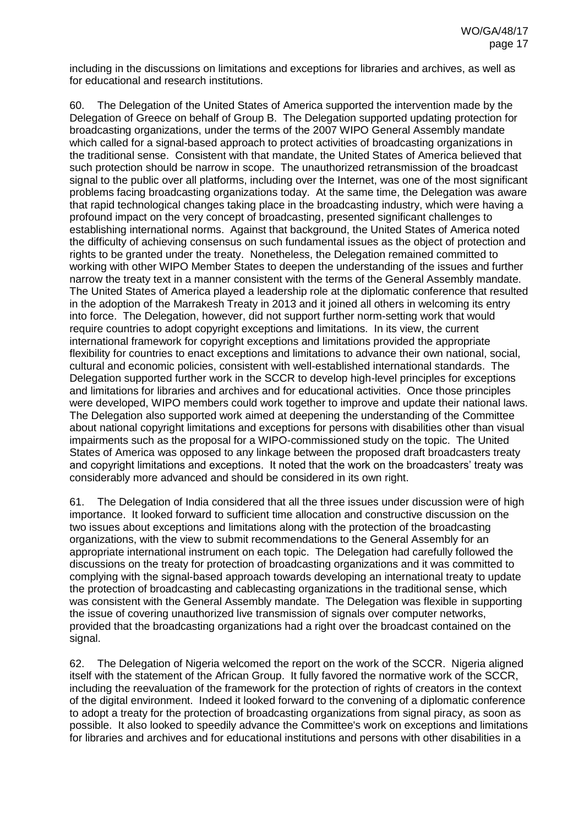including in the discussions on limitations and exceptions for libraries and archives, as well as for educational and research institutions.

60. The Delegation of the United States of America supported the intervention made by the Delegation of Greece on behalf of Group B. The Delegation supported updating protection for broadcasting organizations, under the terms of the 2007 WIPO General Assembly mandate which called for a signal-based approach to protect activities of broadcasting organizations in the traditional sense. Consistent with that mandate, the United States of America believed that such protection should be narrow in scope. The unauthorized retransmission of the broadcast signal to the public over all platforms, including over the Internet, was one of the most significant problems facing broadcasting organizations today. At the same time, the Delegation was aware that rapid technological changes taking place in the broadcasting industry, which were having a profound impact on the very concept of broadcasting, presented significant challenges to establishing international norms. Against that background, the United States of America noted the difficulty of achieving consensus on such fundamental issues as the object of protection and rights to be granted under the treaty. Nonetheless, the Delegation remained committed to working with other WIPO Member States to deepen the understanding of the issues and further narrow the treaty text in a manner consistent with the terms of the General Assembly mandate. The United States of America played a leadership role at the diplomatic conference that resulted in the adoption of the Marrakesh Treaty in 2013 and it joined all others in welcoming its entry into force. The Delegation, however, did not support further norm-setting work that would require countries to adopt copyright exceptions and limitations. In its view, the current international framework for copyright exceptions and limitations provided the appropriate flexibility for countries to enact exceptions and limitations to advance their own national, social, cultural and economic policies, consistent with well-established international standards. The Delegation supported further work in the SCCR to develop high-level principles for exceptions and limitations for libraries and archives and for educational activities. Once those principles were developed. WIPO members could work together to improve and update their national laws. The Delegation also supported work aimed at deepening the understanding of the Committee about national copyright limitations and exceptions for persons with disabilities other than visual impairments such as the proposal for a WIPO-commissioned study on the topic. The United States of America was opposed to any linkage between the proposed draft broadcasters treaty and copyright limitations and exceptions. It noted that the work on the broadcasters' treaty was considerably more advanced and should be considered in its own right.

61. The Delegation of India considered that all the three issues under discussion were of high importance. It looked forward to sufficient time allocation and constructive discussion on the two issues about exceptions and limitations along with the protection of the broadcasting organizations, with the view to submit recommendations to the General Assembly for an appropriate international instrument on each topic. The Delegation had carefully followed the discussions on the treaty for protection of broadcasting organizations and it was committed to complying with the signal-based approach towards developing an international treaty to update the protection of broadcasting and cablecasting organizations in the traditional sense, which was consistent with the General Assembly mandate. The Delegation was flexible in supporting the issue of covering unauthorized live transmission of signals over computer networks, provided that the broadcasting organizations had a right over the broadcast contained on the signal.

62. The Delegation of Nigeria welcomed the report on the work of the SCCR. Nigeria aligned itself with the statement of the African Group. It fully favored the normative work of the SCCR, including the reevaluation of the framework for the protection of rights of creators in the context of the digital environment. Indeed it looked forward to the convening of a diplomatic conference to adopt a treaty for the protection of broadcasting organizations from signal piracy, as soon as possible. It also looked to speedily advance the Committee's work on exceptions and limitations for libraries and archives and for educational institutions and persons with other disabilities in a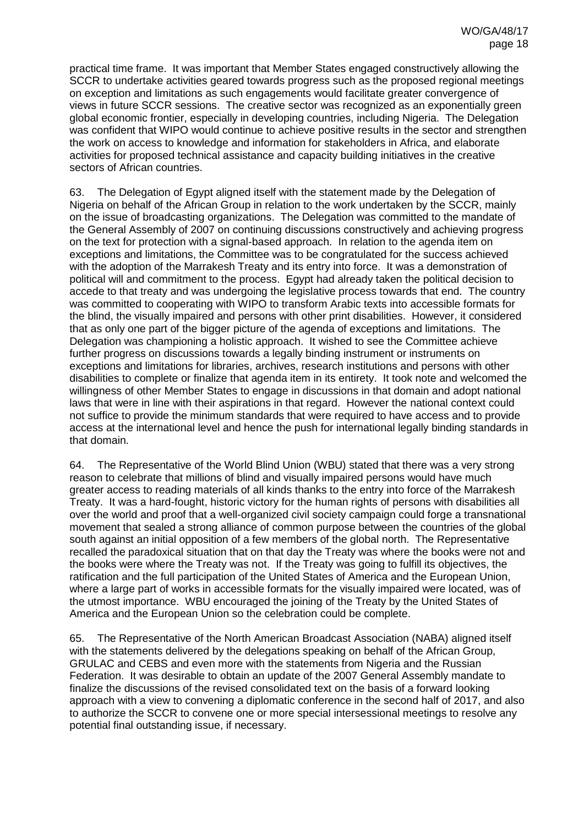practical time frame. It was important that Member States engaged constructively allowing the SCCR to undertake activities geared towards progress such as the proposed regional meetings on exception and limitations as such engagements would facilitate greater convergence of views in future SCCR sessions. The creative sector was recognized as an exponentially green global economic frontier, especially in developing countries, including Nigeria. The Delegation was confident that WIPO would continue to achieve positive results in the sector and strengthen the work on access to knowledge and information for stakeholders in Africa, and elaborate activities for proposed technical assistance and capacity building initiatives in the creative sectors of African countries.

63. The Delegation of Egypt aligned itself with the statement made by the Delegation of Nigeria on behalf of the African Group in relation to the work undertaken by the SCCR, mainly on the issue of broadcasting organizations. The Delegation was committed to the mandate of the General Assembly of 2007 on continuing discussions constructively and achieving progress on the text for protection with a signal-based approach. In relation to the agenda item on exceptions and limitations, the Committee was to be congratulated for the success achieved with the adoption of the Marrakesh Treaty and its entry into force. It was a demonstration of political will and commitment to the process. Egypt had already taken the political decision to accede to that treaty and was undergoing the legislative process towards that end. The country was committed to cooperating with WIPO to transform Arabic texts into accessible formats for the blind, the visually impaired and persons with other print disabilities. However, it considered that as only one part of the bigger picture of the agenda of exceptions and limitations. The Delegation was championing a holistic approach. It wished to see the Committee achieve further progress on discussions towards a legally binding instrument or instruments on exceptions and limitations for libraries, archives, research institutions and persons with other disabilities to complete or finalize that agenda item in its entirety. It took note and welcomed the willingness of other Member States to engage in discussions in that domain and adopt national laws that were in line with their aspirations in that regard. However the national context could not suffice to provide the minimum standards that were required to have access and to provide access at the international level and hence the push for international legally binding standards in that domain.

64. The Representative of the World Blind Union (WBU) stated that there was a very strong reason to celebrate that millions of blind and visually impaired persons would have much greater access to reading materials of all kinds thanks to the entry into force of the Marrakesh Treaty. It was a hard-fought, historic victory for the human rights of persons with disabilities all over the world and proof that a well-organized civil society campaign could forge a transnational movement that sealed a strong alliance of common purpose between the countries of the global south against an initial opposition of a few members of the global north. The Representative recalled the paradoxical situation that on that day the Treaty was where the books were not and the books were where the Treaty was not. If the Treaty was going to fulfill its objectives, the ratification and the full participation of the United States of America and the European Union, where a large part of works in accessible formats for the visually impaired were located, was of the utmost importance. WBU encouraged the joining of the Treaty by the United States of America and the European Union so the celebration could be complete.

65. The Representative of the North American Broadcast Association (NABA) aligned itself with the statements delivered by the delegations speaking on behalf of the African Group, GRULAC and CEBS and even more with the statements from Nigeria and the Russian Federation. It was desirable to obtain an update of the 2007 General Assembly mandate to finalize the discussions of the revised consolidated text on the basis of a forward looking approach with a view to convening a diplomatic conference in the second half of 2017, and also to authorize the SCCR to convene one or more special intersessional meetings to resolve any potential final outstanding issue, if necessary.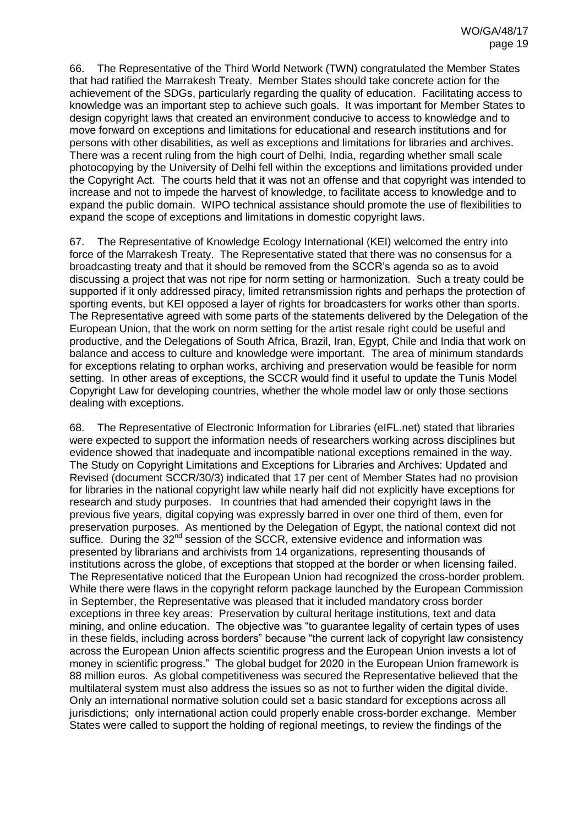66. The Representative of the Third World Network (TWN) congratulated the Member States that had ratified the Marrakesh Treaty. Member States should take concrete action for the achievement of the SDGs, particularly regarding the quality of education. Facilitating access to knowledge was an important step to achieve such goals. It was important for Member States to design copyright laws that created an environment conducive to access to knowledge and to move forward on exceptions and limitations for educational and research institutions and for persons with other disabilities, as well as exceptions and limitations for libraries and archives. There was a recent ruling from the high court of Delhi, India, regarding whether small scale photocopying by the University of Delhi fell within the exceptions and limitations provided under the Copyright Act. The courts held that it was not an offense and that copyright was intended to increase and not to impede the harvest of knowledge, to facilitate access to knowledge and to expand the public domain. WIPO technical assistance should promote the use of flexibilities to expand the scope of exceptions and limitations in domestic copyright laws.

67. The Representative of Knowledge Ecology International (KEI) welcomed the entry into force of the Marrakesh Treaty. The Representative stated that there was no consensus for a broadcasting treaty and that it should be removed from the SCCR's agenda so as to avoid discussing a project that was not ripe for norm setting or harmonization. Such a treaty could be supported if it only addressed piracy, limited retransmission rights and perhaps the protection of sporting events, but KEI opposed a layer of rights for broadcasters for works other than sports. The Representative agreed with some parts of the statements delivered by the Delegation of the European Union, that the work on norm setting for the artist resale right could be useful and productive, and the Delegations of South Africa, Brazil, Iran, Egypt, Chile and India that work on balance and access to culture and knowledge were important. The area of minimum standards for exceptions relating to orphan works, archiving and preservation would be feasible for norm setting. In other areas of exceptions, the SCCR would find it useful to update the Tunis Model Copyright Law for developing countries, whether the whole model law or only those sections dealing with exceptions.

68. The Representative of Electronic Information for Libraries (eIFL.net) stated that libraries were expected to support the information needs of researchers working across disciplines but evidence showed that inadequate and incompatible national exceptions remained in the way. The Study on Copyright Limitations and Exceptions for Libraries and Archives: Updated and Revised (document SCCR/30/3) indicated that 17 per cent of Member States had no provision for libraries in the national copyright law while nearly half did not explicitly have exceptions for research and study purposes. In countries that had amended their copyright laws in the previous five years, digital copying was expressly barred in over one third of them, even for preservation purposes. As mentioned by the Delegation of Egypt, the national context did not suffice. During the 32<sup>nd</sup> session of the SCCR, extensive evidence and information was presented by librarians and archivists from 14 organizations, representing thousands of institutions across the globe, of exceptions that stopped at the border or when licensing failed. The Representative noticed that the European Union had recognized the cross-border problem. While there were flaws in the copyright reform package launched by the European Commission in September, the Representative was pleased that it included mandatory cross border exceptions in three key areas: Preservation by cultural heritage institutions, text and data mining, and online education. The objective was "to guarantee legality of certain types of uses in these fields, including across borders" because "the current lack of copyright law consistency across the European Union affects scientific progress and the European Union invests a lot of money in scientific progress." The global budget for 2020 in the European Union framework is 88 million euros. As global competitiveness was secured the Representative believed that the multilateral system must also address the issues so as not to further widen the digital divide. Only an international normative solution could set a basic standard for exceptions across all jurisdictions; only international action could properly enable cross-border exchange. Member States were called to support the holding of regional meetings, to review the findings of the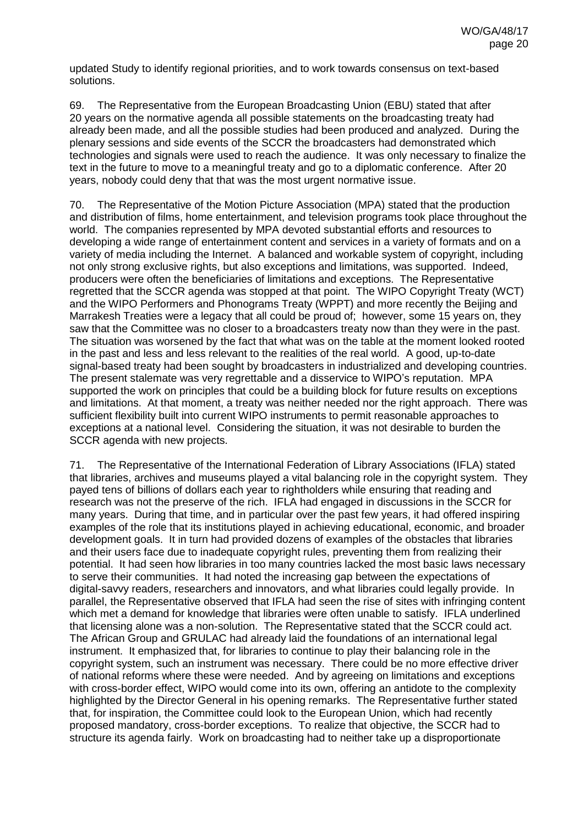updated Study to identify regional priorities, and to work towards consensus on text-based solutions.

69. The Representative from the European Broadcasting Union (EBU) stated that after 20 years on the normative agenda all possible statements on the broadcasting treaty had already been made, and all the possible studies had been produced and analyzed. During the plenary sessions and side events of the SCCR the broadcasters had demonstrated which technologies and signals were used to reach the audience. It was only necessary to finalize the text in the future to move to a meaningful treaty and go to a diplomatic conference. After 20 years, nobody could deny that that was the most urgent normative issue.

70. The Representative of the Motion Picture Association (MPA) stated that the production and distribution of films, home entertainment, and television programs took place throughout the world. The companies represented by MPA devoted substantial efforts and resources to developing a wide range of entertainment content and services in a variety of formats and on a variety of media including the Internet. A balanced and workable system of copyright, including not only strong exclusive rights, but also exceptions and limitations, was supported. Indeed, producers were often the beneficiaries of limitations and exceptions. The Representative regretted that the SCCR agenda was stopped at that point. The WIPO Copyright Treaty (WCT) and the WIPO Performers and Phonograms Treaty (WPPT) and more recently the Beijing and Marrakesh Treaties were a legacy that all could be proud of; however, some 15 years on, they saw that the Committee was no closer to a broadcasters treaty now than they were in the past. The situation was worsened by the fact that what was on the table at the moment looked rooted in the past and less and less relevant to the realities of the real world. A good, up-to-date signal-based treaty had been sought by broadcasters in industrialized and developing countries. The present stalemate was very regrettable and a disservice to WIPO's reputation. MPA supported the work on principles that could be a building block for future results on exceptions and limitations. At that moment, a treaty was neither needed nor the right approach. There was sufficient flexibility built into current WIPO instruments to permit reasonable approaches to exceptions at a national level. Considering the situation, it was not desirable to burden the SCCR agenda with new projects.

71. The Representative of the International Federation of Library Associations (IFLA) stated that libraries, archives and museums played a vital balancing role in the copyright system. They payed tens of billions of dollars each year to rightholders while ensuring that reading and research was not the preserve of the rich. IFLA had engaged in discussions in the SCCR for many years. During that time, and in particular over the past few years, it had offered inspiring examples of the role that its institutions played in achieving educational, economic, and broader development goals. It in turn had provided dozens of examples of the obstacles that libraries and their users face due to inadequate copyright rules, preventing them from realizing their potential. It had seen how libraries in too many countries lacked the most basic laws necessary to serve their communities. It had noted the increasing gap between the expectations of digital-savvy readers, researchers and innovators, and what libraries could legally provide. In parallel, the Representative observed that IFLA had seen the rise of sites with infringing content which met a demand for knowledge that libraries were often unable to satisfy. IFLA underlined that licensing alone was a non-solution. The Representative stated that the SCCR could act. The African Group and GRULAC had already laid the foundations of an international legal instrument. It emphasized that, for libraries to continue to play their balancing role in the copyright system, such an instrument was necessary. There could be no more effective driver of national reforms where these were needed. And by agreeing on limitations and exceptions with cross-border effect, WIPO would come into its own, offering an antidote to the complexity highlighted by the Director General in his opening remarks. The Representative further stated that, for inspiration, the Committee could look to the European Union, which had recently proposed mandatory, cross-border exceptions. To realize that objective, the SCCR had to structure its agenda fairly. Work on broadcasting had to neither take up a disproportionate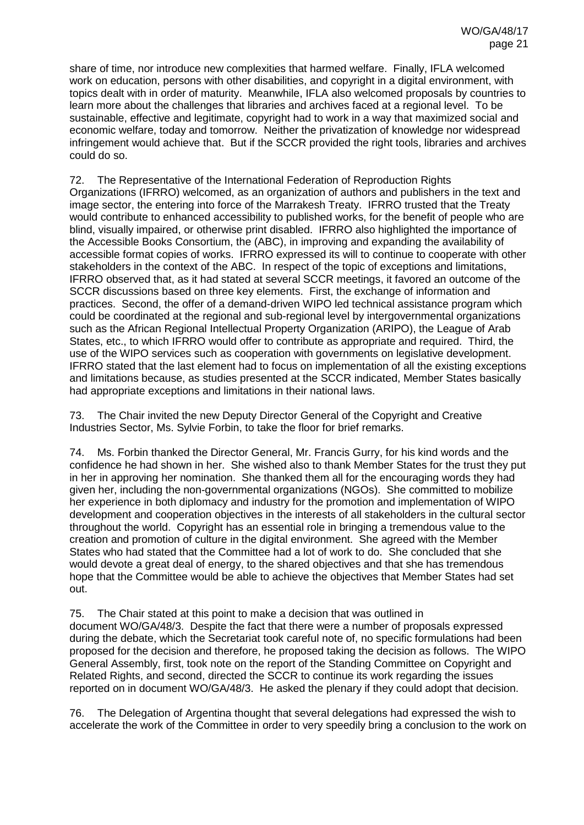share of time, nor introduce new complexities that harmed welfare. Finally, IFLA welcomed work on education, persons with other disabilities, and copyright in a digital environment, with topics dealt with in order of maturity. Meanwhile, IFLA also welcomed proposals by countries to learn more about the challenges that libraries and archives faced at a regional level. To be sustainable, effective and legitimate, copyright had to work in a way that maximized social and economic welfare, today and tomorrow. Neither the privatization of knowledge nor widespread infringement would achieve that. But if the SCCR provided the right tools, libraries and archives could do so.

72. The Representative of the International Federation of Reproduction Rights Organizations (IFRRO) welcomed, as an organization of authors and publishers in the text and image sector, the entering into force of the Marrakesh Treaty. IFRRO trusted that the Treaty would contribute to enhanced accessibility to published works, for the benefit of people who are blind, visually impaired, or otherwise print disabled. IFRRO also highlighted the importance of the Accessible Books Consortium, the (ABC), in improving and expanding the availability of accessible format copies of works. IFRRO expressed its will to continue to cooperate with other stakeholders in the context of the ABC. In respect of the topic of exceptions and limitations, IFRRO observed that, as it had stated at several SCCR meetings, it favored an outcome of the SCCR discussions based on three key elements. First, the exchange of information and practices. Second, the offer of a demand-driven WIPO led technical assistance program which could be coordinated at the regional and sub-regional level by intergovernmental organizations such as the African Regional Intellectual Property Organization (ARIPO), the League of Arab States, etc., to which IFRRO would offer to contribute as appropriate and required. Third, the use of the WIPO services such as cooperation with governments on legislative development. IFRRO stated that the last element had to focus on implementation of all the existing exceptions and limitations because, as studies presented at the SCCR indicated, Member States basically had appropriate exceptions and limitations in their national laws.

73. The Chair invited the new Deputy Director General of the Copyright and Creative Industries Sector, Ms. Sylvie Forbin, to take the floor for brief remarks.

74. Ms. Forbin thanked the Director General, Mr. Francis Gurry, for his kind words and the confidence he had shown in her. She wished also to thank Member States for the trust they put in her in approving her nomination. She thanked them all for the encouraging words they had given her, including the non-governmental organizations (NGOs). She committed to mobilize her experience in both diplomacy and industry for the promotion and implementation of WIPO development and cooperation objectives in the interests of all stakeholders in the cultural sector throughout the world. Copyright has an essential role in bringing a tremendous value to the creation and promotion of culture in the digital environment. She agreed with the Member States who had stated that the Committee had a lot of work to do. She concluded that she would devote a great deal of energy, to the shared objectives and that she has tremendous hope that the Committee would be able to achieve the objectives that Member States had set out.

75. The Chair stated at this point to make a decision that was outlined in document WO/GA/48/3. Despite the fact that there were a number of proposals expressed during the debate, which the Secretariat took careful note of, no specific formulations had been proposed for the decision and therefore, he proposed taking the decision as follows. The WIPO General Assembly, first, took note on the report of the Standing Committee on Copyright and Related Rights, and second, directed the SCCR to continue its work regarding the issues reported on in document WO/GA/48/3. He asked the plenary if they could adopt that decision.

76. The Delegation of Argentina thought that several delegations had expressed the wish to accelerate the work of the Committee in order to very speedily bring a conclusion to the work on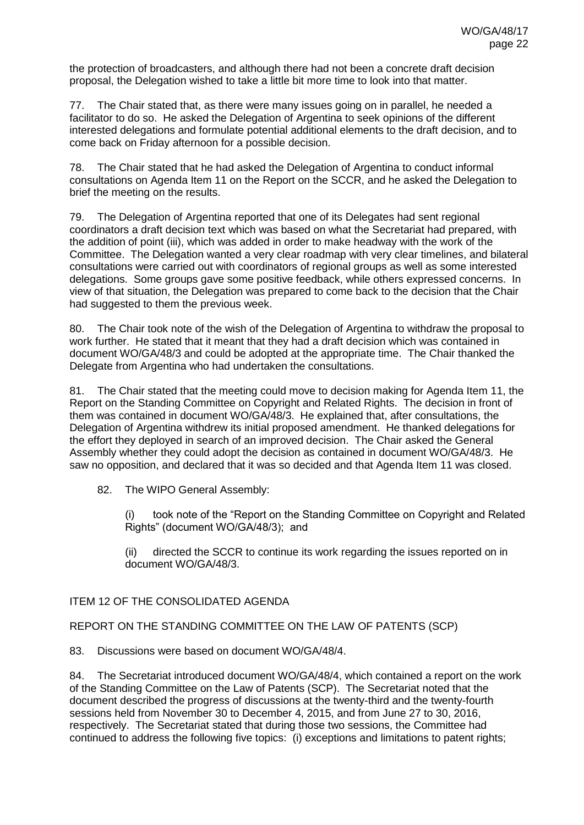the protection of broadcasters, and although there had not been a concrete draft decision proposal, the Delegation wished to take a little bit more time to look into that matter.

77. The Chair stated that, as there were many issues going on in parallel, he needed a facilitator to do so. He asked the Delegation of Argentina to seek opinions of the different interested delegations and formulate potential additional elements to the draft decision, and to come back on Friday afternoon for a possible decision.

78. The Chair stated that he had asked the Delegation of Argentina to conduct informal consultations on Agenda Item 11 on the Report on the SCCR, and he asked the Delegation to brief the meeting on the results.

79. The Delegation of Argentina reported that one of its Delegates had sent regional coordinators a draft decision text which was based on what the Secretariat had prepared, with the addition of point (iii), which was added in order to make headway with the work of the Committee. The Delegation wanted a very clear roadmap with very clear timelines, and bilateral consultations were carried out with coordinators of regional groups as well as some interested delegations. Some groups gave some positive feedback, while others expressed concerns. In view of that situation, the Delegation was prepared to come back to the decision that the Chair had suggested to them the previous week.

80. The Chair took note of the wish of the Delegation of Argentina to withdraw the proposal to work further. He stated that it meant that they had a draft decision which was contained in document WO/GA/48/3 and could be adopted at the appropriate time. The Chair thanked the Delegate from Argentina who had undertaken the consultations.

81. The Chair stated that the meeting could move to decision making for Agenda Item 11, the Report on the Standing Committee on Copyright and Related Rights. The decision in front of them was contained in document WO/GA/48/3. He explained that, after consultations, the Delegation of Argentina withdrew its initial proposed amendment. He thanked delegations for the effort they deployed in search of an improved decision. The Chair asked the General Assembly whether they could adopt the decision as contained in document WO/GA/48/3. He saw no opposition, and declared that it was so decided and that Agenda Item 11 was closed.

82. The WIPO General Assembly:

(i) took note of the "Report on the Standing Committee on Copyright and Related Rights" (document WO/GA/48/3); and

(ii) directed the SCCR to continue its work regarding the issues reported on in document WO/GA/48/3.

### ITEM 12 OF THE CONSOLIDATED AGENDA

REPORT ON THE STANDING COMMITTEE ON THE LAW OF PATENTS (SCP)

83. Discussions were based on document WO/GA/48/4.

84. The Secretariat introduced document WO/GA/48/4, which contained a report on the work of the Standing Committee on the Law of Patents (SCP). The Secretariat noted that the document described the progress of discussions at the twenty-third and the twenty-fourth sessions held from November 30 to December 4, 2015, and from June 27 to 30, 2016, respectively. The Secretariat stated that during those two sessions, the Committee had continued to address the following five topics: (i) exceptions and limitations to patent rights;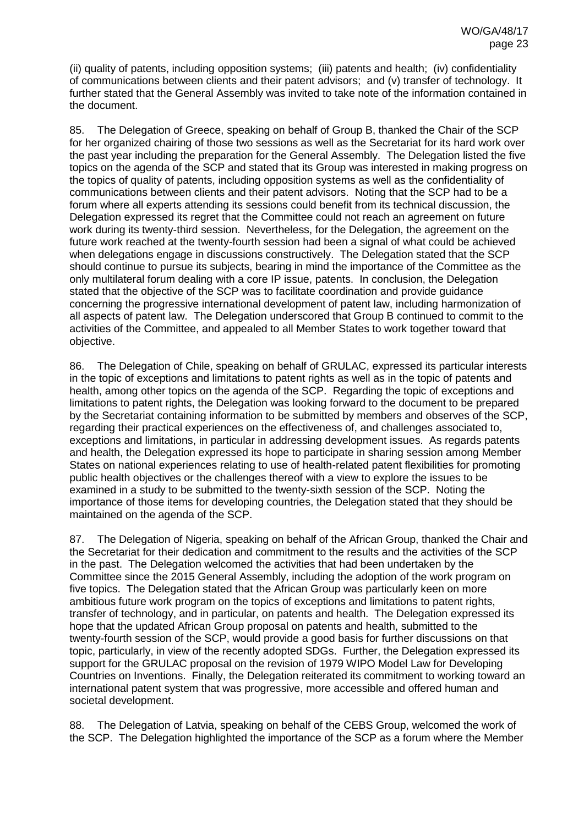(ii) quality of patents, including opposition systems; (iii) patents and health; (iv) confidentiality of communications between clients and their patent advisors; and (v) transfer of technology. It further stated that the General Assembly was invited to take note of the information contained in the document.

85. The Delegation of Greece, speaking on behalf of Group B, thanked the Chair of the SCP for her organized chairing of those two sessions as well as the Secretariat for its hard work over the past year including the preparation for the General Assembly. The Delegation listed the five topics on the agenda of the SCP and stated that its Group was interested in making progress on the topics of quality of patents, including opposition systems as well as the confidentiality of communications between clients and their patent advisors. Noting that the SCP had to be a forum where all experts attending its sessions could benefit from its technical discussion, the Delegation expressed its regret that the Committee could not reach an agreement on future work during its twenty-third session. Nevertheless, for the Delegation, the agreement on the future work reached at the twenty-fourth session had been a signal of what could be achieved when delegations engage in discussions constructively. The Delegation stated that the SCP should continue to pursue its subjects, bearing in mind the importance of the Committee as the only multilateral forum dealing with a core IP issue, patents. In conclusion, the Delegation stated that the objective of the SCP was to facilitate coordination and provide guidance concerning the progressive international development of patent law, including harmonization of all aspects of patent law. The Delegation underscored that Group B continued to commit to the activities of the Committee, and appealed to all Member States to work together toward that objective.

86. The Delegation of Chile, speaking on behalf of GRULAC, expressed its particular interests in the topic of exceptions and limitations to patent rights as well as in the topic of patents and health, among other topics on the agenda of the SCP. Regarding the topic of exceptions and limitations to patent rights, the Delegation was looking forward to the document to be prepared by the Secretariat containing information to be submitted by members and observes of the SCP, regarding their practical experiences on the effectiveness of, and challenges associated to, exceptions and limitations, in particular in addressing development issues. As regards patents and health, the Delegation expressed its hope to participate in sharing session among Member States on national experiences relating to use of health-related patent flexibilities for promoting public health objectives or the challenges thereof with a view to explore the issues to be examined in a study to be submitted to the twenty-sixth session of the SCP. Noting the importance of those items for developing countries, the Delegation stated that they should be maintained on the agenda of the SCP.

87. The Delegation of Nigeria, speaking on behalf of the African Group, thanked the Chair and the Secretariat for their dedication and commitment to the results and the activities of the SCP in the past. The Delegation welcomed the activities that had been undertaken by the Committee since the 2015 General Assembly, including the adoption of the work program on five topics. The Delegation stated that the African Group was particularly keen on more ambitious future work program on the topics of exceptions and limitations to patent rights, transfer of technology, and in particular, on patents and health. The Delegation expressed its hope that the updated African Group proposal on patents and health, submitted to the twenty-fourth session of the SCP, would provide a good basis for further discussions on that topic, particularly, in view of the recently adopted SDGs. Further, the Delegation expressed its support for the GRULAC proposal on the revision of 1979 WIPO Model Law for Developing Countries on Inventions. Finally, the Delegation reiterated its commitment to working toward an international patent system that was progressive, more accessible and offered human and societal development.

88. The Delegation of Latvia, speaking on behalf of the CEBS Group, welcomed the work of the SCP. The Delegation highlighted the importance of the SCP as a forum where the Member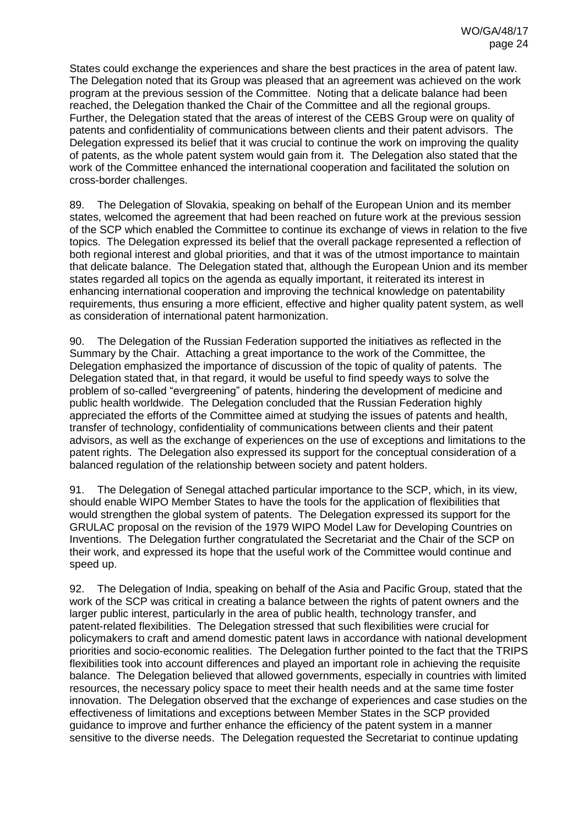States could exchange the experiences and share the best practices in the area of patent law. The Delegation noted that its Group was pleased that an agreement was achieved on the work program at the previous session of the Committee. Noting that a delicate balance had been reached, the Delegation thanked the Chair of the Committee and all the regional groups. Further, the Delegation stated that the areas of interest of the CEBS Group were on quality of patents and confidentiality of communications between clients and their patent advisors. The Delegation expressed its belief that it was crucial to continue the work on improving the quality of patents, as the whole patent system would gain from it. The Delegation also stated that the work of the Committee enhanced the international cooperation and facilitated the solution on cross-border challenges.

89. The Delegation of Slovakia, speaking on behalf of the European Union and its member states, welcomed the agreement that had been reached on future work at the previous session of the SCP which enabled the Committee to continue its exchange of views in relation to the five topics. The Delegation expressed its belief that the overall package represented a reflection of both regional interest and global priorities, and that it was of the utmost importance to maintain that delicate balance. The Delegation stated that, although the European Union and its member states regarded all topics on the agenda as equally important, it reiterated its interest in enhancing international cooperation and improving the technical knowledge on patentability requirements, thus ensuring a more efficient, effective and higher quality patent system, as well as consideration of international patent harmonization.

90. The Delegation of the Russian Federation supported the initiatives as reflected in the Summary by the Chair. Attaching a great importance to the work of the Committee, the Delegation emphasized the importance of discussion of the topic of quality of patents. The Delegation stated that, in that regard, it would be useful to find speedy ways to solve the problem of so-called "evergreening" of patents, hindering the development of medicine and public health worldwide. The Delegation concluded that the Russian Federation highly appreciated the efforts of the Committee aimed at studying the issues of patents and health, transfer of technology, confidentiality of communications between clients and their patent advisors, as well as the exchange of experiences on the use of exceptions and limitations to the patent rights. The Delegation also expressed its support for the conceptual consideration of a balanced regulation of the relationship between society and patent holders.

91. The Delegation of Senegal attached particular importance to the SCP, which, in its view, should enable WIPO Member States to have the tools for the application of flexibilities that would strengthen the global system of patents. The Delegation expressed its support for the GRULAC proposal on the revision of the 1979 WIPO Model Law for Developing Countries on Inventions. The Delegation further congratulated the Secretariat and the Chair of the SCP on their work, and expressed its hope that the useful work of the Committee would continue and speed up.

92. The Delegation of India, speaking on behalf of the Asia and Pacific Group, stated that the work of the SCP was critical in creating a balance between the rights of patent owners and the larger public interest, particularly in the area of public health, technology transfer, and patent-related flexibilities. The Delegation stressed that such flexibilities were crucial for policymakers to craft and amend domestic patent laws in accordance with national development priorities and socio-economic realities. The Delegation further pointed to the fact that the TRIPS flexibilities took into account differences and played an important role in achieving the requisite balance. The Delegation believed that allowed governments, especially in countries with limited resources, the necessary policy space to meet their health needs and at the same time foster innovation. The Delegation observed that the exchange of experiences and case studies on the effectiveness of limitations and exceptions between Member States in the SCP provided guidance to improve and further enhance the efficiency of the patent system in a manner sensitive to the diverse needs. The Delegation requested the Secretariat to continue updating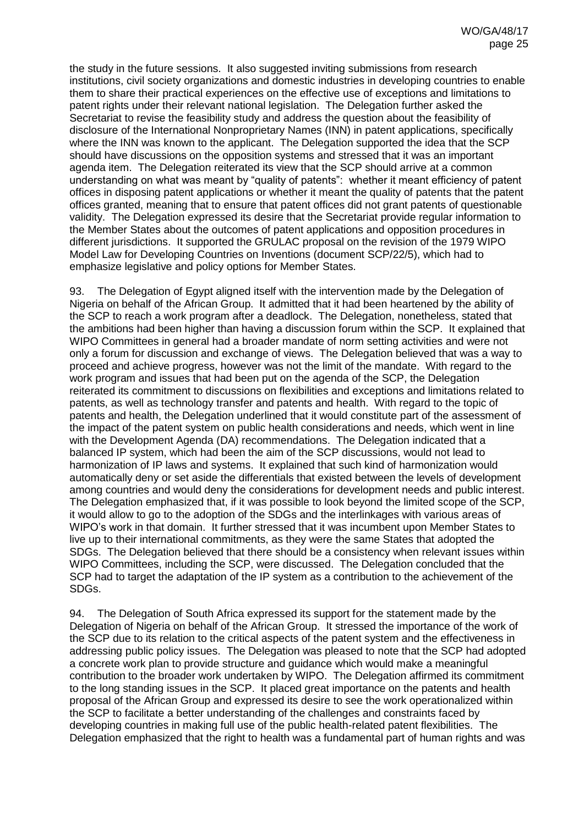the study in the future sessions. It also suggested inviting submissions from research institutions, civil society organizations and domestic industries in developing countries to enable them to share their practical experiences on the effective use of exceptions and limitations to patent rights under their relevant national legislation. The Delegation further asked the Secretariat to revise the feasibility study and address the question about the feasibility of disclosure of the International Nonproprietary Names (INN) in patent applications, specifically where the INN was known to the applicant. The Delegation supported the idea that the SCP should have discussions on the opposition systems and stressed that it was an important agenda item. The Delegation reiterated its view that the SCP should arrive at a common understanding on what was meant by "quality of patents": whether it meant efficiency of patent offices in disposing patent applications or whether it meant the quality of patents that the patent offices granted, meaning that to ensure that patent offices did not grant patents of questionable validity. The Delegation expressed its desire that the Secretariat provide regular information to the Member States about the outcomes of patent applications and opposition procedures in different jurisdictions. It supported the GRULAC proposal on the revision of the 1979 WIPO Model Law for Developing Countries on Inventions (document SCP/22/5), which had to emphasize legislative and policy options for Member States.

93. The Delegation of Egypt aligned itself with the intervention made by the Delegation of Nigeria on behalf of the African Group. It admitted that it had been heartened by the ability of the SCP to reach a work program after a deadlock. The Delegation, nonetheless, stated that the ambitions had been higher than having a discussion forum within the SCP. It explained that WIPO Committees in general had a broader mandate of norm setting activities and were not only a forum for discussion and exchange of views. The Delegation believed that was a way to proceed and achieve progress, however was not the limit of the mandate. With regard to the work program and issues that had been put on the agenda of the SCP, the Delegation reiterated its commitment to discussions on flexibilities and exceptions and limitations related to patents, as well as technology transfer and patents and health. With regard to the topic of patents and health, the Delegation underlined that it would constitute part of the assessment of the impact of the patent system on public health considerations and needs, which went in line with the Development Agenda (DA) recommendations. The Delegation indicated that a balanced IP system, which had been the aim of the SCP discussions, would not lead to harmonization of IP laws and systems. It explained that such kind of harmonization would automatically deny or set aside the differentials that existed between the levels of development among countries and would deny the considerations for development needs and public interest. The Delegation emphasized that, if it was possible to look beyond the limited scope of the SCP, it would allow to go to the adoption of the SDGs and the interlinkages with various areas of WIPO's work in that domain. It further stressed that it was incumbent upon Member States to live up to their international commitments, as they were the same States that adopted the SDGs. The Delegation believed that there should be a consistency when relevant issues within WIPO Committees, including the SCP, were discussed. The Delegation concluded that the SCP had to target the adaptation of the IP system as a contribution to the achievement of the SDGs.

94. The Delegation of South Africa expressed its support for the statement made by the Delegation of Nigeria on behalf of the African Group. It stressed the importance of the work of the SCP due to its relation to the critical aspects of the patent system and the effectiveness in addressing public policy issues. The Delegation was pleased to note that the SCP had adopted a concrete work plan to provide structure and guidance which would make a meaningful contribution to the broader work undertaken by WIPO. The Delegation affirmed its commitment to the long standing issues in the SCP. It placed great importance on the patents and health proposal of the African Group and expressed its desire to see the work operationalized within the SCP to facilitate a better understanding of the challenges and constraints faced by developing countries in making full use of the public health-related patent flexibilities. The Delegation emphasized that the right to health was a fundamental part of human rights and was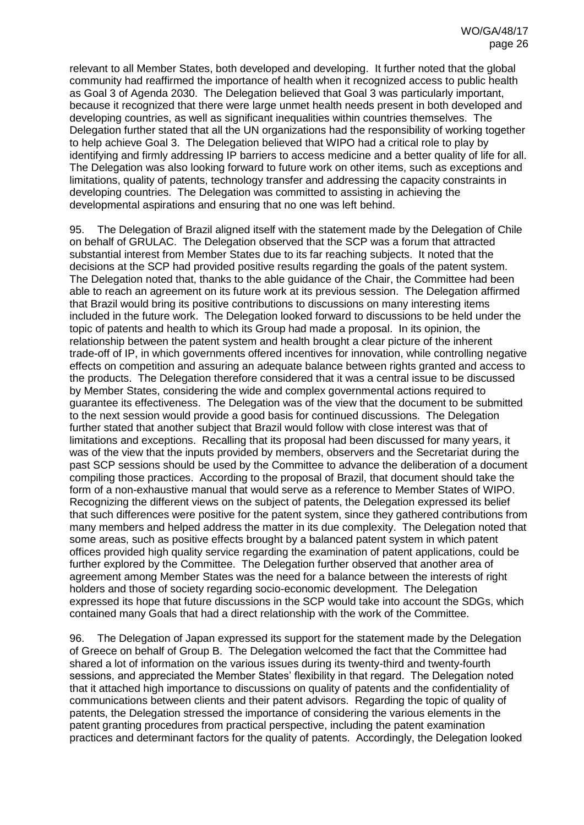relevant to all Member States, both developed and developing. It further noted that the global community had reaffirmed the importance of health when it recognized access to public health as Goal 3 of Agenda 2030. The Delegation believed that Goal 3 was particularly important, because it recognized that there were large unmet health needs present in both developed and developing countries, as well as significant inequalities within countries themselves. The Delegation further stated that all the UN organizations had the responsibility of working together to help achieve Goal 3. The Delegation believed that WIPO had a critical role to play by identifying and firmly addressing IP barriers to access medicine and a better quality of life for all. The Delegation was also looking forward to future work on other items, such as exceptions and limitations, quality of patents, technology transfer and addressing the capacity constraints in developing countries. The Delegation was committed to assisting in achieving the developmental aspirations and ensuring that no one was left behind.

95. The Delegation of Brazil aligned itself with the statement made by the Delegation of Chile on behalf of GRULAC. The Delegation observed that the SCP was a forum that attracted substantial interest from Member States due to its far reaching subjects. It noted that the decisions at the SCP had provided positive results regarding the goals of the patent system. The Delegation noted that, thanks to the able guidance of the Chair, the Committee had been able to reach an agreement on its future work at its previous session. The Delegation affirmed that Brazil would bring its positive contributions to discussions on many interesting items included in the future work. The Delegation looked forward to discussions to be held under the topic of patents and health to which its Group had made a proposal. In its opinion, the relationship between the patent system and health brought a clear picture of the inherent trade-off of IP, in which governments offered incentives for innovation, while controlling negative effects on competition and assuring an adequate balance between rights granted and access to the products. The Delegation therefore considered that it was a central issue to be discussed by Member States, considering the wide and complex governmental actions required to guarantee its effectiveness. The Delegation was of the view that the document to be submitted to the next session would provide a good basis for continued discussions. The Delegation further stated that another subject that Brazil would follow with close interest was that of limitations and exceptions. Recalling that its proposal had been discussed for many years, it was of the view that the inputs provided by members, observers and the Secretariat during the past SCP sessions should be used by the Committee to advance the deliberation of a document compiling those practices. According to the proposal of Brazil, that document should take the form of a non-exhaustive manual that would serve as a reference to Member States of WIPO. Recognizing the different views on the subject of patents, the Delegation expressed its belief that such differences were positive for the patent system, since they gathered contributions from many members and helped address the matter in its due complexity. The Delegation noted that some areas, such as positive effects brought by a balanced patent system in which patent offices provided high quality service regarding the examination of patent applications, could be further explored by the Committee. The Delegation further observed that another area of agreement among Member States was the need for a balance between the interests of right holders and those of society regarding socio-economic development. The Delegation expressed its hope that future discussions in the SCP would take into account the SDGs, which contained many Goals that had a direct relationship with the work of the Committee.

96. The Delegation of Japan expressed its support for the statement made by the Delegation of Greece on behalf of Group B. The Delegation welcomed the fact that the Committee had shared a lot of information on the various issues during its twenty-third and twenty-fourth sessions, and appreciated the Member States' flexibility in that regard. The Delegation noted that it attached high importance to discussions on quality of patents and the confidentiality of communications between clients and their patent advisors. Regarding the topic of quality of patents, the Delegation stressed the importance of considering the various elements in the patent granting procedures from practical perspective, including the patent examination practices and determinant factors for the quality of patents. Accordingly, the Delegation looked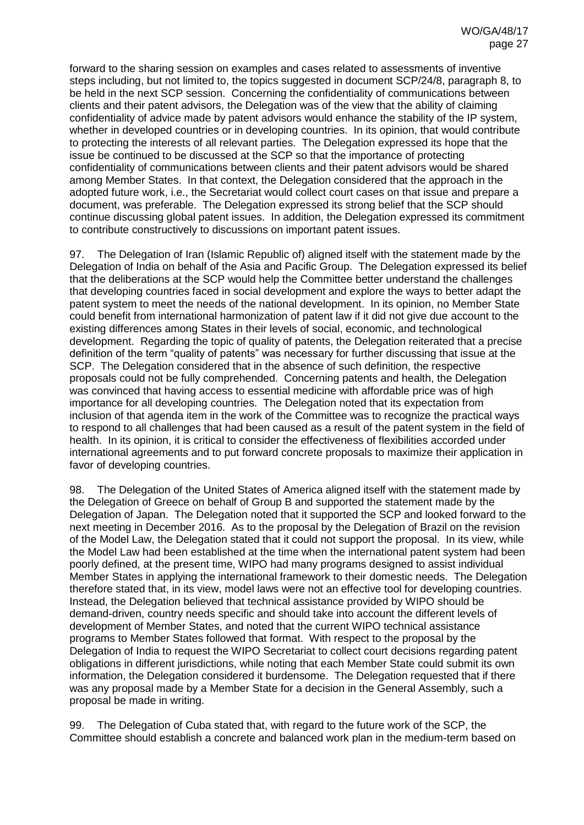forward to the sharing session on examples and cases related to assessments of inventive steps including, but not limited to, the topics suggested in document SCP/24/8, paragraph 8, to be held in the next SCP session. Concerning the confidentiality of communications between clients and their patent advisors, the Delegation was of the view that the ability of claiming confidentiality of advice made by patent advisors would enhance the stability of the IP system, whether in developed countries or in developing countries. In its opinion, that would contribute to protecting the interests of all relevant parties. The Delegation expressed its hope that the issue be continued to be discussed at the SCP so that the importance of protecting confidentiality of communications between clients and their patent advisors would be shared among Member States. In that context, the Delegation considered that the approach in the adopted future work, i.e., the Secretariat would collect court cases on that issue and prepare a document, was preferable. The Delegation expressed its strong belief that the SCP should continue discussing global patent issues. In addition, the Delegation expressed its commitment to contribute constructively to discussions on important patent issues.

97. The Delegation of Iran (Islamic Republic of) aligned itself with the statement made by the Delegation of India on behalf of the Asia and Pacific Group. The Delegation expressed its belief that the deliberations at the SCP would help the Committee better understand the challenges that developing countries faced in social development and explore the ways to better adapt the patent system to meet the needs of the national development. In its opinion, no Member State could benefit from international harmonization of patent law if it did not give due account to the existing differences among States in their levels of social, economic, and technological development. Regarding the topic of quality of patents, the Delegation reiterated that a precise definition of the term "quality of patents" was necessary for further discussing that issue at the SCP. The Delegation considered that in the absence of such definition, the respective proposals could not be fully comprehended. Concerning patents and health, the Delegation was convinced that having access to essential medicine with affordable price was of high importance for all developing countries. The Delegation noted that its expectation from inclusion of that agenda item in the work of the Committee was to recognize the practical ways to respond to all challenges that had been caused as a result of the patent system in the field of health. In its opinion, it is critical to consider the effectiveness of flexibilities accorded under international agreements and to put forward concrete proposals to maximize their application in favor of developing countries.

98. The Delegation of the United States of America aligned itself with the statement made by the Delegation of Greece on behalf of Group B and supported the statement made by the Delegation of Japan. The Delegation noted that it supported the SCP and looked forward to the next meeting in December 2016. As to the proposal by the Delegation of Brazil on the revision of the Model Law, the Delegation stated that it could not support the proposal. In its view, while the Model Law had been established at the time when the international patent system had been poorly defined, at the present time, WIPO had many programs designed to assist individual Member States in applying the international framework to their domestic needs. The Delegation therefore stated that, in its view, model laws were not an effective tool for developing countries. Instead, the Delegation believed that technical assistance provided by WIPO should be demand-driven, country needs specific and should take into account the different levels of development of Member States, and noted that the current WIPO technical assistance programs to Member States followed that format. With respect to the proposal by the Delegation of India to request the WIPO Secretariat to collect court decisions regarding patent obligations in different jurisdictions, while noting that each Member State could submit its own information, the Delegation considered it burdensome. The Delegation requested that if there was any proposal made by a Member State for a decision in the General Assembly, such a proposal be made in writing.

99. The Delegation of Cuba stated that, with regard to the future work of the SCP, the Committee should establish a concrete and balanced work plan in the medium-term based on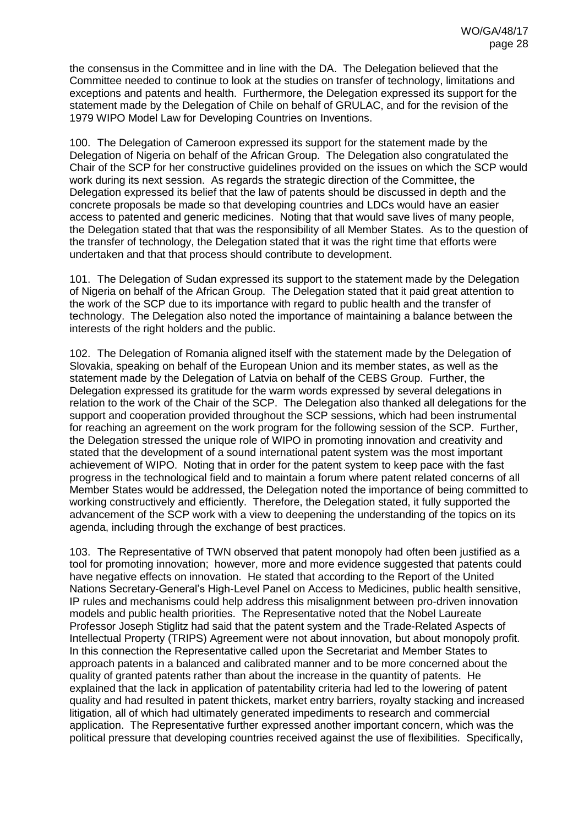the consensus in the Committee and in line with the DA. The Delegation believed that the Committee needed to continue to look at the studies on transfer of technology, limitations and exceptions and patents and health. Furthermore, the Delegation expressed its support for the statement made by the Delegation of Chile on behalf of GRULAC, and for the revision of the 1979 WIPO Model Law for Developing Countries on Inventions.

100. The Delegation of Cameroon expressed its support for the statement made by the Delegation of Nigeria on behalf of the African Group. The Delegation also congratulated the Chair of the SCP for her constructive guidelines provided on the issues on which the SCP would work during its next session. As regards the strategic direction of the Committee, the Delegation expressed its belief that the law of patents should be discussed in depth and the concrete proposals be made so that developing countries and LDCs would have an easier access to patented and generic medicines. Noting that that would save lives of many people, the Delegation stated that that was the responsibility of all Member States. As to the question of the transfer of technology, the Delegation stated that it was the right time that efforts were undertaken and that that process should contribute to development.

101. The Delegation of Sudan expressed its support to the statement made by the Delegation of Nigeria on behalf of the African Group. The Delegation stated that it paid great attention to the work of the SCP due to its importance with regard to public health and the transfer of technology. The Delegation also noted the importance of maintaining a balance between the interests of the right holders and the public.

102. The Delegation of Romania aligned itself with the statement made by the Delegation of Slovakia, speaking on behalf of the European Union and its member states, as well as the statement made by the Delegation of Latvia on behalf of the CEBS Group. Further, the Delegation expressed its gratitude for the warm words expressed by several delegations in relation to the work of the Chair of the SCP. The Delegation also thanked all delegations for the support and cooperation provided throughout the SCP sessions, which had been instrumental for reaching an agreement on the work program for the following session of the SCP. Further, the Delegation stressed the unique role of WIPO in promoting innovation and creativity and stated that the development of a sound international patent system was the most important achievement of WIPO. Noting that in order for the patent system to keep pace with the fast progress in the technological field and to maintain a forum where patent related concerns of all Member States would be addressed, the Delegation noted the importance of being committed to working constructively and efficiently. Therefore, the Delegation stated, it fully supported the advancement of the SCP work with a view to deepening the understanding of the topics on its agenda, including through the exchange of best practices.

103. The Representative of TWN observed that patent monopoly had often been justified as a tool for promoting innovation; however, more and more evidence suggested that patents could have negative effects on innovation. He stated that according to the Report of the United Nations Secretary-General's High-Level Panel on Access to Medicines, public health sensitive, IP rules and mechanisms could help address this misalignment between pro-driven innovation models and public health priorities. The Representative noted that the Nobel Laureate Professor Joseph Stiglitz had said that the patent system and the Trade-Related Aspects of Intellectual Property (TRIPS) Agreement were not about innovation, but about monopoly profit. In this connection the Representative called upon the Secretariat and Member States to approach patents in a balanced and calibrated manner and to be more concerned about the quality of granted patents rather than about the increase in the quantity of patents. He explained that the lack in application of patentability criteria had led to the lowering of patent quality and had resulted in patent thickets, market entry barriers, royalty stacking and increased litigation, all of which had ultimately generated impediments to research and commercial application. The Representative further expressed another important concern, which was the political pressure that developing countries received against the use of flexibilities. Specifically,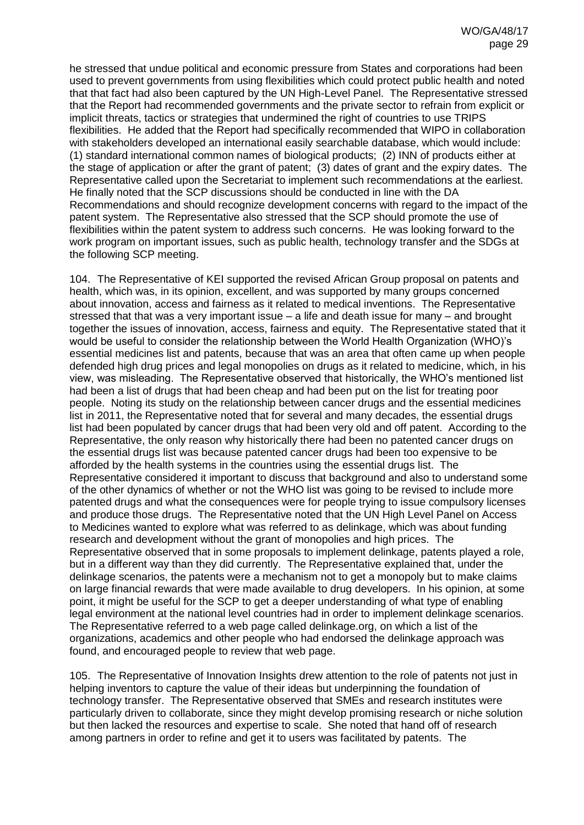he stressed that undue political and economic pressure from States and corporations had been used to prevent governments from using flexibilities which could protect public health and noted that that fact had also been captured by the UN High-Level Panel. The Representative stressed that the Report had recommended governments and the private sector to refrain from explicit or implicit threats, tactics or strategies that undermined the right of countries to use TRIPS flexibilities. He added that the Report had specifically recommended that WIPO in collaboration with stakeholders developed an international easily searchable database, which would include: (1) standard international common names of biological products; (2) INN of products either at the stage of application or after the grant of patent; (3) dates of grant and the expiry dates. The Representative called upon the Secretariat to implement such recommendations at the earliest. He finally noted that the SCP discussions should be conducted in line with the DA Recommendations and should recognize development concerns with regard to the impact of the patent system. The Representative also stressed that the SCP should promote the use of flexibilities within the patent system to address such concerns. He was looking forward to the work program on important issues, such as public health, technology transfer and the SDGs at the following SCP meeting.

104. The Representative of KEI supported the revised African Group proposal on patents and health, which was, in its opinion, excellent, and was supported by many groups concerned about innovation, access and fairness as it related to medical inventions. The Representative stressed that that was a very important issue – a life and death issue for many – and brought together the issues of innovation, access, fairness and equity. The Representative stated that it would be useful to consider the relationship between the World Health Organization (WHO)'s essential medicines list and patents, because that was an area that often came up when people defended high drug prices and legal monopolies on drugs as it related to medicine, which, in his view, was misleading. The Representative observed that historically, the WHO's mentioned list had been a list of drugs that had been cheap and had been put on the list for treating poor people. Noting its study on the relationship between cancer drugs and the essential medicines list in 2011, the Representative noted that for several and many decades, the essential drugs list had been populated by cancer drugs that had been very old and off patent. According to the Representative, the only reason why historically there had been no patented cancer drugs on the essential drugs list was because patented cancer drugs had been too expensive to be afforded by the health systems in the countries using the essential drugs list. The Representative considered it important to discuss that background and also to understand some of the other dynamics of whether or not the WHO list was going to be revised to include more patented drugs and what the consequences were for people trying to issue compulsory licenses and produce those drugs. The Representative noted that the UN High Level Panel on Access to Medicines wanted to explore what was referred to as delinkage, which was about funding research and development without the grant of monopolies and high prices. The Representative observed that in some proposals to implement delinkage, patents played a role, but in a different way than they did currently. The Representative explained that, under the delinkage scenarios, the patents were a mechanism not to get a monopoly but to make claims on large financial rewards that were made available to drug developers. In his opinion, at some point, it might be useful for the SCP to get a deeper understanding of what type of enabling legal environment at the national level countries had in order to implement delinkage scenarios. The Representative referred to a web page called delinkage.org, on which a list of the organizations, academics and other people who had endorsed the delinkage approach was found, and encouraged people to review that web page.

105. The Representative of Innovation Insights drew attention to the role of patents not just in helping inventors to capture the value of their ideas but underpinning the foundation of technology transfer. The Representative observed that SMEs and research institutes were particularly driven to collaborate, since they might develop promising research or niche solution but then lacked the resources and expertise to scale. She noted that hand off of research among partners in order to refine and get it to users was facilitated by patents. The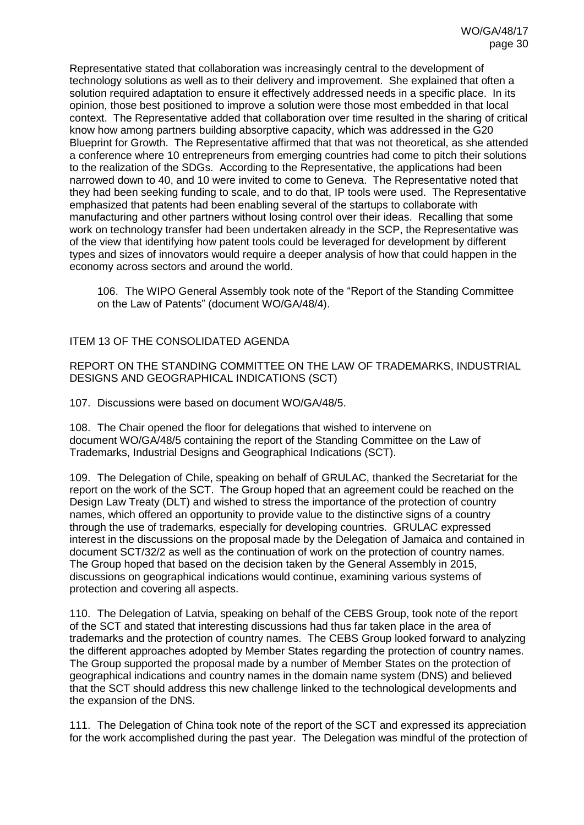Representative stated that collaboration was increasingly central to the development of technology solutions as well as to their delivery and improvement. She explained that often a solution required adaptation to ensure it effectively addressed needs in a specific place. In its opinion, those best positioned to improve a solution were those most embedded in that local context. The Representative added that collaboration over time resulted in the sharing of critical know how among partners building absorptive capacity, which was addressed in the G20 Blueprint for Growth. The Representative affirmed that that was not theoretical, as she attended a conference where 10 entrepreneurs from emerging countries had come to pitch their solutions to the realization of the SDGs. According to the Representative, the applications had been narrowed down to 40, and 10 were invited to come to Geneva. The Representative noted that they had been seeking funding to scale, and to do that, IP tools were used. The Representative emphasized that patents had been enabling several of the startups to collaborate with manufacturing and other partners without losing control over their ideas. Recalling that some work on technology transfer had been undertaken already in the SCP, the Representative was of the view that identifying how patent tools could be leveraged for development by different types and sizes of innovators would require a deeper analysis of how that could happen in the economy across sectors and around the world.

106. The WIPO General Assembly took note of the "Report of the Standing Committee on the Law of Patents" (document WO/GA/48/4).

#### ITEM 13 OF THE CONSOLIDATED AGENDA

REPORT ON THE STANDING COMMITTEE ON THE LAW OF TRADEMARKS, INDUSTRIAL DESIGNS AND GEOGRAPHICAL INDICATIONS (SCT)

107. Discussions were based on document WO/GA/48/5.

108. The Chair opened the floor for delegations that wished to intervene on document WO/GA/48/5 containing the report of the Standing Committee on the Law of Trademarks, Industrial Designs and Geographical Indications (SCT).

109. The Delegation of Chile, speaking on behalf of GRULAC, thanked the Secretariat for the report on the work of the SCT. The Group hoped that an agreement could be reached on the Design Law Treaty (DLT) and wished to stress the importance of the protection of country names, which offered an opportunity to provide value to the distinctive signs of a country through the use of trademarks, especially for developing countries. GRULAC expressed interest in the discussions on the proposal made by the Delegation of Jamaica and contained in document SCT/32/2 as well as the continuation of work on the protection of country names. The Group hoped that based on the decision taken by the General Assembly in 2015, discussions on geographical indications would continue, examining various systems of protection and covering all aspects.

110. The Delegation of Latvia, speaking on behalf of the CEBS Group, took note of the report of the SCT and stated that interesting discussions had thus far taken place in the area of trademarks and the protection of country names. The CEBS Group looked forward to analyzing the different approaches adopted by Member States regarding the protection of country names. The Group supported the proposal made by a number of Member States on the protection of geographical indications and country names in the domain name system (DNS) and believed that the SCT should address this new challenge linked to the technological developments and the expansion of the DNS.

111. The Delegation of China took note of the report of the SCT and expressed its appreciation for the work accomplished during the past year. The Delegation was mindful of the protection of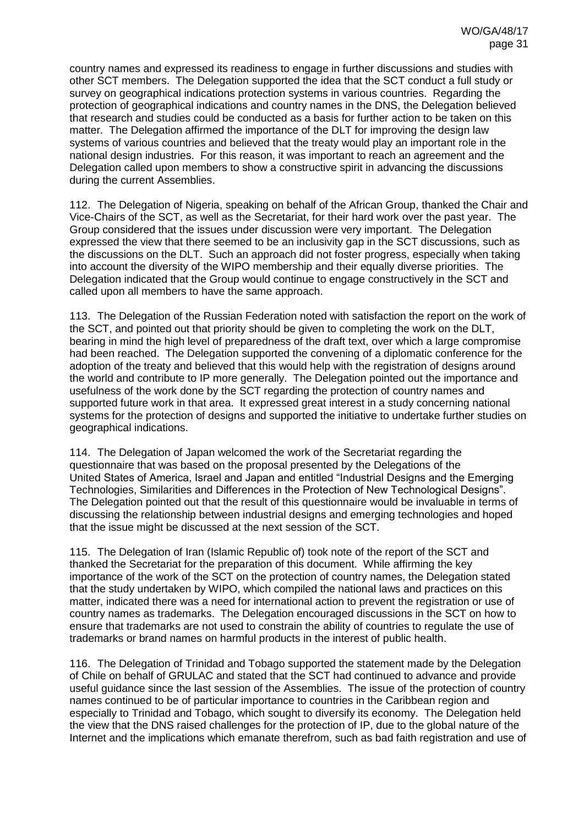country names and expressed its readiness to engage in further discussions and studies with other SCT members. The Delegation supported the idea that the SCT conduct a full study or survey on geographical indications protection systems in various countries. Regarding the protection of geographical indications and country names in the DNS, the Delegation believed that research and studies could be conducted as a basis for further action to be taken on this matter. The Delegation affirmed the importance of the DLT for improving the design law systems of various countries and believed that the treaty would play an important role in the national design industries. For this reason, it was important to reach an agreement and the Delegation called upon members to show a constructive spirit in advancing the discussions during the current Assemblies.

112. The Delegation of Nigeria, speaking on behalf of the African Group, thanked the Chair and Vice-Chairs of the SCT, as well as the Secretariat, for their hard work over the past year. The Group considered that the issues under discussion were very important. The Delegation expressed the view that there seemed to be an inclusivity gap in the SCT discussions, such as the discussions on the DLT. Such an approach did not foster progress, especially when taking into account the diversity of the WIPO membership and their equally diverse priorities. The Delegation indicated that the Group would continue to engage constructively in the SCT and called upon all members to have the same approach.

113. The Delegation of the Russian Federation noted with satisfaction the report on the work of the SCT, and pointed out that priority should be given to completing the work on the DLT, bearing in mind the high level of preparedness of the draft text, over which a large compromise had been reached. The Delegation supported the convening of a diplomatic conference for the adoption of the treaty and believed that this would help with the registration of designs around the world and contribute to IP more generally. The Delegation pointed out the importance and usefulness of the work done by the SCT regarding the protection of country names and supported future work in that area. It expressed great interest in a study concerning national systems for the protection of designs and supported the initiative to undertake further studies on geographical indications.

114. The Delegation of Japan welcomed the work of the Secretariat regarding the questionnaire that was based on the proposal presented by the Delegations of the United States of America, Israel and Japan and entitled "Industrial Designs and the Emerging Technologies, Similarities and Differences in the Protection of New Technological Designs". The Delegation pointed out that the result of this questionnaire would be invaluable in terms of discussing the relationship between industrial designs and emerging technologies and hoped that the issue might be discussed at the next session of the SCT.

115. The Delegation of Iran (Islamic Republic of) took note of the report of the SCT and thanked the Secretariat for the preparation of this document. While affirming the key importance of the work of the SCT on the protection of country names, the Delegation stated that the study undertaken by WIPO, which compiled the national laws and practices on this matter, indicated there was a need for international action to prevent the registration or use of country names as trademarks. The Delegation encouraged discussions in the SCT on how to ensure that trademarks are not used to constrain the ability of countries to regulate the use of trademarks or brand names on harmful products in the interest of public health.

116. The Delegation of Trinidad and Tobago supported the statement made by the Delegation of Chile on behalf of GRULAC and stated that the SCT had continued to advance and provide useful guidance since the last session of the Assemblies. The issue of the protection of country names continued to be of particular importance to countries in the Caribbean region and especially to Trinidad and Tobago, which sought to diversify its economy. The Delegation held the view that the DNS raised challenges for the protection of IP, due to the global nature of the Internet and the implications which emanate therefrom, such as bad faith registration and use of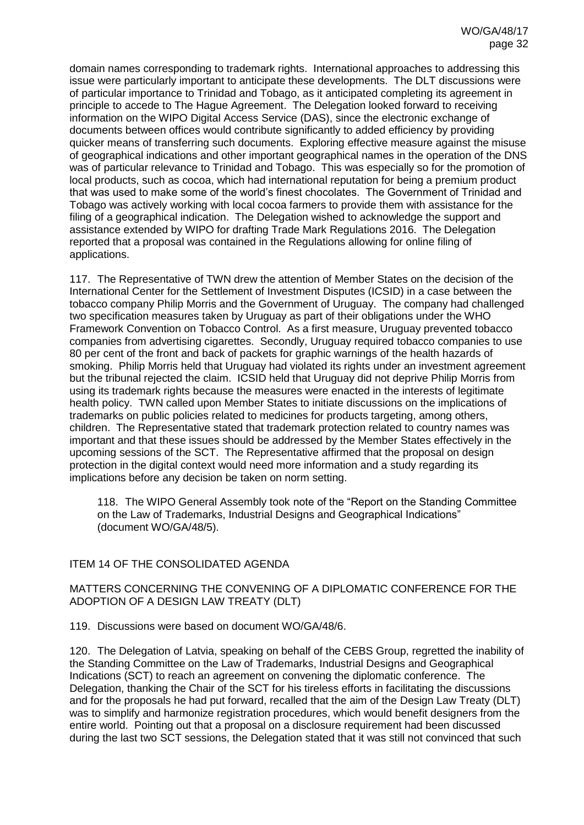domain names corresponding to trademark rights. International approaches to addressing this issue were particularly important to anticipate these developments. The DLT discussions were of particular importance to Trinidad and Tobago, as it anticipated completing its agreement in principle to accede to The Hague Agreement. The Delegation looked forward to receiving information on the WIPO Digital Access Service (DAS), since the electronic exchange of documents between offices would contribute significantly to added efficiency by providing quicker means of transferring such documents. Exploring effective measure against the misuse of geographical indications and other important geographical names in the operation of the DNS was of particular relevance to Trinidad and Tobago. This was especially so for the promotion of local products, such as cocoa, which had international reputation for being a premium product that was used to make some of the world's finest chocolates. The Government of Trinidad and Tobago was actively working with local cocoa farmers to provide them with assistance for the filing of a geographical indication. The Delegation wished to acknowledge the support and assistance extended by WIPO for drafting Trade Mark Regulations 2016. The Delegation reported that a proposal was contained in the Regulations allowing for online filing of applications.

117. The Representative of TWN drew the attention of Member States on the decision of the International Center for the Settlement of Investment Disputes (ICSID) in a case between the tobacco company Philip Morris and the Government of Uruguay. The company had challenged two specification measures taken by Uruguay as part of their obligations under the WHO Framework Convention on Tobacco Control. As a first measure, Uruguay prevented tobacco companies from advertising cigarettes. Secondly, Uruguay required tobacco companies to use 80 per cent of the front and back of packets for graphic warnings of the health hazards of smoking. Philip Morris held that Uruguay had violated its rights under an investment agreement but the tribunal rejected the claim. ICSID held that Uruguay did not deprive Philip Morris from using its trademark rights because the measures were enacted in the interests of legitimate health policy. TWN called upon Member States to initiate discussions on the implications of trademarks on public policies related to medicines for products targeting, among others, children. The Representative stated that trademark protection related to country names was important and that these issues should be addressed by the Member States effectively in the upcoming sessions of the SCT. The Representative affirmed that the proposal on design protection in the digital context would need more information and a study regarding its implications before any decision be taken on norm setting.

118. The WIPO General Assembly took note of the "Report on the Standing Committee on the Law of Trademarks, Industrial Designs and Geographical Indications" (document WO/GA/48/5).

## ITEM 14 OF THE CONSOLIDATED AGENDA

### MATTERS CONCERNING THE CONVENING OF A DIPLOMATIC CONFERENCE FOR THE ADOPTION OF A DESIGN LAW TREATY (DLT)

119. Discussions were based on document WO/GA/48/6.

120. The Delegation of Latvia, speaking on behalf of the CEBS Group, regretted the inability of the Standing Committee on the Law of Trademarks, Industrial Designs and Geographical Indications (SCT) to reach an agreement on convening the diplomatic conference. The Delegation, thanking the Chair of the SCT for his tireless efforts in facilitating the discussions and for the proposals he had put forward, recalled that the aim of the Design Law Treaty (DLT) was to simplify and harmonize registration procedures, which would benefit designers from the entire world. Pointing out that a proposal on a disclosure requirement had been discussed during the last two SCT sessions, the Delegation stated that it was still not convinced that such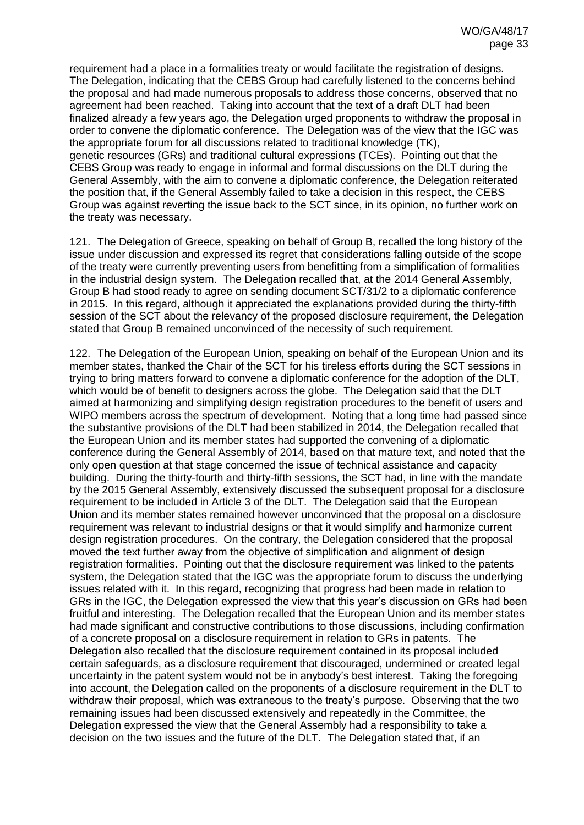requirement had a place in a formalities treaty or would facilitate the registration of designs. The Delegation, indicating that the CEBS Group had carefully listened to the concerns behind the proposal and had made numerous proposals to address those concerns, observed that no agreement had been reached. Taking into account that the text of a draft DLT had been finalized already a few years ago, the Delegation urged proponents to withdraw the proposal in order to convene the diplomatic conference. The Delegation was of the view that the IGC was the appropriate forum for all discussions related to traditional knowledge (TK), genetic resources (GRs) and traditional cultural expressions (TCEs). Pointing out that the CEBS Group was ready to engage in informal and formal discussions on the DLT during the General Assembly, with the aim to convene a diplomatic conference, the Delegation reiterated the position that, if the General Assembly failed to take a decision in this respect, the CEBS Group was against reverting the issue back to the SCT since, in its opinion, no further work on the treaty was necessary.

121. The Delegation of Greece, speaking on behalf of Group B, recalled the long history of the issue under discussion and expressed its regret that considerations falling outside of the scope of the treaty were currently preventing users from benefitting from a simplification of formalities in the industrial design system. The Delegation recalled that, at the 2014 General Assembly, Group B had stood ready to agree on sending document SCT/31/2 to a diplomatic conference in 2015. In this regard, although it appreciated the explanations provided during the thirty-fifth session of the SCT about the relevancy of the proposed disclosure requirement, the Delegation stated that Group B remained unconvinced of the necessity of such requirement.

122. The Delegation of the European Union, speaking on behalf of the European Union and its member states, thanked the Chair of the SCT for his tireless efforts during the SCT sessions in trying to bring matters forward to convene a diplomatic conference for the adoption of the DLT, which would be of benefit to designers across the globe. The Delegation said that the DLT aimed at harmonizing and simplifying design registration procedures to the benefit of users and WIPO members across the spectrum of development. Noting that a long time had passed since the substantive provisions of the DLT had been stabilized in 2014, the Delegation recalled that the European Union and its member states had supported the convening of a diplomatic conference during the General Assembly of 2014, based on that mature text, and noted that the only open question at that stage concerned the issue of technical assistance and capacity building. During the thirty-fourth and thirty-fifth sessions, the SCT had, in line with the mandate by the 2015 General Assembly, extensively discussed the subsequent proposal for a disclosure requirement to be included in Article 3 of the DLT. The Delegation said that the European Union and its member states remained however unconvinced that the proposal on a disclosure requirement was relevant to industrial designs or that it would simplify and harmonize current design registration procedures. On the contrary, the Delegation considered that the proposal moved the text further away from the objective of simplification and alignment of design registration formalities. Pointing out that the disclosure requirement was linked to the patents system, the Delegation stated that the IGC was the appropriate forum to discuss the underlying issues related with it. In this regard, recognizing that progress had been made in relation to GRs in the IGC, the Delegation expressed the view that this year's discussion on GRs had been fruitful and interesting. The Delegation recalled that the European Union and its member states had made significant and constructive contributions to those discussions, including confirmation of a concrete proposal on a disclosure requirement in relation to GRs in patents. The Delegation also recalled that the disclosure requirement contained in its proposal included certain safeguards, as a disclosure requirement that discouraged, undermined or created legal uncertainty in the patent system would not be in anybody's best interest. Taking the foregoing into account, the Delegation called on the proponents of a disclosure requirement in the DLT to withdraw their proposal, which was extraneous to the treaty's purpose. Observing that the two remaining issues had been discussed extensively and repeatedly in the Committee, the Delegation expressed the view that the General Assembly had a responsibility to take a decision on the two issues and the future of the DLT. The Delegation stated that, if an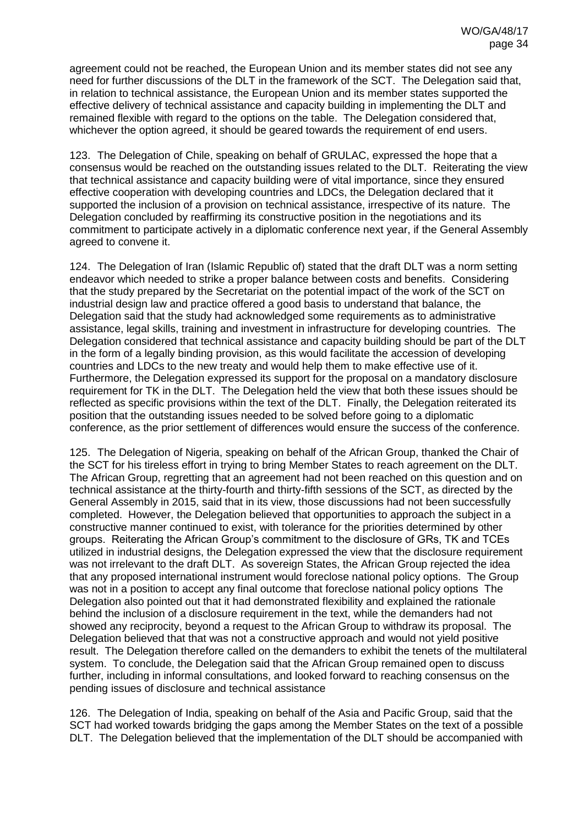agreement could not be reached, the European Union and its member states did not see any need for further discussions of the DLT in the framework of the SCT. The Delegation said that, in relation to technical assistance, the European Union and its member states supported the effective delivery of technical assistance and capacity building in implementing the DLT and remained flexible with regard to the options on the table. The Delegation considered that, whichever the option agreed, it should be geared towards the requirement of end users.

123. The Delegation of Chile, speaking on behalf of GRULAC, expressed the hope that a consensus would be reached on the outstanding issues related to the DLT. Reiterating the view that technical assistance and capacity building were of vital importance, since they ensured effective cooperation with developing countries and LDCs, the Delegation declared that it supported the inclusion of a provision on technical assistance, irrespective of its nature. The Delegation concluded by reaffirming its constructive position in the negotiations and its commitment to participate actively in a diplomatic conference next year, if the General Assembly agreed to convene it.

124. The Delegation of Iran (Islamic Republic of) stated that the draft DLT was a norm setting endeavor which needed to strike a proper balance between costs and benefits. Considering that the study prepared by the Secretariat on the potential impact of the work of the SCT on industrial design law and practice offered a good basis to understand that balance, the Delegation said that the study had acknowledged some requirements as to administrative assistance, legal skills, training and investment in infrastructure for developing countries. The Delegation considered that technical assistance and capacity building should be part of the DLT in the form of a legally binding provision, as this would facilitate the accession of developing countries and LDCs to the new treaty and would help them to make effective use of it. Furthermore, the Delegation expressed its support for the proposal on a mandatory disclosure requirement for TK in the DLT. The Delegation held the view that both these issues should be reflected as specific provisions within the text of the DLT. Finally, the Delegation reiterated its position that the outstanding issues needed to be solved before going to a diplomatic conference, as the prior settlement of differences would ensure the success of the conference.

125. The Delegation of Nigeria, speaking on behalf of the African Group, thanked the Chair of the SCT for his tireless effort in trying to bring Member States to reach agreement on the DLT. The African Group, regretting that an agreement had not been reached on this question and on technical assistance at the thirty-fourth and thirty-fifth sessions of the SCT, as directed by the General Assembly in 2015, said that in its view, those discussions had not been successfully completed. However, the Delegation believed that opportunities to approach the subject in a constructive manner continued to exist, with tolerance for the priorities determined by other groups. Reiterating the African Group's commitment to the disclosure of GRs, TK and TCEs utilized in industrial designs, the Delegation expressed the view that the disclosure requirement was not irrelevant to the draft DLT. As sovereign States, the African Group rejected the idea that any proposed international instrument would foreclose national policy options. The Group was not in a position to accept any final outcome that foreclose national policy options The Delegation also pointed out that it had demonstrated flexibility and explained the rationale behind the inclusion of a disclosure requirement in the text, while the demanders had not showed any reciprocity, beyond a request to the African Group to withdraw its proposal. The Delegation believed that that was not a constructive approach and would not yield positive result. The Delegation therefore called on the demanders to exhibit the tenets of the multilateral system. To conclude, the Delegation said that the African Group remained open to discuss further, including in informal consultations, and looked forward to reaching consensus on the pending issues of disclosure and technical assistance

126. The Delegation of India, speaking on behalf of the Asia and Pacific Group, said that the SCT had worked towards bridging the gaps among the Member States on the text of a possible DLT. The Delegation believed that the implementation of the DLT should be accompanied with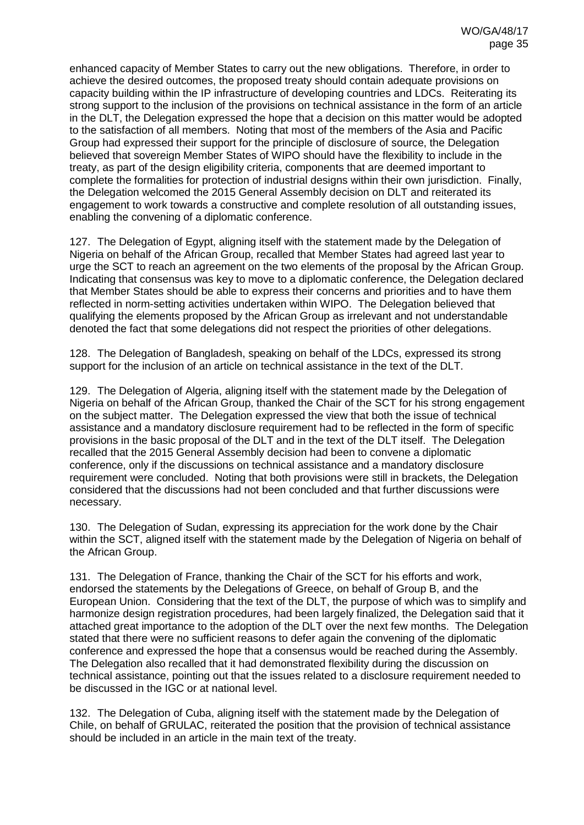enhanced capacity of Member States to carry out the new obligations. Therefore, in order to achieve the desired outcomes, the proposed treaty should contain adequate provisions on capacity building within the IP infrastructure of developing countries and LDCs. Reiterating its strong support to the inclusion of the provisions on technical assistance in the form of an article in the DLT, the Delegation expressed the hope that a decision on this matter would be adopted to the satisfaction of all members. Noting that most of the members of the Asia and Pacific Group had expressed their support for the principle of disclosure of source, the Delegation believed that sovereign Member States of WIPO should have the flexibility to include in the treaty, as part of the design eligibility criteria, components that are deemed important to complete the formalities for protection of industrial designs within their own jurisdiction. Finally, the Delegation welcomed the 2015 General Assembly decision on DLT and reiterated its engagement to work towards a constructive and complete resolution of all outstanding issues, enabling the convening of a diplomatic conference.

127. The Delegation of Egypt, aligning itself with the statement made by the Delegation of Nigeria on behalf of the African Group, recalled that Member States had agreed last year to urge the SCT to reach an agreement on the two elements of the proposal by the African Group. Indicating that consensus was key to move to a diplomatic conference, the Delegation declared that Member States should be able to express their concerns and priorities and to have them reflected in norm-setting activities undertaken within WIPO. The Delegation believed that qualifying the elements proposed by the African Group as irrelevant and not understandable denoted the fact that some delegations did not respect the priorities of other delegations.

128. The Delegation of Bangladesh, speaking on behalf of the LDCs, expressed its strong support for the inclusion of an article on technical assistance in the text of the DLT.

129. The Delegation of Algeria, aligning itself with the statement made by the Delegation of Nigeria on behalf of the African Group, thanked the Chair of the SCT for his strong engagement on the subject matter. The Delegation expressed the view that both the issue of technical assistance and a mandatory disclosure requirement had to be reflected in the form of specific provisions in the basic proposal of the DLT and in the text of the DLT itself. The Delegation recalled that the 2015 General Assembly decision had been to convene a diplomatic conference, only if the discussions on technical assistance and a mandatory disclosure requirement were concluded. Noting that both provisions were still in brackets, the Delegation considered that the discussions had not been concluded and that further discussions were necessary.

130. The Delegation of Sudan, expressing its appreciation for the work done by the Chair within the SCT, aligned itself with the statement made by the Delegation of Nigeria on behalf of the African Group.

131. The Delegation of France, thanking the Chair of the SCT for his efforts and work, endorsed the statements by the Delegations of Greece, on behalf of Group B, and the European Union. Considering that the text of the DLT, the purpose of which was to simplify and harmonize design registration procedures, had been largely finalized, the Delegation said that it attached great importance to the adoption of the DLT over the next few months. The Delegation stated that there were no sufficient reasons to defer again the convening of the diplomatic conference and expressed the hope that a consensus would be reached during the Assembly. The Delegation also recalled that it had demonstrated flexibility during the discussion on technical assistance, pointing out that the issues related to a disclosure requirement needed to be discussed in the IGC or at national level.

132. The Delegation of Cuba, aligning itself with the statement made by the Delegation of Chile, on behalf of GRULAC, reiterated the position that the provision of technical assistance should be included in an article in the main text of the treaty.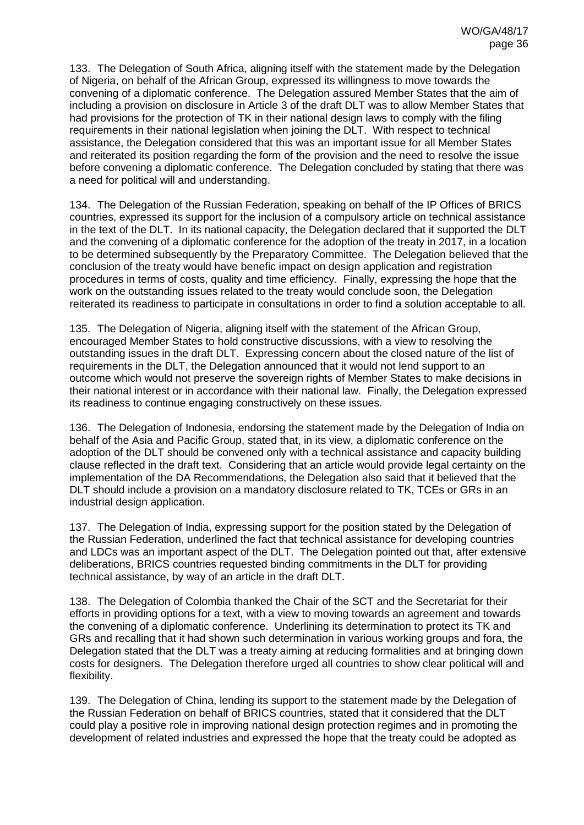133. The Delegation of South Africa, aligning itself with the statement made by the Delegation of Nigeria, on behalf of the African Group, expressed its willingness to move towards the convening of a diplomatic conference. The Delegation assured Member States that the aim of including a provision on disclosure in Article 3 of the draft DLT was to allow Member States that had provisions for the protection of TK in their national design laws to comply with the filing requirements in their national legislation when joining the DLT. With respect to technical assistance, the Delegation considered that this was an important issue for all Member States and reiterated its position regarding the form of the provision and the need to resolve the issue before convening a diplomatic conference. The Delegation concluded by stating that there was a need for political will and understanding.

134. The Delegation of the Russian Federation, speaking on behalf of the IP Offices of BRICS countries, expressed its support for the inclusion of a compulsory article on technical assistance in the text of the DLT. In its national capacity, the Delegation declared that it supported the DLT and the convening of a diplomatic conference for the adoption of the treaty in 2017, in a location to be determined subsequently by the Preparatory Committee. The Delegation believed that the conclusion of the treaty would have benefic impact on design application and registration procedures in terms of costs, quality and time efficiency. Finally, expressing the hope that the work on the outstanding issues related to the treaty would conclude soon, the Delegation reiterated its readiness to participate in consultations in order to find a solution acceptable to all.

135. The Delegation of Nigeria, aligning itself with the statement of the African Group, encouraged Member States to hold constructive discussions, with a view to resolving the outstanding issues in the draft DLT. Expressing concern about the closed nature of the list of requirements in the DLT, the Delegation announced that it would not lend support to an outcome which would not preserve the sovereign rights of Member States to make decisions in their national interest or in accordance with their national law. Finally, the Delegation expressed its readiness to continue engaging constructively on these issues.

136. The Delegation of Indonesia, endorsing the statement made by the Delegation of India on behalf of the Asia and Pacific Group, stated that, in its view, a diplomatic conference on the adoption of the DLT should be convened only with a technical assistance and capacity building clause reflected in the draft text. Considering that an article would provide legal certainty on the implementation of the DA Recommendations, the Delegation also said that it believed that the DLT should include a provision on a mandatory disclosure related to TK, TCEs or GRs in an industrial design application.

137. The Delegation of India, expressing support for the position stated by the Delegation of the Russian Federation, underlined the fact that technical assistance for developing countries and LDCs was an important aspect of the DLT. The Delegation pointed out that, after extensive deliberations, BRICS countries requested binding commitments in the DLT for providing technical assistance, by way of an article in the draft DLT.

138. The Delegation of Colombia thanked the Chair of the SCT and the Secretariat for their efforts in providing options for a text, with a view to moving towards an agreement and towards the convening of a diplomatic conference. Underlining its determination to protect its TK and GRs and recalling that it had shown such determination in various working groups and fora, the Delegation stated that the DLT was a treaty aiming at reducing formalities and at bringing down costs for designers. The Delegation therefore urged all countries to show clear political will and flexibility.

139. The Delegation of China, lending its support to the statement made by the Delegation of the Russian Federation on behalf of BRICS countries, stated that it considered that the DLT could play a positive role in improving national design protection regimes and in promoting the development of related industries and expressed the hope that the treaty could be adopted as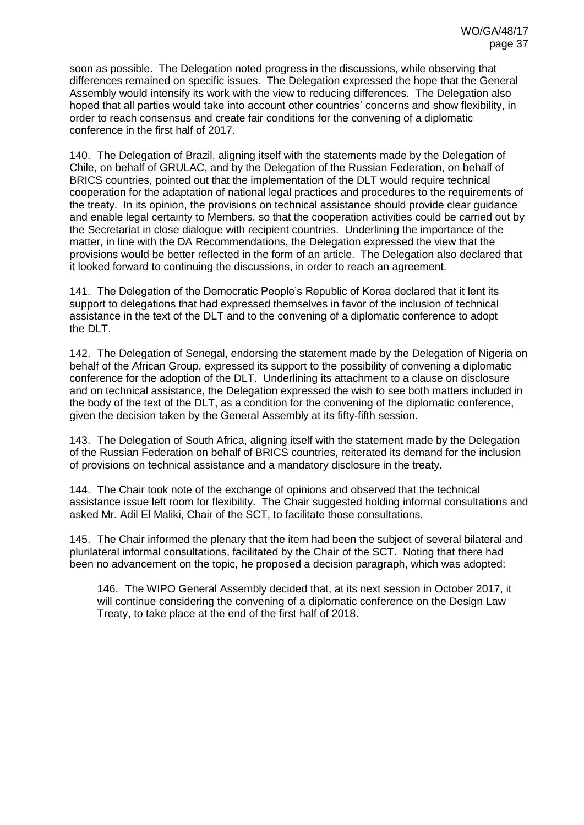soon as possible. The Delegation noted progress in the discussions, while observing that differences remained on specific issues. The Delegation expressed the hope that the General Assembly would intensify its work with the view to reducing differences. The Delegation also hoped that all parties would take into account other countries' concerns and show flexibility, in order to reach consensus and create fair conditions for the convening of a diplomatic conference in the first half of 2017.

140. The Delegation of Brazil, aligning itself with the statements made by the Delegation of Chile, on behalf of GRULAC, and by the Delegation of the Russian Federation, on behalf of BRICS countries, pointed out that the implementation of the DLT would require technical cooperation for the adaptation of national legal practices and procedures to the requirements of the treaty. In its opinion, the provisions on technical assistance should provide clear guidance and enable legal certainty to Members, so that the cooperation activities could be carried out by the Secretariat in close dialogue with recipient countries. Underlining the importance of the matter, in line with the DA Recommendations, the Delegation expressed the view that the provisions would be better reflected in the form of an article. The Delegation also declared that it looked forward to continuing the discussions, in order to reach an agreement.

141. The Delegation of the Democratic People's Republic of Korea declared that it lent its support to delegations that had expressed themselves in favor of the inclusion of technical assistance in the text of the DLT and to the convening of a diplomatic conference to adopt the DLT.

142. The Delegation of Senegal, endorsing the statement made by the Delegation of Nigeria on behalf of the African Group, expressed its support to the possibility of convening a diplomatic conference for the adoption of the DLT. Underlining its attachment to a clause on disclosure and on technical assistance, the Delegation expressed the wish to see both matters included in the body of the text of the DLT, as a condition for the convening of the diplomatic conference, given the decision taken by the General Assembly at its fifty-fifth session.

143. The Delegation of South Africa, aligning itself with the statement made by the Delegation of the Russian Federation on behalf of BRICS countries, reiterated its demand for the inclusion of provisions on technical assistance and a mandatory disclosure in the treaty.

144. The Chair took note of the exchange of opinions and observed that the technical assistance issue left room for flexibility. The Chair suggested holding informal consultations and asked Mr. Adil El Maliki, Chair of the SCT, to facilitate those consultations.

145. The Chair informed the plenary that the item had been the subject of several bilateral and plurilateral informal consultations, facilitated by the Chair of the SCT. Noting that there had been no advancement on the topic, he proposed a decision paragraph, which was adopted:

146. The WIPO General Assembly decided that, at its next session in October 2017, it will continue considering the convening of a diplomatic conference on the Design Law Treaty, to take place at the end of the first half of 2018.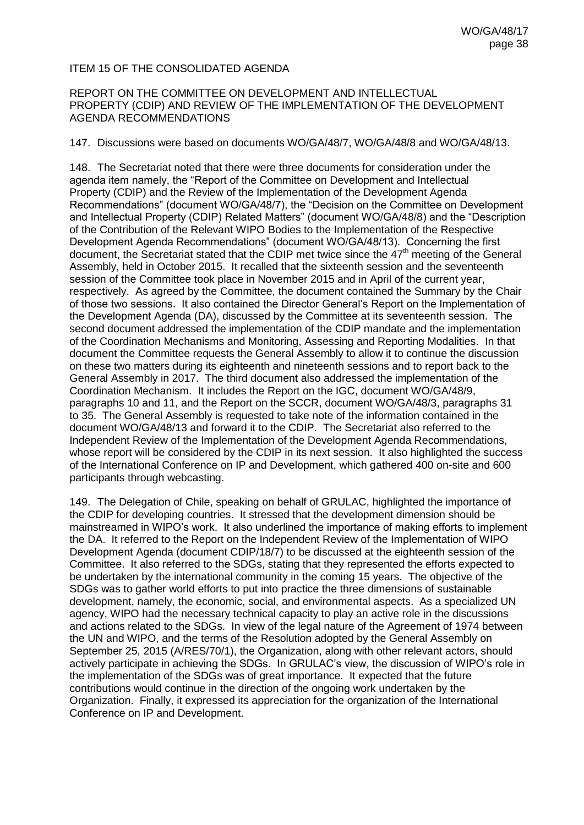#### ITEM 15 OF THE CONSOLIDATED AGENDA

#### REPORT ON THE COMMITTEE ON DEVELOPMENT AND INTELLECTUAL PROPERTY (CDIP) AND REVIEW OF THE IMPLEMENTATION OF THE DEVELOPMENT AGENDA RECOMMENDATIONS

147. Discussions were based on documents WO/GA/48/7, WO/GA/48/8 and WO/GA/48/13.

148. The Secretariat noted that there were three documents for consideration under the agenda item namely, the "Report of the Committee on Development and Intellectual Property (CDIP) and the Review of the Implementation of the Development Agenda Recommendations" (document WO/GA/48/7), the "Decision on the Committee on Development and Intellectual Property (CDIP) Related Matters" (document WO/GA/48/8) and the "Description of the Contribution of the Relevant WIPO Bodies to the Implementation of the Respective Development Agenda Recommendations" (document WO/GA/48/13). Concerning the first document, the Secretariat stated that the CDIP met twice since the  $47<sup>th</sup>$  meeting of the General Assembly, held in October 2015. It recalled that the sixteenth session and the seventeenth session of the Committee took place in November 2015 and in April of the current year, respectively. As agreed by the Committee, the document contained the Summary by the Chair of those two sessions. It also contained the Director General's Report on the Implementation of the Development Agenda (DA), discussed by the Committee at its seventeenth session. The second document addressed the implementation of the CDIP mandate and the implementation of the Coordination Mechanisms and Monitoring, Assessing and Reporting Modalities. In that document the Committee requests the General Assembly to allow it to continue the discussion on these two matters during its eighteenth and nineteenth sessions and to report back to the General Assembly in 2017. The third document also addressed the implementation of the Coordination Mechanism. It includes the Report on the IGC, document WO/GA/48/9, paragraphs 10 and 11, and the Report on the SCCR, document WO/GA/48/3, paragraphs 31 to 35. The General Assembly is requested to take note of the information contained in the document WO/GA/48/13 and forward it to the CDIP. The Secretariat also referred to the Independent Review of the Implementation of the Development Agenda Recommendations, whose report will be considered by the CDIP in its next session. It also highlighted the success of the International Conference on IP and Development, which gathered 400 on-site and 600 participants through webcasting.

149. The Delegation of Chile, speaking on behalf of GRULAC, highlighted the importance of the CDIP for developing countries. It stressed that the development dimension should be mainstreamed in WIPO's work. It also underlined the importance of making efforts to implement the DA. It referred to the Report on the Independent Review of the Implementation of WIPO Development Agenda (document CDIP/18/7) to be discussed at the eighteenth session of the Committee. It also referred to the SDGs, stating that they represented the efforts expected to be undertaken by the international community in the coming 15 years. The objective of the SDGs was to gather world efforts to put into practice the three dimensions of sustainable development, namely, the economic, social, and environmental aspects. As a specialized UN agency, WIPO had the necessary technical capacity to play an active role in the discussions and actions related to the SDGs. In view of the legal nature of the Agreement of 1974 between the UN and WIPO, and the terms of the Resolution adopted by the General Assembly on September 25, 2015 (A/RES/70/1), the Organization, along with other relevant actors, should actively participate in achieving the SDGs. In GRULAC's view, the discussion of WIPO's role in the implementation of the SDGs was of great importance. It expected that the future contributions would continue in the direction of the ongoing work undertaken by the Organization. Finally, it expressed its appreciation for the organization of the International Conference on IP and Development.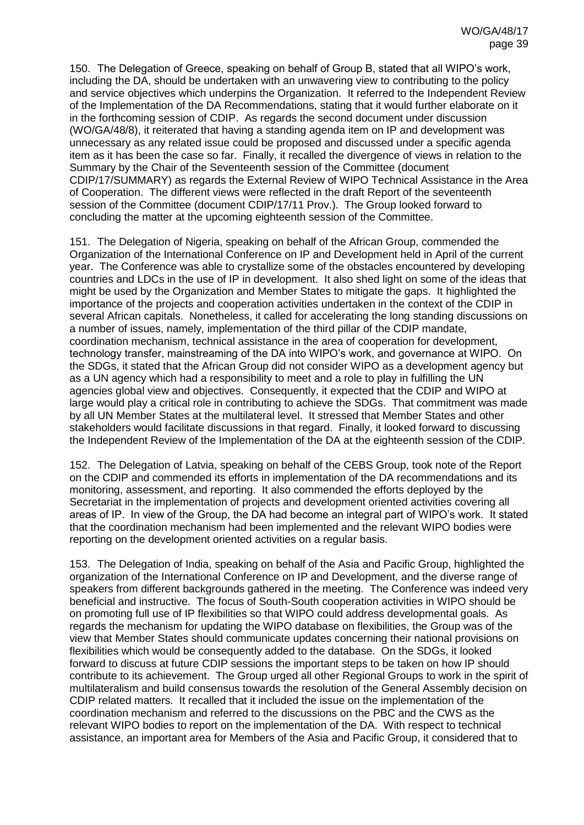150. The Delegation of Greece, speaking on behalf of Group B, stated that all WIPO's work, including the DA, should be undertaken with an unwavering view to contributing to the policy and service objectives which underpins the Organization. It referred to the Independent Review of the Implementation of the DA Recommendations, stating that it would further elaborate on it in the forthcoming session of CDIP. As regards the second document under discussion (WO/GA/48/8), it reiterated that having a standing agenda item on IP and development was unnecessary as any related issue could be proposed and discussed under a specific agenda item as it has been the case so far. Finally, it recalled the divergence of views in relation to the Summary by the Chair of the Seventeenth session of the Committee (document CDIP/17/SUMMARY) as regards the External Review of WIPO Technical Assistance in the Area of Cooperation. The different views were reflected in the draft Report of the seventeenth session of the Committee (document CDIP/17/11 Prov.). The Group looked forward to concluding the matter at the upcoming eighteenth session of the Committee.

151. The Delegation of Nigeria, speaking on behalf of the African Group, commended the Organization of the International Conference on IP and Development held in April of the current year. The Conference was able to crystallize some of the obstacles encountered by developing countries and LDCs in the use of IP in development. It also shed light on some of the ideas that might be used by the Organization and Member States to mitigate the gaps. It highlighted the importance of the projects and cooperation activities undertaken in the context of the CDIP in several African capitals. Nonetheless, it called for accelerating the long standing discussions on a number of issues, namely, implementation of the third pillar of the CDIP mandate, coordination mechanism, technical assistance in the area of cooperation for development, technology transfer, mainstreaming of the DA into WIPO's work, and governance at WIPO. On the SDGs, it stated that the African Group did not consider WIPO as a development agency but as a UN agency which had a responsibility to meet and a role to play in fulfilling the UN agencies global view and objectives. Consequently, it expected that the CDIP and WIPO at large would play a critical role in contributing to achieve the SDGs. That commitment was made by all UN Member States at the multilateral level. It stressed that Member States and other stakeholders would facilitate discussions in that regard. Finally, it looked forward to discussing the Independent Review of the Implementation of the DA at the eighteenth session of the CDIP.

152. The Delegation of Latvia, speaking on behalf of the CEBS Group, took note of the Report on the CDIP and commended its efforts in implementation of the DA recommendations and its monitoring, assessment, and reporting. It also commended the efforts deployed by the Secretariat in the implementation of projects and development oriented activities covering all areas of IP. In view of the Group, the DA had become an integral part of WIPO's work. It stated that the coordination mechanism had been implemented and the relevant WIPO bodies were reporting on the development oriented activities on a regular basis.

153. The Delegation of India, speaking on behalf of the Asia and Pacific Group, highlighted the organization of the International Conference on IP and Development, and the diverse range of speakers from different backgrounds gathered in the meeting. The Conference was indeed very beneficial and instructive. The focus of South-South cooperation activities in WIPO should be on promoting full use of IP flexibilities so that WIPO could address developmental goals. As regards the mechanism for updating the WIPO database on flexibilities, the Group was of the view that Member States should communicate updates concerning their national provisions on flexibilities which would be consequently added to the database. On the SDGs, it looked forward to discuss at future CDIP sessions the important steps to be taken on how IP should contribute to its achievement. The Group urged all other Regional Groups to work in the spirit of multilateralism and build consensus towards the resolution of the General Assembly decision on CDIP related matters. It recalled that it included the issue on the implementation of the coordination mechanism and referred to the discussions on the PBC and the CWS as the relevant WIPO bodies to report on the implementation of the DA. With respect to technical assistance, an important area for Members of the Asia and Pacific Group, it considered that to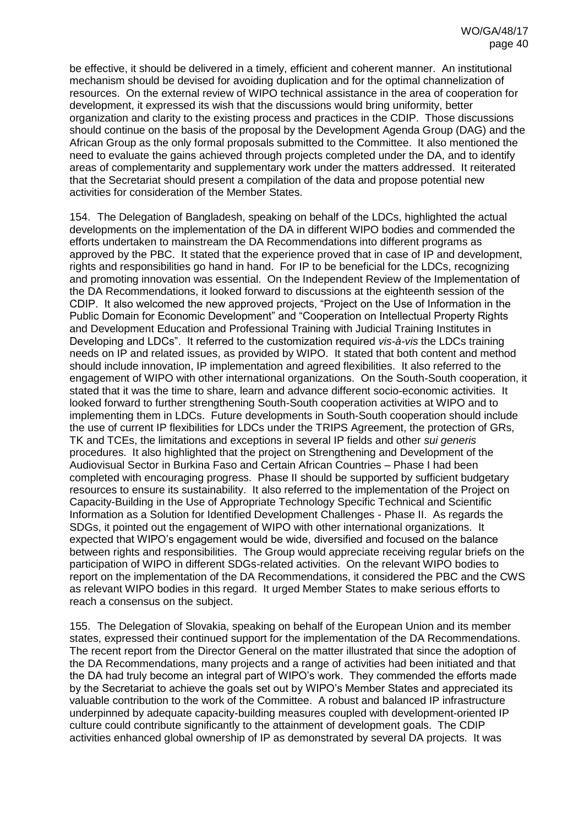be effective, it should be delivered in a timely, efficient and coherent manner. An institutional mechanism should be devised for avoiding duplication and for the optimal channelization of resources. On the external review of WIPO technical assistance in the area of cooperation for development, it expressed its wish that the discussions would bring uniformity, better organization and clarity to the existing process and practices in the CDIP. Those discussions should continue on the basis of the proposal by the Development Agenda Group (DAG) and the African Group as the only formal proposals submitted to the Committee. It also mentioned the need to evaluate the gains achieved through projects completed under the DA, and to identify areas of complementarity and supplementary work under the matters addressed. It reiterated that the Secretariat should present a compilation of the data and propose potential new activities for consideration of the Member States.

154. The Delegation of Bangladesh, speaking on behalf of the LDCs, highlighted the actual developments on the implementation of the DA in different WIPO bodies and commended the efforts undertaken to mainstream the DA Recommendations into different programs as approved by the PBC. It stated that the experience proved that in case of IP and development, rights and responsibilities go hand in hand. For IP to be beneficial for the LDCs, recognizing and promoting innovation was essential. On the Independent Review of the Implementation of the DA Recommendations, it looked forward to discussions at the eighteenth session of the CDIP. It also welcomed the new approved projects, "Project on the Use of Information in the Public Domain for Economic Development" and "Cooperation on Intellectual Property Rights and Development Education and Professional Training with Judicial Training Institutes in Developing and LDCs". It referred to the customization required *vis-à-vis* the LDCs training needs on IP and related issues, as provided by WIPO. It stated that both content and method should include innovation, IP implementation and agreed flexibilities. It also referred to the engagement of WIPO with other international organizations. On the South-South cooperation, it stated that it was the time to share, learn and advance different socio-economic activities. It looked forward to further strengthening South-South cooperation activities at WIPO and to implementing them in LDCs. Future developments in South-South cooperation should include the use of current IP flexibilities for LDCs under the TRIPS Agreement, the protection of GRs, TK and TCEs, the limitations and exceptions in several IP fields and other *sui generis* procedures. It also highlighted that the project on Strengthening and Development of the Audiovisual Sector in Burkina Faso and Certain African Countries – Phase I had been completed with encouraging progress. Phase II should be supported by sufficient budgetary resources to ensure its sustainability. It also referred to the implementation of the Project on Capacity-Building in the Use of Appropriate Technology Specific Technical and Scientific Information as a Solution for Identified Development Challenges - Phase II. As regards the SDGs, it pointed out the engagement of WIPO with other international organizations. It expected that WIPO's engagement would be wide, diversified and focused on the balance between rights and responsibilities. The Group would appreciate receiving regular briefs on the participation of WIPO in different SDGs-related activities. On the relevant WIPO bodies to report on the implementation of the DA Recommendations, it considered the PBC and the CWS as relevant WIPO bodies in this regard. It urged Member States to make serious efforts to reach a consensus on the subject.

155. The Delegation of Slovakia, speaking on behalf of the European Union and its member states, expressed their continued support for the implementation of the DA Recommendations. The recent report from the Director General on the matter illustrated that since the adoption of the DA Recommendations, many projects and a range of activities had been initiated and that the DA had truly become an integral part of WIPO's work. They commended the efforts made by the Secretariat to achieve the goals set out by WIPO's Member States and appreciated its valuable contribution to the work of the Committee. A robust and balanced IP infrastructure underpinned by adequate capacity-building measures coupled with development-oriented IP culture could contribute significantly to the attainment of development goals. The CDIP activities enhanced global ownership of IP as demonstrated by several DA projects. It was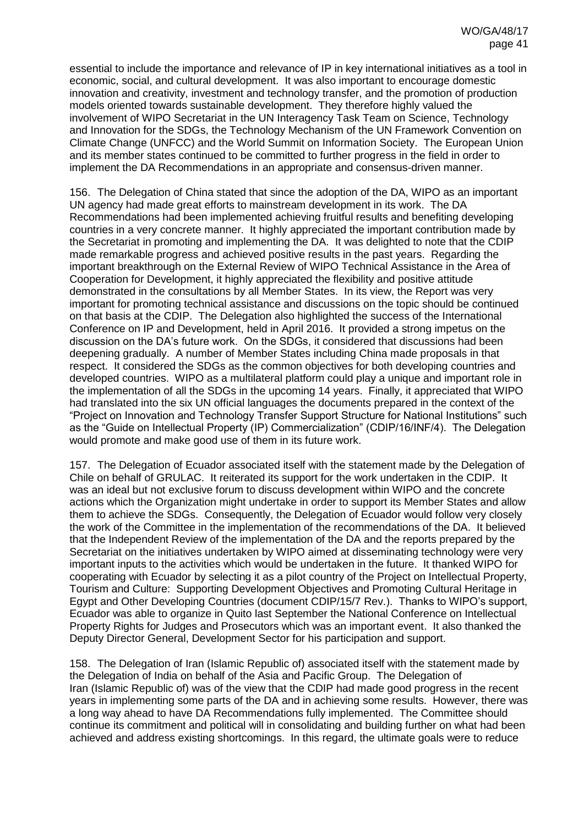essential to include the importance and relevance of IP in key international initiatives as a tool in economic, social, and cultural development. It was also important to encourage domestic innovation and creativity, investment and technology transfer, and the promotion of production models oriented towards sustainable development. They therefore highly valued the involvement of WIPO Secretariat in the UN Interagency Task Team on Science, Technology and Innovation for the SDGs, the Technology Mechanism of the UN Framework Convention on Climate Change (UNFCC) and the World Summit on Information Society. The European Union and its member states continued to be committed to further progress in the field in order to implement the DA Recommendations in an appropriate and consensus-driven manner.

156. The Delegation of China stated that since the adoption of the DA, WIPO as an important UN agency had made great efforts to mainstream development in its work. The DA Recommendations had been implemented achieving fruitful results and benefiting developing countries in a very concrete manner. It highly appreciated the important contribution made by the Secretariat in promoting and implementing the DA. It was delighted to note that the CDIP made remarkable progress and achieved positive results in the past years. Regarding the important breakthrough on the External Review of WIPO Technical Assistance in the Area of Cooperation for Development, it highly appreciated the flexibility and positive attitude demonstrated in the consultations by all Member States. In its view, the Report was very important for promoting technical assistance and discussions on the topic should be continued on that basis at the CDIP. The Delegation also highlighted the success of the International Conference on IP and Development, held in April 2016. It provided a strong impetus on the discussion on the DA's future work. On the SDGs, it considered that discussions had been deepening gradually. A number of Member States including China made proposals in that respect. It considered the SDGs as the common objectives for both developing countries and developed countries. WIPO as a multilateral platform could play a unique and important role in the implementation of all the SDGs in the upcoming 14 years. Finally, it appreciated that WIPO had translated into the six UN official languages the documents prepared in the context of the "Project on Innovation and Technology Transfer Support Structure for National Institutions" such as the "Guide on Intellectual Property (IP) Commercialization" (CDIP/16/INF/4). The Delegation would promote and make good use of them in its future work.

157. The Delegation of Ecuador associated itself with the statement made by the Delegation of Chile on behalf of GRULAC. It reiterated its support for the work undertaken in the CDIP. It was an ideal but not exclusive forum to discuss development within WIPO and the concrete actions which the Organization might undertake in order to support its Member States and allow them to achieve the SDGs. Consequently, the Delegation of Ecuador would follow very closely the work of the Committee in the implementation of the recommendations of the DA. It believed that the Independent Review of the implementation of the DA and the reports prepared by the Secretariat on the initiatives undertaken by WIPO aimed at disseminating technology were very important inputs to the activities which would be undertaken in the future. It thanked WIPO for cooperating with Ecuador by selecting it as a pilot country of the Project on Intellectual Property, Tourism and Culture: Supporting Development Objectives and Promoting Cultural Heritage in Egypt and Other Developing Countries (document CDIP/15/7 Rev.). Thanks to WIPO's support, Ecuador was able to organize in Quito last September the National Conference on Intellectual Property Rights for Judges and Prosecutors which was an important event. It also thanked the Deputy Director General, Development Sector for his participation and support.

158. The Delegation of Iran (Islamic Republic of) associated itself with the statement made by the Delegation of India on behalf of the Asia and Pacific Group. The Delegation of Iran (Islamic Republic of) was of the view that the CDIP had made good progress in the recent years in implementing some parts of the DA and in achieving some results. However, there was a long way ahead to have DA Recommendations fully implemented. The Committee should continue its commitment and political will in consolidating and building further on what had been achieved and address existing shortcomings. In this regard, the ultimate goals were to reduce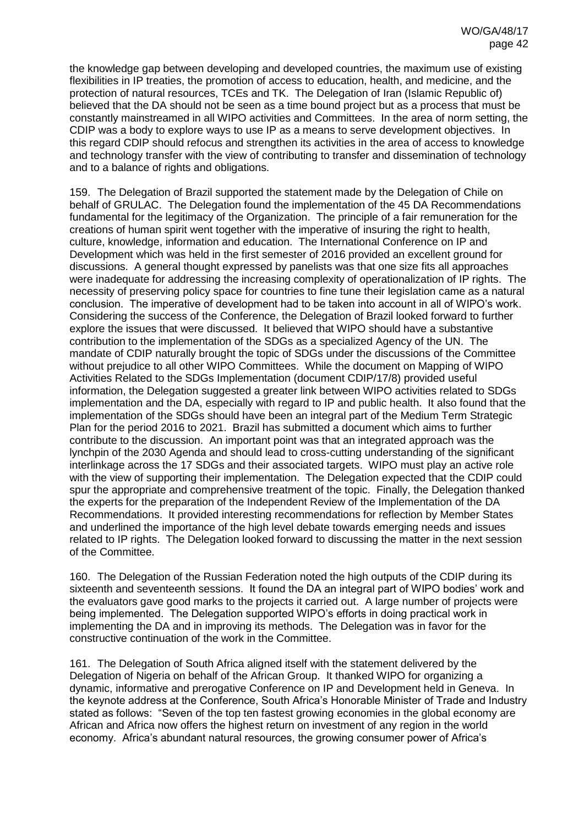the knowledge gap between developing and developed countries, the maximum use of existing flexibilities in IP treaties, the promotion of access to education, health, and medicine, and the protection of natural resources, TCEs and TK. The Delegation of Iran (Islamic Republic of) believed that the DA should not be seen as a time bound project but as a process that must be constantly mainstreamed in all WIPO activities and Committees. In the area of norm setting, the CDIP was a body to explore ways to use IP as a means to serve development objectives. In this regard CDIP should refocus and strengthen its activities in the area of access to knowledge and technology transfer with the view of contributing to transfer and dissemination of technology and to a balance of rights and obligations.

159. The Delegation of Brazil supported the statement made by the Delegation of Chile on behalf of GRULAC. The Delegation found the implementation of the 45 DA Recommendations fundamental for the legitimacy of the Organization. The principle of a fair remuneration for the creations of human spirit went together with the imperative of insuring the right to health, culture, knowledge, information and education. The International Conference on IP and Development which was held in the first semester of 2016 provided an excellent ground for discussions. A general thought expressed by panelists was that one size fits all approaches were inadequate for addressing the increasing complexity of operationalization of IP rights. The necessity of preserving policy space for countries to fine tune their legislation came as a natural conclusion. The imperative of development had to be taken into account in all of WIPO's work. Considering the success of the Conference, the Delegation of Brazil looked forward to further explore the issues that were discussed. It believed that WIPO should have a substantive contribution to the implementation of the SDGs as a specialized Agency of the UN. The mandate of CDIP naturally brought the topic of SDGs under the discussions of the Committee without prejudice to all other WIPO Committees. While the document on Mapping of WIPO Activities Related to the SDGs Implementation (document CDIP/17/8) provided useful information, the Delegation suggested a greater link between WIPO activities related to SDGs implementation and the DA, especially with regard to IP and public health. It also found that the implementation of the SDGs should have been an integral part of the Medium Term Strategic Plan for the period 2016 to 2021. Brazil has submitted a document which aims to further contribute to the discussion. An important point was that an integrated approach was the lynchpin of the 2030 Agenda and should lead to cross-cutting understanding of the significant interlinkage across the 17 SDGs and their associated targets. WIPO must play an active role with the view of supporting their implementation. The Delegation expected that the CDIP could spur the appropriate and comprehensive treatment of the topic. Finally, the Delegation thanked the experts for the preparation of the Independent Review of the Implementation of the DA Recommendations. It provided interesting recommendations for reflection by Member States and underlined the importance of the high level debate towards emerging needs and issues related to IP rights. The Delegation looked forward to discussing the matter in the next session of the Committee.

160. The Delegation of the Russian Federation noted the high outputs of the CDIP during its sixteenth and seventeenth sessions. It found the DA an integral part of WIPO bodies' work and the evaluators gave good marks to the projects it carried out. A large number of projects were being implemented. The Delegation supported WIPO's efforts in doing practical work in implementing the DA and in improving its methods. The Delegation was in favor for the constructive continuation of the work in the Committee.

161. The Delegation of South Africa aligned itself with the statement delivered by the Delegation of Nigeria on behalf of the African Group. It thanked WIPO for organizing a dynamic, informative and prerogative Conference on IP and Development held in Geneva. In the keynote address at the Conference, South Africa's Honorable Minister of Trade and Industry stated as follows: "Seven of the top ten fastest growing economies in the global economy are African and Africa now offers the highest return on investment of any region in the world economy. Africa's abundant natural resources, the growing consumer power of Africa's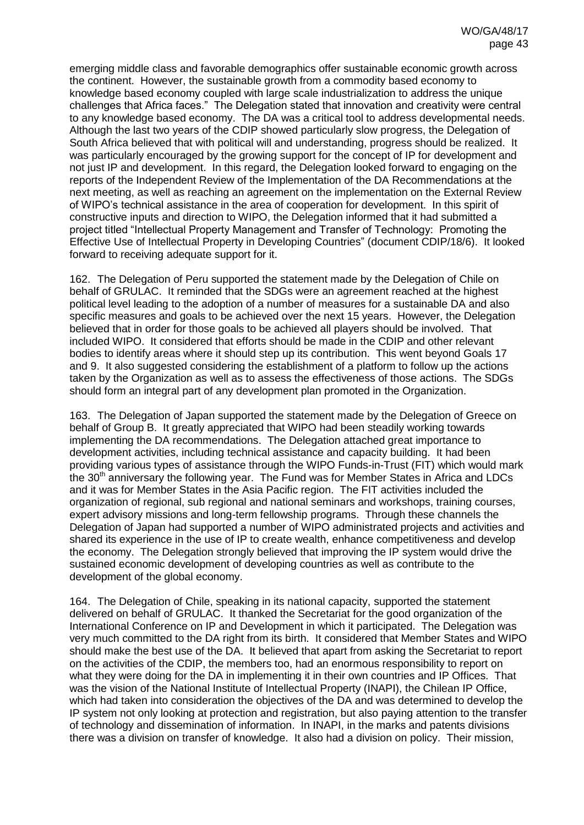emerging middle class and favorable demographics offer sustainable economic growth across the continent. However, the sustainable growth from a commodity based economy to knowledge based economy coupled with large scale industrialization to address the unique challenges that Africa faces." The Delegation stated that innovation and creativity were central to any knowledge based economy. The DA was a critical tool to address developmental needs. Although the last two years of the CDIP showed particularly slow progress, the Delegation of South Africa believed that with political will and understanding, progress should be realized. It was particularly encouraged by the growing support for the concept of IP for development and not just IP and development. In this regard, the Delegation looked forward to engaging on the reports of the Independent Review of the Implementation of the DA Recommendations at the next meeting, as well as reaching an agreement on the implementation on the External Review of WIPO's technical assistance in the area of cooperation for development. In this spirit of constructive inputs and direction to WIPO, the Delegation informed that it had submitted a project titled "Intellectual Property Management and Transfer of Technology: Promoting the Effective Use of Intellectual Property in Developing Countries" (document CDIP/18/6). It looked forward to receiving adequate support for it.

162. The Delegation of Peru supported the statement made by the Delegation of Chile on behalf of GRULAC. It reminded that the SDGs were an agreement reached at the highest political level leading to the adoption of a number of measures for a sustainable DA and also specific measures and goals to be achieved over the next 15 years. However, the Delegation believed that in order for those goals to be achieved all players should be involved. That included WIPO. It considered that efforts should be made in the CDIP and other relevant bodies to identify areas where it should step up its contribution. This went beyond Goals 17 and 9. It also suggested considering the establishment of a platform to follow up the actions taken by the Organization as well as to assess the effectiveness of those actions. The SDGs should form an integral part of any development plan promoted in the Organization.

163. The Delegation of Japan supported the statement made by the Delegation of Greece on behalf of Group B. It greatly appreciated that WIPO had been steadily working towards implementing the DA recommendations. The Delegation attached great importance to development activities, including technical assistance and capacity building. It had been providing various types of assistance through the WIPO Funds-in-Trust (FIT) which would mark the 30<sup>th</sup> anniversary the following year. The Fund was for Member States in Africa and LDCs and it was for Member States in the Asia Pacific region. The FIT activities included the organization of regional, sub regional and national seminars and workshops, training courses, expert advisory missions and long-term fellowship programs. Through these channels the Delegation of Japan had supported a number of WIPO administrated projects and activities and shared its experience in the use of IP to create wealth, enhance competitiveness and develop the economy. The Delegation strongly believed that improving the IP system would drive the sustained economic development of developing countries as well as contribute to the development of the global economy.

164. The Delegation of Chile, speaking in its national capacity, supported the statement delivered on behalf of GRULAC. It thanked the Secretariat for the good organization of the International Conference on IP and Development in which it participated. The Delegation was very much committed to the DA right from its birth. It considered that Member States and WIPO should make the best use of the DA. It believed that apart from asking the Secretariat to report on the activities of the CDIP, the members too, had an enormous responsibility to report on what they were doing for the DA in implementing it in their own countries and IP Offices. That was the vision of the National Institute of Intellectual Property (INAPI), the Chilean IP Office, which had taken into consideration the objectives of the DA and was determined to develop the IP system not only looking at protection and registration, but also paying attention to the transfer of technology and dissemination of information. In INAPI, in the marks and patents divisions there was a division on transfer of knowledge. It also had a division on policy. Their mission,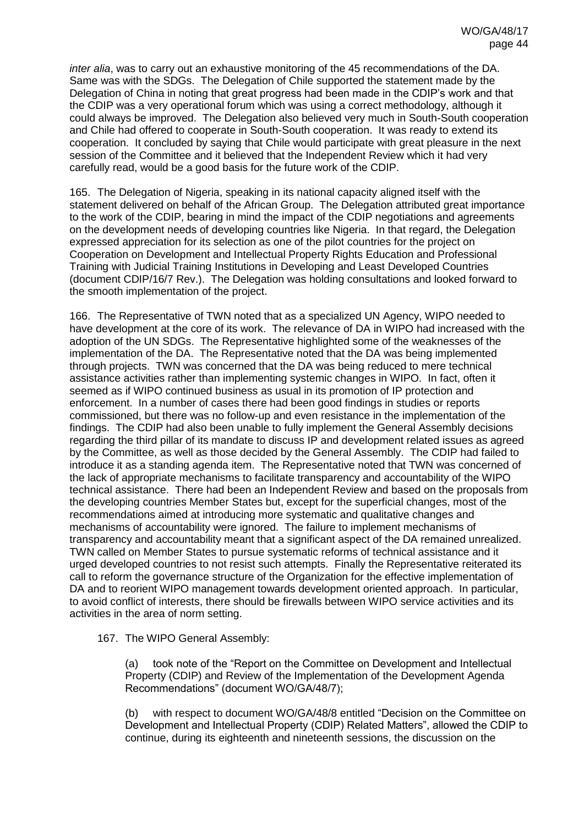*inter alia*, was to carry out an exhaustive monitoring of the 45 recommendations of the DA. Same was with the SDGs. The Delegation of Chile supported the statement made by the Delegation of China in noting that great progress had been made in the CDIP's work and that the CDIP was a very operational forum which was using a correct methodology, although it could always be improved. The Delegation also believed very much in South-South cooperation and Chile had offered to cooperate in South-South cooperation. It was ready to extend its cooperation. It concluded by saying that Chile would participate with great pleasure in the next session of the Committee and it believed that the Independent Review which it had very carefully read, would be a good basis for the future work of the CDIP.

165. The Delegation of Nigeria, speaking in its national capacity aligned itself with the statement delivered on behalf of the African Group. The Delegation attributed great importance to the work of the CDIP, bearing in mind the impact of the CDIP negotiations and agreements on the development needs of developing countries like Nigeria. In that regard, the Delegation expressed appreciation for its selection as one of the pilot countries for the project on Cooperation on Development and Intellectual Property Rights Education and Professional Training with Judicial Training Institutions in Developing and Least Developed Countries (document CDIP/16/7 Rev.). The Delegation was holding consultations and looked forward to the smooth implementation of the project.

166. The Representative of TWN noted that as a specialized UN Agency, WIPO needed to have development at the core of its work. The relevance of DA in WIPO had increased with the adoption of the UN SDGs. The Representative highlighted some of the weaknesses of the implementation of the DA. The Representative noted that the DA was being implemented through projects. TWN was concerned that the DA was being reduced to mere technical assistance activities rather than implementing systemic changes in WIPO. In fact, often it seemed as if WIPO continued business as usual in its promotion of IP protection and enforcement. In a number of cases there had been good findings in studies or reports commissioned, but there was no follow-up and even resistance in the implementation of the findings. The CDIP had also been unable to fully implement the General Assembly decisions regarding the third pillar of its mandate to discuss IP and development related issues as agreed by the Committee, as well as those decided by the General Assembly. The CDIP had failed to introduce it as a standing agenda item. The Representative noted that TWN was concerned of the lack of appropriate mechanisms to facilitate transparency and accountability of the WIPO technical assistance. There had been an Independent Review and based on the proposals from the developing countries Member States but, except for the superficial changes, most of the recommendations aimed at introducing more systematic and qualitative changes and mechanisms of accountability were ignored. The failure to implement mechanisms of transparency and accountability meant that a significant aspect of the DA remained unrealized. TWN called on Member States to pursue systematic reforms of technical assistance and it urged developed countries to not resist such attempts. Finally the Representative reiterated its call to reform the governance structure of the Organization for the effective implementation of DA and to reorient WIPO management towards development oriented approach. In particular, to avoid conflict of interests, there should be firewalls between WIPO service activities and its activities in the area of norm setting.

#### 167. The WIPO General Assembly:

(a) took note of the "Report on the Committee on Development and Intellectual Property (CDIP) and Review of the Implementation of the Development Agenda Recommendations" (document WO/GA/48/7);

(b) with respect to document WO/GA/48/8 entitled "Decision on the Committee on Development and Intellectual Property (CDIP) Related Matters", allowed the CDIP to continue, during its eighteenth and nineteenth sessions, the discussion on the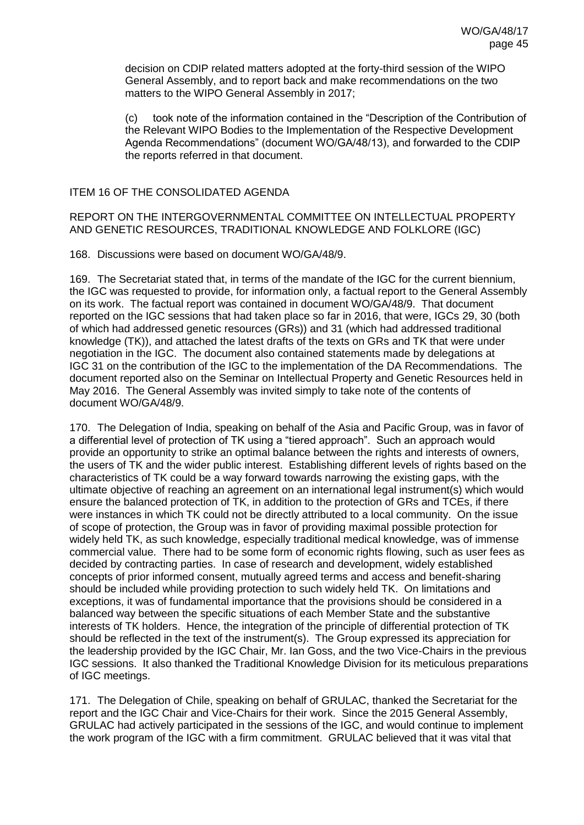decision on CDIP related matters adopted at the forty-third session of the WIPO General Assembly, and to report back and make recommendations on the two matters to the WIPO General Assembly in 2017;

(c) took note of the information contained in the "Description of the Contribution of the Relevant WIPO Bodies to the Implementation of the Respective Development Agenda Recommendations" (document WO/GA/48/13), and forwarded to the CDIP the reports referred in that document.

#### ITEM 16 OF THE CONSOLIDATED AGENDA

REPORT ON THE INTERGOVERNMENTAL COMMITTEE ON INTELLECTUAL PROPERTY AND GENETIC RESOURCES, TRADITIONAL KNOWLEDGE AND FOLKLORE (IGC)

168. Discussions were based on document WO/GA/48/9.

169. The Secretariat stated that, in terms of the mandate of the IGC for the current biennium, the IGC was requested to provide, for information only, a factual report to the General Assembly on its work. The factual report was contained in document WO/GA/48/9. That document reported on the IGC sessions that had taken place so far in 2016, that were, IGCs 29, 30 (both of which had addressed genetic resources (GRs)) and 31 (which had addressed traditional knowledge (TK)), and attached the latest drafts of the texts on GRs and TK that were under negotiation in the IGC. The document also contained statements made by delegations at IGC 31 on the contribution of the IGC to the implementation of the DA Recommendations. The document reported also on the Seminar on Intellectual Property and Genetic Resources held in May 2016. The General Assembly was invited simply to take note of the contents of document WO/GA/48/9.

170. The Delegation of India, speaking on behalf of the Asia and Pacific Group, was in favor of a differential level of protection of TK using a "tiered approach". Such an approach would provide an opportunity to strike an optimal balance between the rights and interests of owners, the users of TK and the wider public interest. Establishing different levels of rights based on the characteristics of TK could be a way forward towards narrowing the existing gaps, with the ultimate objective of reaching an agreement on an international legal instrument(s) which would ensure the balanced protection of TK, in addition to the protection of GRs and TCEs, if there were instances in which TK could not be directly attributed to a local community. On the issue of scope of protection, the Group was in favor of providing maximal possible protection for widely held TK, as such knowledge, especially traditional medical knowledge, was of immense commercial value. There had to be some form of economic rights flowing, such as user fees as decided by contracting parties. In case of research and development, widely established concepts of prior informed consent, mutually agreed terms and access and benefit-sharing should be included while providing protection to such widely held TK. On limitations and exceptions, it was of fundamental importance that the provisions should be considered in a balanced way between the specific situations of each Member State and the substantive interests of TK holders. Hence, the integration of the principle of differential protection of TK should be reflected in the text of the instrument(s). The Group expressed its appreciation for the leadership provided by the IGC Chair, Mr. Ian Goss, and the two Vice-Chairs in the previous IGC sessions. It also thanked the Traditional Knowledge Division for its meticulous preparations of IGC meetings.

171. The Delegation of Chile, speaking on behalf of GRULAC, thanked the Secretariat for the report and the IGC Chair and Vice-Chairs for their work. Since the 2015 General Assembly, GRULAC had actively participated in the sessions of the IGC, and would continue to implement the work program of the IGC with a firm commitment. GRULAC believed that it was vital that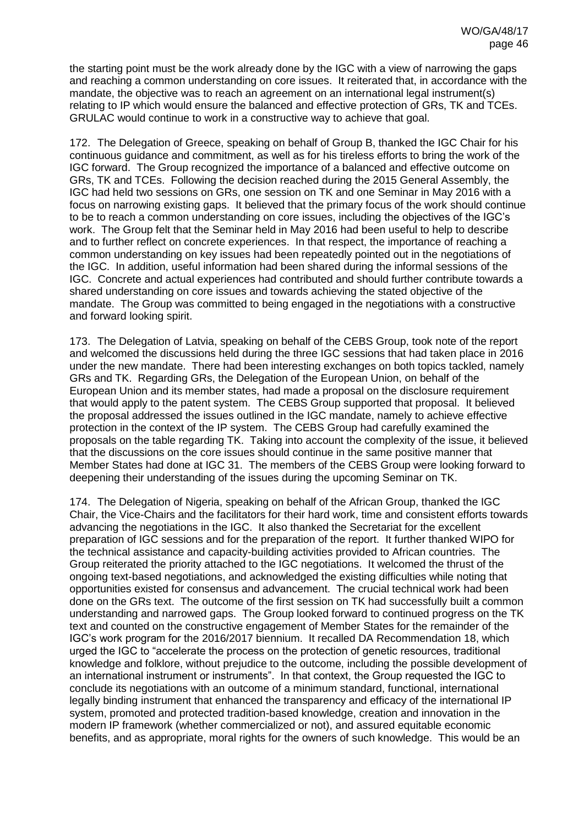the starting point must be the work already done by the IGC with a view of narrowing the gaps and reaching a common understanding on core issues. It reiterated that, in accordance with the mandate, the objective was to reach an agreement on an international legal instrument(s) relating to IP which would ensure the balanced and effective protection of GRs, TK and TCEs. GRULAC would continue to work in a constructive way to achieve that goal.

172. The Delegation of Greece, speaking on behalf of Group B, thanked the IGC Chair for his continuous guidance and commitment, as well as for his tireless efforts to bring the work of the IGC forward. The Group recognized the importance of a balanced and effective outcome on GRs, TK and TCEs. Following the decision reached during the 2015 General Assembly, the IGC had held two sessions on GRs, one session on TK and one Seminar in May 2016 with a focus on narrowing existing gaps. It believed that the primary focus of the work should continue to be to reach a common understanding on core issues, including the objectives of the IGC's work. The Group felt that the Seminar held in May 2016 had been useful to help to describe and to further reflect on concrete experiences. In that respect, the importance of reaching a common understanding on key issues had been repeatedly pointed out in the negotiations of the IGC. In addition, useful information had been shared during the informal sessions of the IGC. Concrete and actual experiences had contributed and should further contribute towards a shared understanding on core issues and towards achieving the stated objective of the mandate. The Group was committed to being engaged in the negotiations with a constructive and forward looking spirit.

173. The Delegation of Latvia, speaking on behalf of the CEBS Group, took note of the report and welcomed the discussions held during the three IGC sessions that had taken place in 2016 under the new mandate. There had been interesting exchanges on both topics tackled, namely GRs and TK. Regarding GRs, the Delegation of the European Union, on behalf of the European Union and its member states, had made a proposal on the disclosure requirement that would apply to the patent system. The CEBS Group supported that proposal. It believed the proposal addressed the issues outlined in the IGC mandate, namely to achieve effective protection in the context of the IP system. The CEBS Group had carefully examined the proposals on the table regarding TK. Taking into account the complexity of the issue, it believed that the discussions on the core issues should continue in the same positive manner that Member States had done at IGC 31. The members of the CEBS Group were looking forward to deepening their understanding of the issues during the upcoming Seminar on TK.

174. The Delegation of Nigeria, speaking on behalf of the African Group, thanked the IGC Chair, the Vice-Chairs and the facilitators for their hard work, time and consistent efforts towards advancing the negotiations in the IGC. It also thanked the Secretariat for the excellent preparation of IGC sessions and for the preparation of the report. It further thanked WIPO for the technical assistance and capacity-building activities provided to African countries. The Group reiterated the priority attached to the IGC negotiations. It welcomed the thrust of the ongoing text-based negotiations, and acknowledged the existing difficulties while noting that opportunities existed for consensus and advancement. The crucial technical work had been done on the GRs text. The outcome of the first session on TK had successfully built a common understanding and narrowed gaps. The Group looked forward to continued progress on the TK text and counted on the constructive engagement of Member States for the remainder of the IGC's work program for the 2016/2017 biennium. It recalled DA Recommendation 18, which urged the IGC to "accelerate the process on the protection of genetic resources, traditional knowledge and folklore, without prejudice to the outcome, including the possible development of an international instrument or instruments". In that context, the Group requested the IGC to conclude its negotiations with an outcome of a minimum standard, functional, international legally binding instrument that enhanced the transparency and efficacy of the international IP system, promoted and protected tradition-based knowledge, creation and innovation in the modern IP framework (whether commercialized or not), and assured equitable economic benefits, and as appropriate, moral rights for the owners of such knowledge. This would be an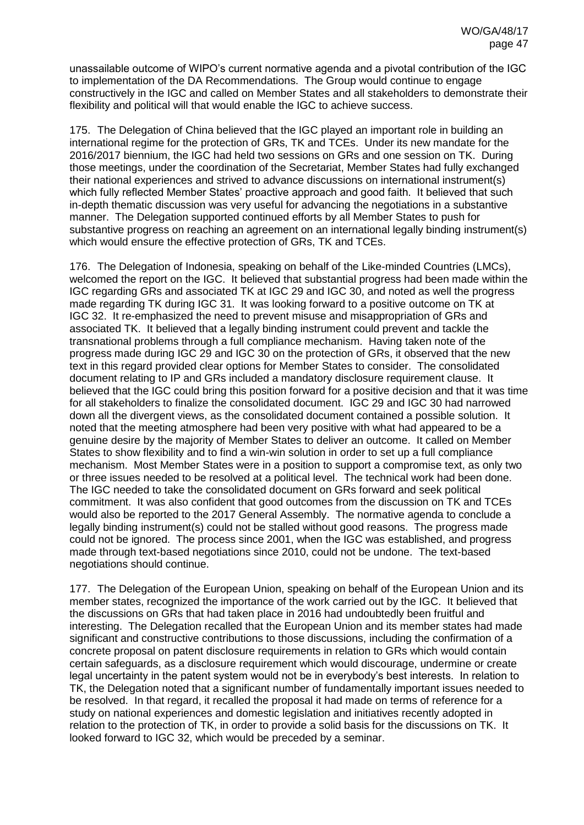unassailable outcome of WIPO's current normative agenda and a pivotal contribution of the IGC to implementation of the DA Recommendations. The Group would continue to engage constructively in the IGC and called on Member States and all stakeholders to demonstrate their flexibility and political will that would enable the IGC to achieve success.

175. The Delegation of China believed that the IGC played an important role in building an international regime for the protection of GRs, TK and TCEs. Under its new mandate for the 2016/2017 biennium, the IGC had held two sessions on GRs and one session on TK. During those meetings, under the coordination of the Secretariat, Member States had fully exchanged their national experiences and strived to advance discussions on international instrument(s) which fully reflected Member States' proactive approach and good faith. It believed that such in-depth thematic discussion was very useful for advancing the negotiations in a substantive manner. The Delegation supported continued efforts by all Member States to push for substantive progress on reaching an agreement on an international legally binding instrument(s) which would ensure the effective protection of GRs, TK and TCEs.

176. The Delegation of Indonesia, speaking on behalf of the Like-minded Countries (LMCs), welcomed the report on the IGC. It believed that substantial progress had been made within the IGC regarding GRs and associated TK at IGC 29 and IGC 30, and noted as well the progress made regarding TK during IGC 31. It was looking forward to a positive outcome on TK at IGC 32. It re-emphasized the need to prevent misuse and misappropriation of GRs and associated TK. It believed that a legally binding instrument could prevent and tackle the transnational problems through a full compliance mechanism. Having taken note of the progress made during IGC 29 and IGC 30 on the protection of GRs, it observed that the new text in this regard provided clear options for Member States to consider. The consolidated document relating to IP and GRs included a mandatory disclosure requirement clause. It believed that the IGC could bring this position forward for a positive decision and that it was time for all stakeholders to finalize the consolidated document. IGC 29 and IGC 30 had narrowed down all the divergent views, as the consolidated document contained a possible solution. It noted that the meeting atmosphere had been very positive with what had appeared to be a genuine desire by the majority of Member States to deliver an outcome. It called on Member States to show flexibility and to find a win-win solution in order to set up a full compliance mechanism. Most Member States were in a position to support a compromise text, as only two or three issues needed to be resolved at a political level. The technical work had been done. The IGC needed to take the consolidated document on GRs forward and seek political commitment. It was also confident that good outcomes from the discussion on TK and TCEs would also be reported to the 2017 General Assembly. The normative agenda to conclude a legally binding instrument(s) could not be stalled without good reasons. The progress made could not be ignored. The process since 2001, when the IGC was established, and progress made through text-based negotiations since 2010, could not be undone. The text-based negotiations should continue.

177. The Delegation of the European Union, speaking on behalf of the European Union and its member states, recognized the importance of the work carried out by the IGC. It believed that the discussions on GRs that had taken place in 2016 had undoubtedly been fruitful and interesting. The Delegation recalled that the European Union and its member states had made significant and constructive contributions to those discussions, including the confirmation of a concrete proposal on patent disclosure requirements in relation to GRs which would contain certain safeguards, as a disclosure requirement which would discourage, undermine or create legal uncertainty in the patent system would not be in everybody's best interests. In relation to TK, the Delegation noted that a significant number of fundamentally important issues needed to be resolved. In that regard, it recalled the proposal it had made on terms of reference for a study on national experiences and domestic legislation and initiatives recently adopted in relation to the protection of TK, in order to provide a solid basis for the discussions on TK. It looked forward to IGC 32, which would be preceded by a seminar.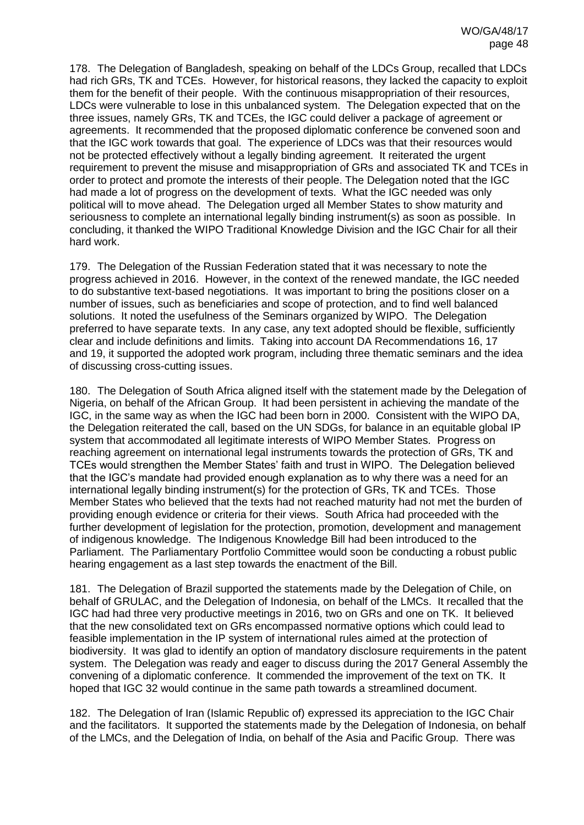178. The Delegation of Bangladesh, speaking on behalf of the LDCs Group, recalled that LDCs had rich GRs, TK and TCEs. However, for historical reasons, they lacked the capacity to exploit them for the benefit of their people. With the continuous misappropriation of their resources, LDCs were vulnerable to lose in this unbalanced system. The Delegation expected that on the three issues, namely GRs, TK and TCEs, the IGC could deliver a package of agreement or agreements. It recommended that the proposed diplomatic conference be convened soon and that the IGC work towards that goal. The experience of LDCs was that their resources would not be protected effectively without a legally binding agreement. It reiterated the urgent requirement to prevent the misuse and misappropriation of GRs and associated TK and TCEs in order to protect and promote the interests of their people. The Delegation noted that the IGC had made a lot of progress on the development of texts. What the IGC needed was only political will to move ahead. The Delegation urged all Member States to show maturity and seriousness to complete an international legally binding instrument(s) as soon as possible. In concluding, it thanked the WIPO Traditional Knowledge Division and the IGC Chair for all their hard work.

179. The Delegation of the Russian Federation stated that it was necessary to note the progress achieved in 2016. However, in the context of the renewed mandate, the IGC needed to do substantive text-based negotiations. It was important to bring the positions closer on a number of issues, such as beneficiaries and scope of protection, and to find well balanced solutions. It noted the usefulness of the Seminars organized by WIPO. The Delegation preferred to have separate texts. In any case, any text adopted should be flexible, sufficiently clear and include definitions and limits. Taking into account DA Recommendations 16, 17 and 19, it supported the adopted work program, including three thematic seminars and the idea of discussing cross-cutting issues.

180. The Delegation of South Africa aligned itself with the statement made by the Delegation of Nigeria, on behalf of the African Group. It had been persistent in achieving the mandate of the IGC, in the same way as when the IGC had been born in 2000. Consistent with the WIPO DA, the Delegation reiterated the call, based on the UN SDGs, for balance in an equitable global IP system that accommodated all legitimate interests of WIPO Member States. Progress on reaching agreement on international legal instruments towards the protection of GRs, TK and TCEs would strengthen the Member States' faith and trust in WIPO. The Delegation believed that the IGC's mandate had provided enough explanation as to why there was a need for an international legally binding instrument(s) for the protection of GRs, TK and TCEs. Those Member States who believed that the texts had not reached maturity had not met the burden of providing enough evidence or criteria for their views. South Africa had proceeded with the further development of legislation for the protection, promotion, development and management of indigenous knowledge. The Indigenous Knowledge Bill had been introduced to the Parliament. The Parliamentary Portfolio Committee would soon be conducting a robust public hearing engagement as a last step towards the enactment of the Bill.

181. The Delegation of Brazil supported the statements made by the Delegation of Chile, on behalf of GRULAC, and the Delegation of Indonesia, on behalf of the LMCs. It recalled that the IGC had had three very productive meetings in 2016, two on GRs and one on TK. It believed that the new consolidated text on GRs encompassed normative options which could lead to feasible implementation in the IP system of international rules aimed at the protection of biodiversity. It was glad to identify an option of mandatory disclosure requirements in the patent system. The Delegation was ready and eager to discuss during the 2017 General Assembly the convening of a diplomatic conference. It commended the improvement of the text on TK. It hoped that IGC 32 would continue in the same path towards a streamlined document.

182. The Delegation of Iran (Islamic Republic of) expressed its appreciation to the IGC Chair and the facilitators. It supported the statements made by the Delegation of Indonesia, on behalf of the LMCs, and the Delegation of India, on behalf of the Asia and Pacific Group. There was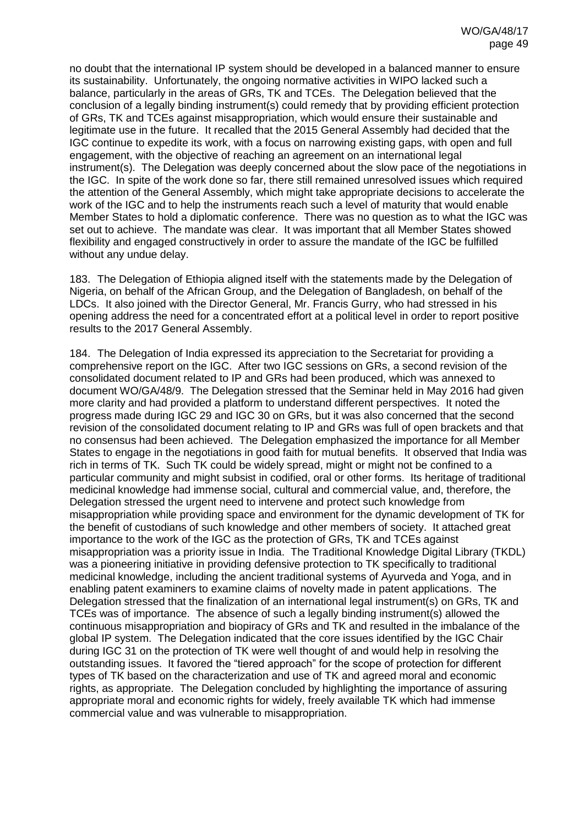no doubt that the international IP system should be developed in a balanced manner to ensure its sustainability. Unfortunately, the ongoing normative activities in WIPO lacked such a balance, particularly in the areas of GRs. TK and TCEs. The Delegation believed that the conclusion of a legally binding instrument(s) could remedy that by providing efficient protection of GRs, TK and TCEs against misappropriation, which would ensure their sustainable and legitimate use in the future. It recalled that the 2015 General Assembly had decided that the IGC continue to expedite its work, with a focus on narrowing existing gaps, with open and full engagement, with the objective of reaching an agreement on an international legal instrument(s). The Delegation was deeply concerned about the slow pace of the negotiations in the IGC. In spite of the work done so far, there still remained unresolved issues which required the attention of the General Assembly, which might take appropriate decisions to accelerate the work of the IGC and to help the instruments reach such a level of maturity that would enable Member States to hold a diplomatic conference. There was no question as to what the IGC was set out to achieve. The mandate was clear. It was important that all Member States showed flexibility and engaged constructively in order to assure the mandate of the IGC be fulfilled without any undue delay.

183. The Delegation of Ethiopia aligned itself with the statements made by the Delegation of Nigeria, on behalf of the African Group, and the Delegation of Bangladesh, on behalf of the LDCs. It also joined with the Director General, Mr. Francis Gurry, who had stressed in his opening address the need for a concentrated effort at a political level in order to report positive results to the 2017 General Assembly.

184. The Delegation of India expressed its appreciation to the Secretariat for providing a comprehensive report on the IGC. After two IGC sessions on GRs, a second revision of the consolidated document related to IP and GRs had been produced, which was annexed to document WO/GA/48/9. The Delegation stressed that the Seminar held in May 2016 had given more clarity and had provided a platform to understand different perspectives. It noted the progress made during IGC 29 and IGC 30 on GRs, but it was also concerned that the second revision of the consolidated document relating to IP and GRs was full of open brackets and that no consensus had been achieved. The Delegation emphasized the importance for all Member States to engage in the negotiations in good faith for mutual benefits. It observed that India was rich in terms of TK. Such TK could be widely spread, might or might not be confined to a particular community and might subsist in codified, oral or other forms. Its heritage of traditional medicinal knowledge had immense social, cultural and commercial value, and, therefore, the Delegation stressed the urgent need to intervene and protect such knowledge from misappropriation while providing space and environment for the dynamic development of TK for the benefit of custodians of such knowledge and other members of society. It attached great importance to the work of the IGC as the protection of GRs, TK and TCEs against misappropriation was a priority issue in India. The Traditional Knowledge Digital Library (TKDL) was a pioneering initiative in providing defensive protection to TK specifically to traditional medicinal knowledge, including the ancient traditional systems of Ayurveda and Yoga, and in enabling patent examiners to examine claims of novelty made in patent applications. The Delegation stressed that the finalization of an international legal instrument(s) on GRs, TK and TCEs was of importance. The absence of such a legally binding instrument(s) allowed the continuous misappropriation and biopiracy of GRs and TK and resulted in the imbalance of the global IP system. The Delegation indicated that the core issues identified by the IGC Chair during IGC 31 on the protection of TK were well thought of and would help in resolving the outstanding issues. It favored the "tiered approach" for the scope of protection for different types of TK based on the characterization and use of TK and agreed moral and economic rights, as appropriate. The Delegation concluded by highlighting the importance of assuring appropriate moral and economic rights for widely, freely available TK which had immense commercial value and was vulnerable to misappropriation.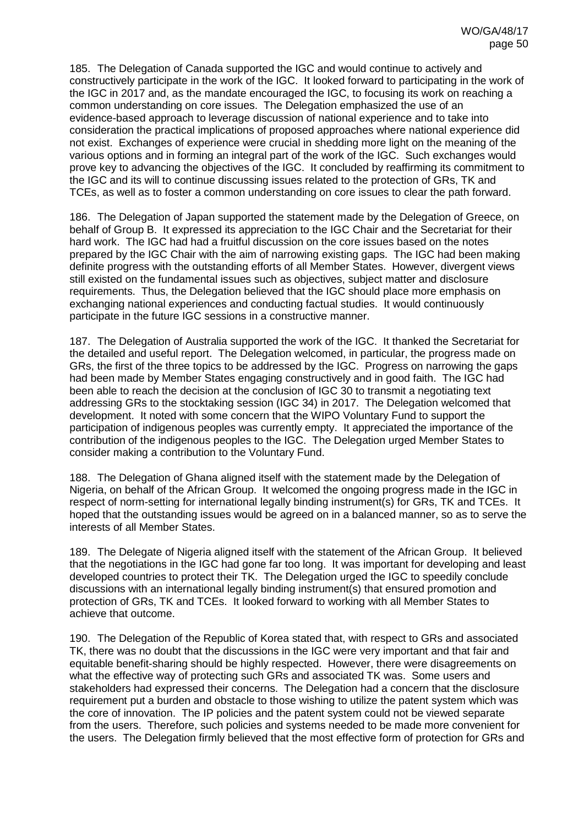185. The Delegation of Canada supported the IGC and would continue to actively and constructively participate in the work of the IGC. It looked forward to participating in the work of the IGC in 2017 and, as the mandate encouraged the IGC, to focusing its work on reaching a common understanding on core issues. The Delegation emphasized the use of an evidence-based approach to leverage discussion of national experience and to take into consideration the practical implications of proposed approaches where national experience did not exist. Exchanges of experience were crucial in shedding more light on the meaning of the various options and in forming an integral part of the work of the IGC. Such exchanges would prove key to advancing the objectives of the IGC. It concluded by reaffirming its commitment to the IGC and its will to continue discussing issues related to the protection of GRs, TK and TCEs, as well as to foster a common understanding on core issues to clear the path forward.

186. The Delegation of Japan supported the statement made by the Delegation of Greece, on behalf of Group B. It expressed its appreciation to the IGC Chair and the Secretariat for their hard work. The IGC had had a fruitful discussion on the core issues based on the notes prepared by the IGC Chair with the aim of narrowing existing gaps. The IGC had been making definite progress with the outstanding efforts of all Member States. However, divergent views still existed on the fundamental issues such as objectives, subject matter and disclosure requirements. Thus, the Delegation believed that the IGC should place more emphasis on exchanging national experiences and conducting factual studies. It would continuously participate in the future IGC sessions in a constructive manner.

187. The Delegation of Australia supported the work of the IGC. It thanked the Secretariat for the detailed and useful report. The Delegation welcomed, in particular, the progress made on GRs, the first of the three topics to be addressed by the IGC. Progress on narrowing the gaps had been made by Member States engaging constructively and in good faith. The IGC had been able to reach the decision at the conclusion of IGC 30 to transmit a negotiating text addressing GRs to the stocktaking session (IGC 34) in 2017. The Delegation welcomed that development. It noted with some concern that the WIPO Voluntary Fund to support the participation of indigenous peoples was currently empty. It appreciated the importance of the contribution of the indigenous peoples to the IGC. The Delegation urged Member States to consider making a contribution to the Voluntary Fund.

188. The Delegation of Ghana aligned itself with the statement made by the Delegation of Nigeria, on behalf of the African Group. It welcomed the ongoing progress made in the IGC in respect of norm-setting for international legally binding instrument(s) for GRs, TK and TCEs. It hoped that the outstanding issues would be agreed on in a balanced manner, so as to serve the interests of all Member States.

189. The Delegate of Nigeria aligned itself with the statement of the African Group. It believed that the negotiations in the IGC had gone far too long. It was important for developing and least developed countries to protect their TK. The Delegation urged the IGC to speedily conclude discussions with an international legally binding instrument(s) that ensured promotion and protection of GRs, TK and TCEs. It looked forward to working with all Member States to achieve that outcome.

190. The Delegation of the Republic of Korea stated that, with respect to GRs and associated TK, there was no doubt that the discussions in the IGC were very important and that fair and equitable benefit-sharing should be highly respected. However, there were disagreements on what the effective way of protecting such GRs and associated TK was. Some users and stakeholders had expressed their concerns. The Delegation had a concern that the disclosure requirement put a burden and obstacle to those wishing to utilize the patent system which was the core of innovation. The IP policies and the patent system could not be viewed separate from the users. Therefore, such policies and systems needed to be made more convenient for the users. The Delegation firmly believed that the most effective form of protection for GRs and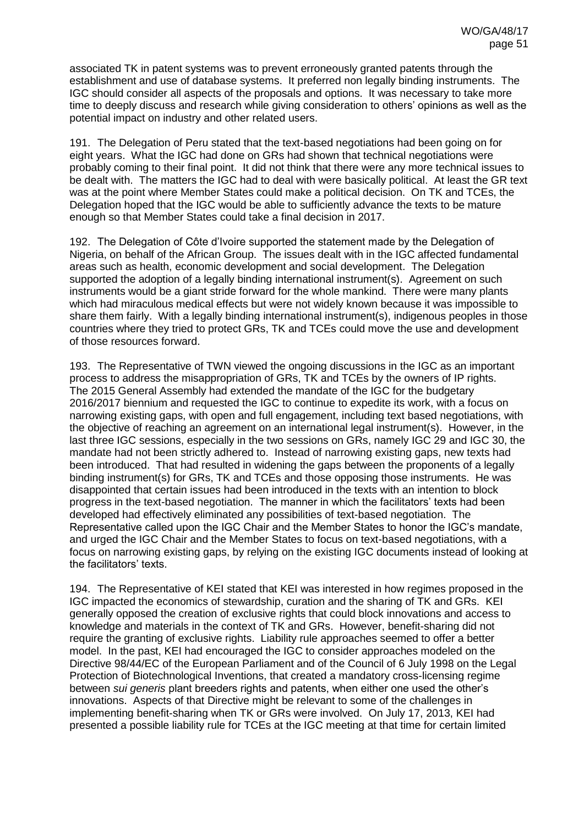associated TK in patent systems was to prevent erroneously granted patents through the establishment and use of database systems. It preferred non legally binding instruments. The IGC should consider all aspects of the proposals and options. It was necessary to take more time to deeply discuss and research while giving consideration to others' opinions as well as the potential impact on industry and other related users.

191. The Delegation of Peru stated that the text-based negotiations had been going on for eight years. What the IGC had done on GRs had shown that technical negotiations were probably coming to their final point. It did not think that there were any more technical issues to be dealt with. The matters the IGC had to deal with were basically political. At least the GR text was at the point where Member States could make a political decision. On TK and TCEs, the Delegation hoped that the IGC would be able to sufficiently advance the texts to be mature enough so that Member States could take a final decision in 2017.

192. The Delegation of Côte d'Ivoire supported the statement made by the Delegation of Nigeria, on behalf of the African Group. The issues dealt with in the IGC affected fundamental areas such as health, economic development and social development. The Delegation supported the adoption of a legally binding international instrument(s). Agreement on such instruments would be a giant stride forward for the whole mankind. There were many plants which had miraculous medical effects but were not widely known because it was impossible to share them fairly. With a legally binding international instrument(s), indigenous peoples in those countries where they tried to protect GRs, TK and TCEs could move the use and development of those resources forward.

193. The Representative of TWN viewed the ongoing discussions in the IGC as an important process to address the misappropriation of GRs, TK and TCEs by the owners of IP rights. The 2015 General Assembly had extended the mandate of the IGC for the budgetary 2016/2017 biennium and requested the IGC to continue to expedite its work, with a focus on narrowing existing gaps, with open and full engagement, including text based negotiations, with the objective of reaching an agreement on an international legal instrument(s). However, in the last three IGC sessions, especially in the two sessions on GRs, namely IGC 29 and IGC 30, the mandate had not been strictly adhered to. Instead of narrowing existing gaps, new texts had been introduced. That had resulted in widening the gaps between the proponents of a legally binding instrument(s) for GRs, TK and TCEs and those opposing those instruments. He was disappointed that certain issues had been introduced in the texts with an intention to block progress in the text-based negotiation. The manner in which the facilitators' texts had been developed had effectively eliminated any possibilities of text-based negotiation. The Representative called upon the IGC Chair and the Member States to honor the IGC's mandate, and urged the IGC Chair and the Member States to focus on text-based negotiations, with a focus on narrowing existing gaps, by relying on the existing IGC documents instead of looking at the facilitators' texts.

194. The Representative of KEI stated that KEI was interested in how regimes proposed in the IGC impacted the economics of stewardship, curation and the sharing of TK and GRs. KEI generally opposed the creation of exclusive rights that could block innovations and access to knowledge and materials in the context of TK and GRs. However, benefit-sharing did not require the granting of exclusive rights. Liability rule approaches seemed to offer a better model. In the past, KEI had encouraged the IGC to consider approaches modeled on the Directive 98/44/EC of the European Parliament and of the Council of 6 July 1998 on the Legal Protection of Biotechnological Inventions, that created a mandatory cross-licensing regime between *sui generis* plant breeders rights and patents, when either one used the other's innovations. Aspects of that Directive might be relevant to some of the challenges in implementing benefit-sharing when TK or GRs were involved. On July 17, 2013, KEI had presented a possible liability rule for TCEs at the IGC meeting at that time for certain limited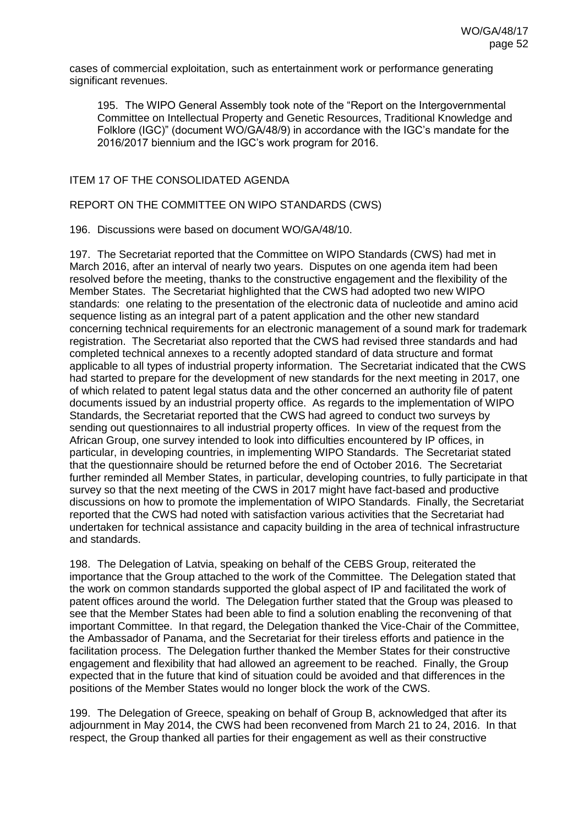cases of commercial exploitation, such as entertainment work or performance generating significant revenues.

195. The WIPO General Assembly took note of the "Report on the Intergovernmental Committee on Intellectual Property and Genetic Resources, Traditional Knowledge and Folklore (IGC)" (document WO/GA/48/9) in accordance with the IGC's mandate for the 2016/2017 biennium and the IGC's work program for 2016.

#### ITEM 17 OF THE CONSOLIDATED AGENDA

REPORT ON THE COMMITTEE ON WIPO STANDARDS (CWS)

196. Discussions were based on document WO/GA/48/10.

197. The Secretariat reported that the Committee on WIPO Standards (CWS) had met in March 2016, after an interval of nearly two years. Disputes on one agenda item had been resolved before the meeting, thanks to the constructive engagement and the flexibility of the Member States. The Secretariat highlighted that the CWS had adopted two new WIPO standards: one relating to the presentation of the electronic data of nucleotide and amino acid sequence listing as an integral part of a patent application and the other new standard concerning technical requirements for an electronic management of a sound mark for trademark registration. The Secretariat also reported that the CWS had revised three standards and had completed technical annexes to a recently adopted standard of data structure and format applicable to all types of industrial property information. The Secretariat indicated that the CWS had started to prepare for the development of new standards for the next meeting in 2017, one of which related to patent legal status data and the other concerned an authority file of patent documents issued by an industrial property office. As regards to the implementation of WIPO Standards, the Secretariat reported that the CWS had agreed to conduct two surveys by sending out questionnaires to all industrial property offices. In view of the request from the African Group, one survey intended to look into difficulties encountered by IP offices, in particular, in developing countries, in implementing WIPO Standards. The Secretariat stated that the questionnaire should be returned before the end of October 2016. The Secretariat further reminded all Member States, in particular, developing countries, to fully participate in that survey so that the next meeting of the CWS in 2017 might have fact-based and productive discussions on how to promote the implementation of WIPO Standards. Finally, the Secretariat reported that the CWS had noted with satisfaction various activities that the Secretariat had undertaken for technical assistance and capacity building in the area of technical infrastructure and standards.

198. The Delegation of Latvia, speaking on behalf of the CEBS Group, reiterated the importance that the Group attached to the work of the Committee. The Delegation stated that the work on common standards supported the global aspect of IP and facilitated the work of patent offices around the world. The Delegation further stated that the Group was pleased to see that the Member States had been able to find a solution enabling the reconvening of that important Committee. In that regard, the Delegation thanked the Vice-Chair of the Committee, the Ambassador of Panama, and the Secretariat for their tireless efforts and patience in the facilitation process. The Delegation further thanked the Member States for their constructive engagement and flexibility that had allowed an agreement to be reached. Finally, the Group expected that in the future that kind of situation could be avoided and that differences in the positions of the Member States would no longer block the work of the CWS.

199. The Delegation of Greece, speaking on behalf of Group B, acknowledged that after its adjournment in May 2014, the CWS had been reconvened from March 21 to 24, 2016. In that respect, the Group thanked all parties for their engagement as well as their constructive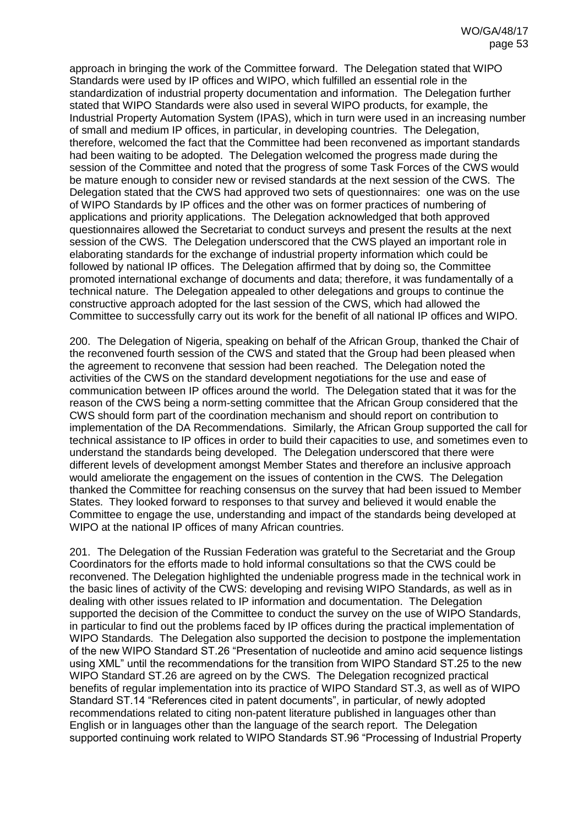approach in bringing the work of the Committee forward. The Delegation stated that WIPO Standards were used by IP offices and WIPO, which fulfilled an essential role in the standardization of industrial property documentation and information. The Delegation further stated that WIPO Standards were also used in several WIPO products, for example, the Industrial Property Automation System (IPAS), which in turn were used in an increasing number of small and medium IP offices, in particular, in developing countries. The Delegation, therefore, welcomed the fact that the Committee had been reconvened as important standards had been waiting to be adopted. The Delegation welcomed the progress made during the session of the Committee and noted that the progress of some Task Forces of the CWS would be mature enough to consider new or revised standards at the next session of the CWS. The Delegation stated that the CWS had approved two sets of questionnaires: one was on the use of WIPO Standards by IP offices and the other was on former practices of numbering of applications and priority applications. The Delegation acknowledged that both approved questionnaires allowed the Secretariat to conduct surveys and present the results at the next session of the CWS. The Delegation underscored that the CWS played an important role in elaborating standards for the exchange of industrial property information which could be followed by national IP offices. The Delegation affirmed that by doing so, the Committee promoted international exchange of documents and data; therefore, it was fundamentally of a technical nature. The Delegation appealed to other delegations and groups to continue the constructive approach adopted for the last session of the CWS, which had allowed the Committee to successfully carry out its work for the benefit of all national IP offices and WIPO.

200. The Delegation of Nigeria, speaking on behalf of the African Group, thanked the Chair of the reconvened fourth session of the CWS and stated that the Group had been pleased when the agreement to reconvene that session had been reached. The Delegation noted the activities of the CWS on the standard development negotiations for the use and ease of communication between IP offices around the world. The Delegation stated that it was for the reason of the CWS being a norm-setting committee that the African Group considered that the CWS should form part of the coordination mechanism and should report on contribution to implementation of the DA Recommendations. Similarly, the African Group supported the call for technical assistance to IP offices in order to build their capacities to use, and sometimes even to understand the standards being developed. The Delegation underscored that there were different levels of development amongst Member States and therefore an inclusive approach would ameliorate the engagement on the issues of contention in the CWS. The Delegation thanked the Committee for reaching consensus on the survey that had been issued to Member States. They looked forward to responses to that survey and believed it would enable the Committee to engage the use, understanding and impact of the standards being developed at WIPO at the national IP offices of many African countries.

201. The Delegation of the Russian Federation was grateful to the Secretariat and the Group Coordinators for the efforts made to hold informal consultations so that the CWS could be reconvened. The Delegation highlighted the undeniable progress made in the technical work in the basic lines of activity of the CWS: developing and revising WIPO Standards, as well as in dealing with other issues related to IP information and documentation. The Delegation supported the decision of the Committee to conduct the survey on the use of WIPO Standards, in particular to find out the problems faced by IP offices during the practical implementation of WIPO Standards. The Delegation also supported the decision to postpone the implementation of the new WIPO Standard ST.26 "Presentation of nucleotide and amino acid sequence listings using XML" until the recommendations for the transition from WIPO Standard ST.25 to the new WIPO Standard ST.26 are agreed on by the CWS. The Delegation recognized practical benefits of regular implementation into its practice of WIPO Standard ST.3, as well as of WIPO Standard ST.14 "References cited in patent documents", in particular, of newly adopted recommendations related to citing non-patent literature published in languages other than English or in languages other than the language of the search report. The Delegation supported continuing work related to WIPO Standards ST.96 "Processing of Industrial Property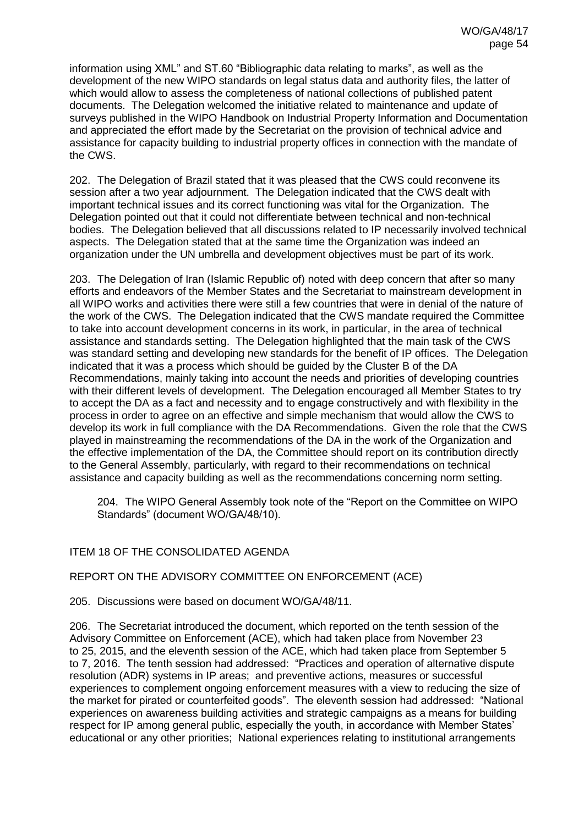information using XML" and ST.60 "Bibliographic data relating to marks", as well as the development of the new WIPO standards on legal status data and authority files, the latter of which would allow to assess the completeness of national collections of published patent documents. The Delegation welcomed the initiative related to maintenance and update of surveys published in the WIPO Handbook on Industrial Property Information and Documentation and appreciated the effort made by the Secretariat on the provision of technical advice and assistance for capacity building to industrial property offices in connection with the mandate of the CWS.

202. The Delegation of Brazil stated that it was pleased that the CWS could reconvene its session after a two year adjournment. The Delegation indicated that the CWS dealt with important technical issues and its correct functioning was vital for the Organization. The Delegation pointed out that it could not differentiate between technical and non-technical bodies. The Delegation believed that all discussions related to IP necessarily involved technical aspects. The Delegation stated that at the same time the Organization was indeed an organization under the UN umbrella and development objectives must be part of its work.

203. The Delegation of Iran (Islamic Republic of) noted with deep concern that after so many efforts and endeavors of the Member States and the Secretariat to mainstream development in all WIPO works and activities there were still a few countries that were in denial of the nature of the work of the CWS. The Delegation indicated that the CWS mandate required the Committee to take into account development concerns in its work, in particular, in the area of technical assistance and standards setting. The Delegation highlighted that the main task of the CWS was standard setting and developing new standards for the benefit of IP offices. The Delegation indicated that it was a process which should be guided by the Cluster B of the DA Recommendations, mainly taking into account the needs and priorities of developing countries with their different levels of development. The Delegation encouraged all Member States to try to accept the DA as a fact and necessity and to engage constructively and with flexibility in the process in order to agree on an effective and simple mechanism that would allow the CWS to develop its work in full compliance with the DA Recommendations. Given the role that the CWS played in mainstreaming the recommendations of the DA in the work of the Organization and the effective implementation of the DA, the Committee should report on its contribution directly to the General Assembly, particularly, with regard to their recommendations on technical assistance and capacity building as well as the recommendations concerning norm setting.

204. The WIPO General Assembly took note of the "Report on the Committee on WIPO Standards" (document WO/GA/48/10).

### ITEM 18 OF THE CONSOLIDATED AGENDA

### REPORT ON THE ADVISORY COMMITTEE ON ENFORCEMENT (ACE)

205. Discussions were based on document WO/GA/48/11.

206. The Secretariat introduced the document, which reported on the tenth session of the Advisory Committee on Enforcement (ACE), which had taken place from November 23 to 25, 2015, and the eleventh session of the ACE, which had taken place from September 5 to 7, 2016. The tenth session had addressed: "Practices and operation of alternative dispute resolution (ADR) systems in IP areas; and preventive actions, measures or successful experiences to complement ongoing enforcement measures with a view to reducing the size of the market for pirated or counterfeited goods". The eleventh session had addressed: "National experiences on awareness building activities and strategic campaigns as a means for building respect for IP among general public, especially the youth, in accordance with Member States' educational or any other priorities; National experiences relating to institutional arrangements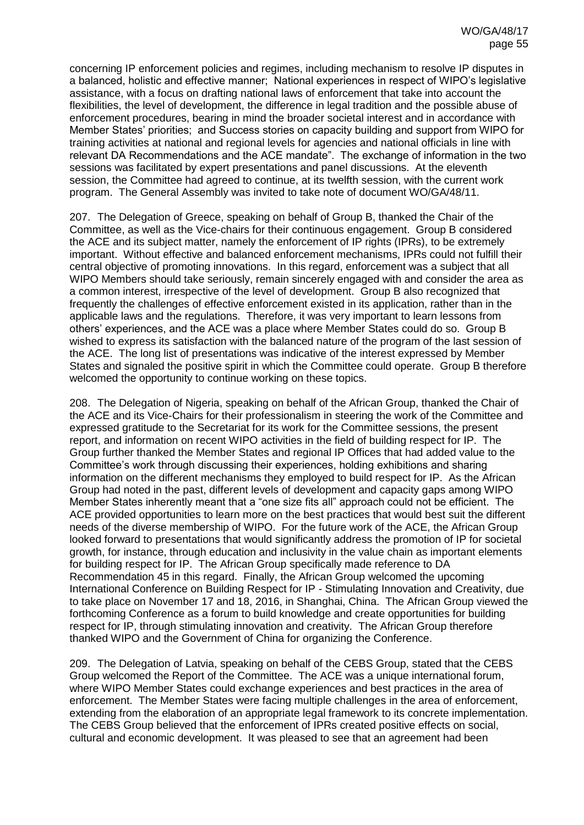concerning IP enforcement policies and regimes, including mechanism to resolve IP disputes in a balanced, holistic and effective manner; National experiences in respect of WIPO's legislative assistance, with a focus on drafting national laws of enforcement that take into account the flexibilities, the level of development, the difference in legal tradition and the possible abuse of enforcement procedures, bearing in mind the broader societal interest and in accordance with Member States' priorities; and Success stories on capacity building and support from WIPO for training activities at national and regional levels for agencies and national officials in line with relevant DA Recommendations and the ACE mandate". The exchange of information in the two sessions was facilitated by expert presentations and panel discussions. At the eleventh session, the Committee had agreed to continue, at its twelfth session, with the current work program. The General Assembly was invited to take note of document WO/GA/48/11.

207. The Delegation of Greece, speaking on behalf of Group B, thanked the Chair of the Committee, as well as the Vice-chairs for their continuous engagement. Group B considered the ACE and its subject matter, namely the enforcement of IP rights (IPRs), to be extremely important. Without effective and balanced enforcement mechanisms, IPRs could not fulfill their central objective of promoting innovations. In this regard, enforcement was a subject that all WIPO Members should take seriously, remain sincerely engaged with and consider the area as a common interest, irrespective of the level of development. Group B also recognized that frequently the challenges of effective enforcement existed in its application, rather than in the applicable laws and the regulations. Therefore, it was very important to learn lessons from others' experiences, and the ACE was a place where Member States could do so. Group B wished to express its satisfaction with the balanced nature of the program of the last session of the ACE. The long list of presentations was indicative of the interest expressed by Member States and signaled the positive spirit in which the Committee could operate. Group B therefore welcomed the opportunity to continue working on these topics.

208. The Delegation of Nigeria, speaking on behalf of the African Group, thanked the Chair of the ACE and its Vice-Chairs for their professionalism in steering the work of the Committee and expressed gratitude to the Secretariat for its work for the Committee sessions, the present report, and information on recent WIPO activities in the field of building respect for IP. The Group further thanked the Member States and regional IP Offices that had added value to the Committee's work through discussing their experiences, holding exhibitions and sharing information on the different mechanisms they employed to build respect for IP. As the African Group had noted in the past, different levels of development and capacity gaps among WIPO Member States inherently meant that a "one size fits all" approach could not be efficient. The ACE provided opportunities to learn more on the best practices that would best suit the different needs of the diverse membership of WIPO. For the future work of the ACE, the African Group looked forward to presentations that would significantly address the promotion of IP for societal growth, for instance, through education and inclusivity in the value chain as important elements for building respect for IP. The African Group specifically made reference to DA Recommendation 45 in this regard. Finally, the African Group welcomed the upcoming International Conference on Building Respect for IP - Stimulating Innovation and Creativity, due to take place on November 17 and 18, 2016, in Shanghai, China. The African Group viewed the forthcoming Conference as a forum to build knowledge and create opportunities for building respect for IP, through stimulating innovation and creativity. The African Group therefore thanked WIPO and the Government of China for organizing the Conference.

209. The Delegation of Latvia, speaking on behalf of the CEBS Group, stated that the CEBS Group welcomed the Report of the Committee. The ACE was a unique international forum, where WIPO Member States could exchange experiences and best practices in the area of enforcement. The Member States were facing multiple challenges in the area of enforcement, extending from the elaboration of an appropriate legal framework to its concrete implementation. The CEBS Group believed that the enforcement of IPRs created positive effects on social, cultural and economic development. It was pleased to see that an agreement had been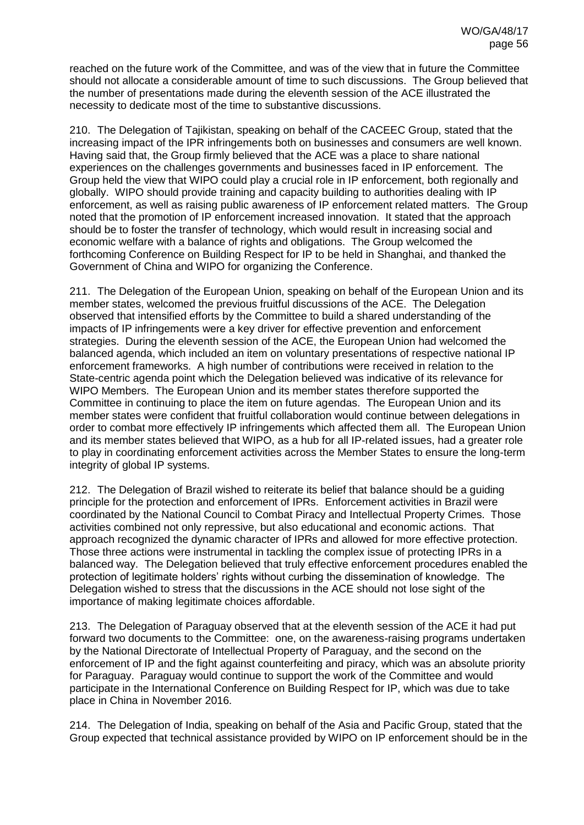reached on the future work of the Committee, and was of the view that in future the Committee should not allocate a considerable amount of time to such discussions. The Group believed that the number of presentations made during the eleventh session of the ACE illustrated the necessity to dedicate most of the time to substantive discussions.

210. The Delegation of Tajikistan, speaking on behalf of the CACEEC Group, stated that the increasing impact of the IPR infringements both on businesses and consumers are well known. Having said that, the Group firmly believed that the ACE was a place to share national experiences on the challenges governments and businesses faced in IP enforcement. The Group held the view that WIPO could play a crucial role in IP enforcement, both regionally and globally. WIPO should provide training and capacity building to authorities dealing with IP enforcement, as well as raising public awareness of IP enforcement related matters. The Group noted that the promotion of IP enforcement increased innovation. It stated that the approach should be to foster the transfer of technology, which would result in increasing social and economic welfare with a balance of rights and obligations. The Group welcomed the forthcoming Conference on Building Respect for IP to be held in Shanghai, and thanked the Government of China and WIPO for organizing the Conference.

211. The Delegation of the European Union, speaking on behalf of the European Union and its member states, welcomed the previous fruitful discussions of the ACE. The Delegation observed that intensified efforts by the Committee to build a shared understanding of the impacts of IP infringements were a key driver for effective prevention and enforcement strategies. During the eleventh session of the ACE, the European Union had welcomed the balanced agenda, which included an item on voluntary presentations of respective national IP enforcement frameworks. A high number of contributions were received in relation to the State-centric agenda point which the Delegation believed was indicative of its relevance for WIPO Members. The European Union and its member states therefore supported the Committee in continuing to place the item on future agendas. The European Union and its member states were confident that fruitful collaboration would continue between delegations in order to combat more effectively IP infringements which affected them all. The European Union and its member states believed that WIPO, as a hub for all IP-related issues, had a greater role to play in coordinating enforcement activities across the Member States to ensure the long-term integrity of global IP systems.

212. The Delegation of Brazil wished to reiterate its belief that balance should be a guiding principle for the protection and enforcement of IPRs. Enforcement activities in Brazil were coordinated by the National Council to Combat Piracy and Intellectual Property Crimes. Those activities combined not only repressive, but also educational and economic actions. That approach recognized the dynamic character of IPRs and allowed for more effective protection. Those three actions were instrumental in tackling the complex issue of protecting IPRs in a balanced way. The Delegation believed that truly effective enforcement procedures enabled the protection of legitimate holders' rights without curbing the dissemination of knowledge. The Delegation wished to stress that the discussions in the ACE should not lose sight of the importance of making legitimate choices affordable.

213. The Delegation of Paraguay observed that at the eleventh session of the ACE it had put forward two documents to the Committee: one, on the awareness-raising programs undertaken by the National Directorate of Intellectual Property of Paraguay, and the second on the enforcement of IP and the fight against counterfeiting and piracy, which was an absolute priority for Paraguay. Paraguay would continue to support the work of the Committee and would participate in the International Conference on Building Respect for IP, which was due to take place in China in November 2016.

214. The Delegation of India, speaking on behalf of the Asia and Pacific Group, stated that the Group expected that technical assistance provided by WIPO on IP enforcement should be in the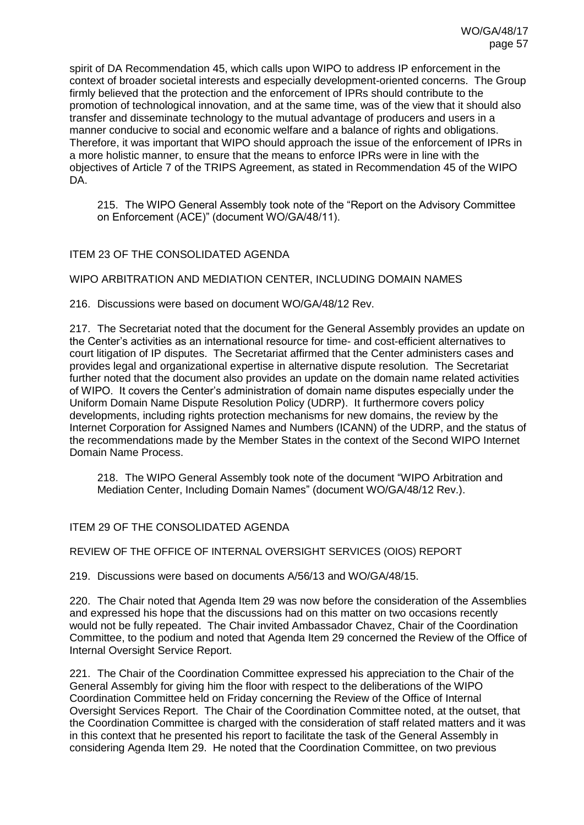spirit of DA Recommendation 45, which calls upon WIPO to address IP enforcement in the context of broader societal interests and especially development-oriented concerns. The Group firmly believed that the protection and the enforcement of IPRs should contribute to the promotion of technological innovation, and at the same time, was of the view that it should also transfer and disseminate technology to the mutual advantage of producers and users in a manner conducive to social and economic welfare and a balance of rights and obligations. Therefore, it was important that WIPO should approach the issue of the enforcement of IPRs in a more holistic manner, to ensure that the means to enforce IPRs were in line with the objectives of Article 7 of the TRIPS Agreement, as stated in Recommendation 45 of the WIPO DA.

215. The WIPO General Assembly took note of the "Report on the Advisory Committee on Enforcement (ACE)" (document WO/GA/48/11).

### ITEM 23 OF THE CONSOLIDATED AGENDA

WIPO ARBITRATION AND MEDIATION CENTER, INCLUDING DOMAIN NAMES

216. Discussions were based on document WO/GA/48/12 Rev.

217. The Secretariat noted that the document for the General Assembly provides an update on the Center's activities as an international resource for time- and cost-efficient alternatives to court litigation of IP disputes. The Secretariat affirmed that the Center administers cases and provides legal and organizational expertise in alternative dispute resolution. The Secretariat further noted that the document also provides an update on the domain name related activities of WIPO. It covers the Center's administration of domain name disputes especially under the Uniform Domain Name Dispute Resolution Policy (UDRP). It furthermore covers policy developments, including rights protection mechanisms for new domains, the review by the Internet Corporation for Assigned Names and Numbers (ICANN) of the UDRP, and the status of the recommendations made by the Member States in the context of the Second WIPO Internet Domain Name Process.

218. The WIPO General Assembly took note of the document "WIPO Arbitration and Mediation Center, Including Domain Names" (document WO/GA/48/12 Rev.).

### ITEM 29 OF THE CONSOLIDATED AGENDA

REVIEW OF THE OFFICE OF INTERNAL OVERSIGHT SERVICES (OIOS) REPORT

219. Discussions were based on documents A/56/13 and WO/GA/48/15.

220. The Chair noted that Agenda Item 29 was now before the consideration of the Assemblies and expressed his hope that the discussions had on this matter on two occasions recently would not be fully repeated. The Chair invited Ambassador Chavez, Chair of the Coordination Committee, to the podium and noted that Agenda Item 29 concerned the Review of the Office of Internal Oversight Service Report.

221. The Chair of the Coordination Committee expressed his appreciation to the Chair of the General Assembly for giving him the floor with respect to the deliberations of the WIPO Coordination Committee held on Friday concerning the Review of the Office of Internal Oversight Services Report. The Chair of the Coordination Committee noted, at the outset, that the Coordination Committee is charged with the consideration of staff related matters and it was in this context that he presented his report to facilitate the task of the General Assembly in considering Agenda Item 29. He noted that the Coordination Committee, on two previous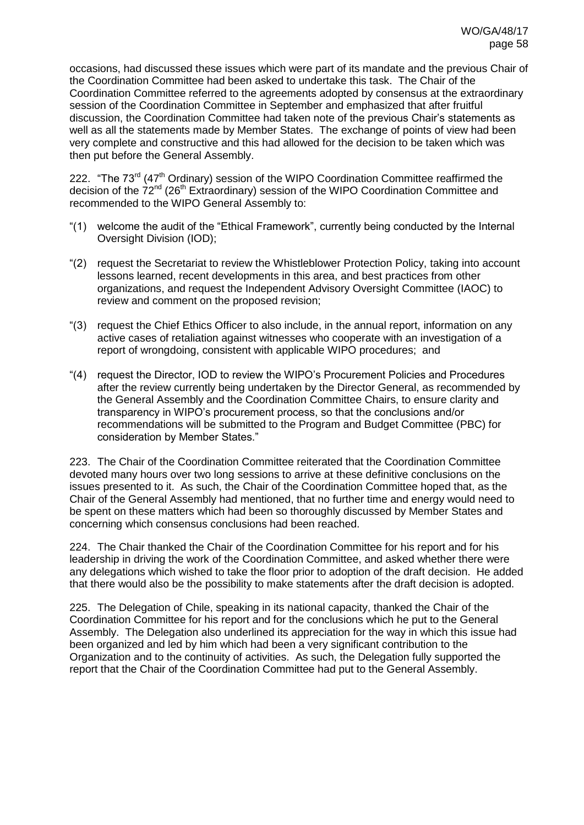occasions, had discussed these issues which were part of its mandate and the previous Chair of the Coordination Committee had been asked to undertake this task. The Chair of the Coordination Committee referred to the agreements adopted by consensus at the extraordinary session of the Coordination Committee in September and emphasized that after fruitful discussion, the Coordination Committee had taken note of the previous Chair's statements as well as all the statements made by Member States. The exchange of points of view had been very complete and constructive and this had allowed for the decision to be taken which was then put before the General Assembly.

222. "The 73<sup>rd</sup> (47<sup>th</sup> Ordinary) session of the WIPO Coordination Committee reaffirmed the decision of the  $72^{nd}$  (26<sup>th</sup> Extraordinary) session of the WIPO Coordination Committee and recommended to the WIPO General Assembly to:

- "(1) welcome the audit of the "Ethical Framework", currently being conducted by the Internal Oversight Division (IOD);
- "(2) request the Secretariat to review the Whistleblower Protection Policy, taking into account lessons learned, recent developments in this area, and best practices from other organizations, and request the Independent Advisory Oversight Committee (IAOC) to review and comment on the proposed revision;
- "(3) request the Chief Ethics Officer to also include, in the annual report, information on any active cases of retaliation against witnesses who cooperate with an investigation of a report of wrongdoing, consistent with applicable WIPO procedures; and
- "(4) request the Director, IOD to review the WIPO's Procurement Policies and Procedures after the review currently being undertaken by the Director General, as recommended by the General Assembly and the Coordination Committee Chairs, to ensure clarity and transparency in WIPO's procurement process, so that the conclusions and/or recommendations will be submitted to the Program and Budget Committee (PBC) for consideration by Member States."

223. The Chair of the Coordination Committee reiterated that the Coordination Committee devoted many hours over two long sessions to arrive at these definitive conclusions on the issues presented to it. As such, the Chair of the Coordination Committee hoped that, as the Chair of the General Assembly had mentioned, that no further time and energy would need to be spent on these matters which had been so thoroughly discussed by Member States and concerning which consensus conclusions had been reached.

224. The Chair thanked the Chair of the Coordination Committee for his report and for his leadership in driving the work of the Coordination Committee, and asked whether there were any delegations which wished to take the floor prior to adoption of the draft decision. He added that there would also be the possibility to make statements after the draft decision is adopted.

225. The Delegation of Chile, speaking in its national capacity, thanked the Chair of the Coordination Committee for his report and for the conclusions which he put to the General Assembly. The Delegation also underlined its appreciation for the way in which this issue had been organized and led by him which had been a very significant contribution to the Organization and to the continuity of activities. As such, the Delegation fully supported the report that the Chair of the Coordination Committee had put to the General Assembly.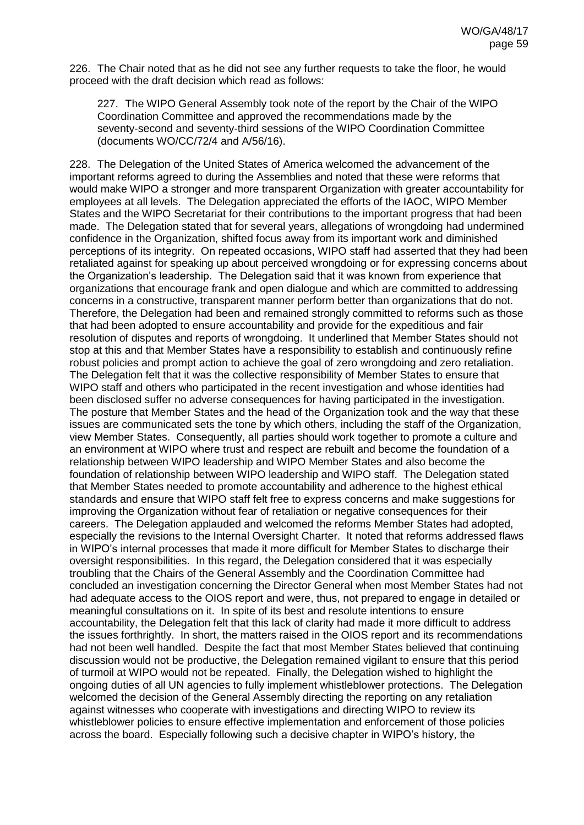226. The Chair noted that as he did not see any further requests to take the floor, he would proceed with the draft decision which read as follows:

227. The WIPO General Assembly took note of the report by the Chair of the WIPO Coordination Committee and approved the recommendations made by the seventy-second and seventy-third sessions of the WIPO Coordination Committee (documents WO/CC/72/4 and A/56/16).

228. The Delegation of the United States of America welcomed the advancement of the important reforms agreed to during the Assemblies and noted that these were reforms that would make WIPO a stronger and more transparent Organization with greater accountability for employees at all levels. The Delegation appreciated the efforts of the IAOC, WIPO Member States and the WIPO Secretariat for their contributions to the important progress that had been made. The Delegation stated that for several years, allegations of wrongdoing had undermined confidence in the Organization, shifted focus away from its important work and diminished perceptions of its integrity. On repeated occasions, WIPO staff had asserted that they had been retaliated against for speaking up about perceived wrongdoing or for expressing concerns about the Organization's leadership. The Delegation said that it was known from experience that organizations that encourage frank and open dialogue and which are committed to addressing concerns in a constructive, transparent manner perform better than organizations that do not. Therefore, the Delegation had been and remained strongly committed to reforms such as those that had been adopted to ensure accountability and provide for the expeditious and fair resolution of disputes and reports of wrongdoing. It underlined that Member States should not stop at this and that Member States have a responsibility to establish and continuously refine robust policies and prompt action to achieve the goal of zero wrongdoing and zero retaliation. The Delegation felt that it was the collective responsibility of Member States to ensure that WIPO staff and others who participated in the recent investigation and whose identities had been disclosed suffer no adverse consequences for having participated in the investigation. The posture that Member States and the head of the Organization took and the way that these issues are communicated sets the tone by which others, including the staff of the Organization, view Member States. Consequently, all parties should work together to promote a culture and an environment at WIPO where trust and respect are rebuilt and become the foundation of a relationship between WIPO leadership and WIPO Member States and also become the foundation of relationship between WIPO leadership and WIPO staff. The Delegation stated that Member States needed to promote accountability and adherence to the highest ethical standards and ensure that WIPO staff felt free to express concerns and make suggestions for improving the Organization without fear of retaliation or negative consequences for their careers. The Delegation applauded and welcomed the reforms Member States had adopted, especially the revisions to the Internal Oversight Charter. It noted that reforms addressed flaws in WIPO's internal processes that made it more difficult for Member States to discharge their oversight responsibilities. In this regard, the Delegation considered that it was especially troubling that the Chairs of the General Assembly and the Coordination Committee had concluded an investigation concerning the Director General when most Member States had not had adequate access to the OIOS report and were, thus, not prepared to engage in detailed or meaningful consultations on it. In spite of its best and resolute intentions to ensure accountability, the Delegation felt that this lack of clarity had made it more difficult to address the issues forthrightly. In short, the matters raised in the OIOS report and its recommendations had not been well handled. Despite the fact that most Member States believed that continuing discussion would not be productive, the Delegation remained vigilant to ensure that this period of turmoil at WIPO would not be repeated. Finally, the Delegation wished to highlight the ongoing duties of all UN agencies to fully implement whistleblower protections. The Delegation welcomed the decision of the General Assembly directing the reporting on any retaliation against witnesses who cooperate with investigations and directing WIPO to review its whistleblower policies to ensure effective implementation and enforcement of those policies across the board. Especially following such a decisive chapter in WIPO's history, the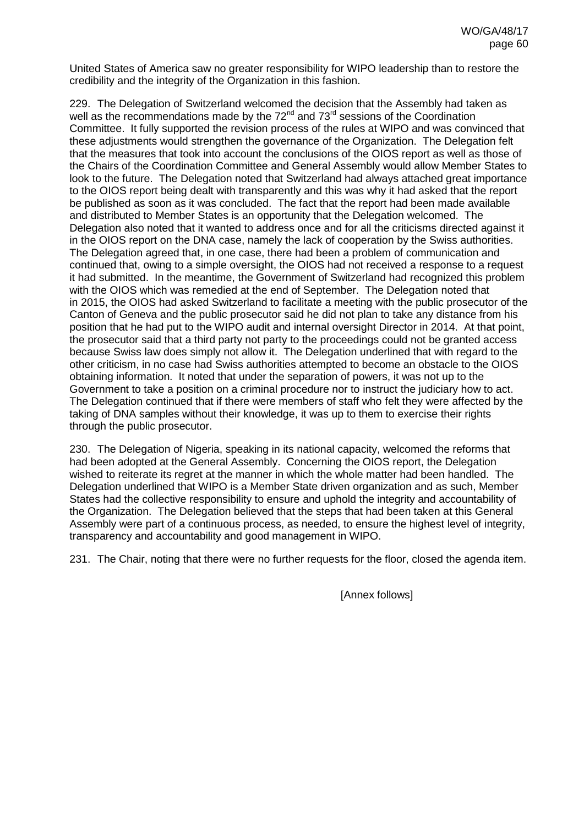United States of America saw no greater responsibility for WIPO leadership than to restore the credibility and the integrity of the Organization in this fashion.

229. The Delegation of Switzerland welcomed the decision that the Assembly had taken as well as the recommendations made by the 72<sup>nd</sup> and 73<sup>rd</sup> sessions of the Coordination Committee. It fully supported the revision process of the rules at WIPO and was convinced that these adjustments would strengthen the governance of the Organization. The Delegation felt that the measures that took into account the conclusions of the OIOS report as well as those of the Chairs of the Coordination Committee and General Assembly would allow Member States to look to the future. The Delegation noted that Switzerland had always attached great importance to the OIOS report being dealt with transparently and this was why it had asked that the report be published as soon as it was concluded. The fact that the report had been made available and distributed to Member States is an opportunity that the Delegation welcomed. The Delegation also noted that it wanted to address once and for all the criticisms directed against it in the OIOS report on the DNA case, namely the lack of cooperation by the Swiss authorities. The Delegation agreed that, in one case, there had been a problem of communication and continued that, owing to a simple oversight, the OIOS had not received a response to a request it had submitted. In the meantime, the Government of Switzerland had recognized this problem with the OIOS which was remedied at the end of September. The Delegation noted that in 2015, the OIOS had asked Switzerland to facilitate a meeting with the public prosecutor of the Canton of Geneva and the public prosecutor said he did not plan to take any distance from his position that he had put to the WIPO audit and internal oversight Director in 2014. At that point, the prosecutor said that a third party not party to the proceedings could not be granted access because Swiss law does simply not allow it. The Delegation underlined that with regard to the other criticism, in no case had Swiss authorities attempted to become an obstacle to the OIOS obtaining information. It noted that under the separation of powers, it was not up to the Government to take a position on a criminal procedure nor to instruct the judiciary how to act. The Delegation continued that if there were members of staff who felt they were affected by the taking of DNA samples without their knowledge, it was up to them to exercise their rights through the public prosecutor.

230. The Delegation of Nigeria, speaking in its national capacity, welcomed the reforms that had been adopted at the General Assembly. Concerning the OIOS report, the Delegation wished to reiterate its regret at the manner in which the whole matter had been handled. The Delegation underlined that WIPO is a Member State driven organization and as such, Member States had the collective responsibility to ensure and uphold the integrity and accountability of the Organization. The Delegation believed that the steps that had been taken at this General Assembly were part of a continuous process, as needed, to ensure the highest level of integrity, transparency and accountability and good management in WIPO.

231. The Chair, noting that there were no further requests for the floor, closed the agenda item.

[Annex follows]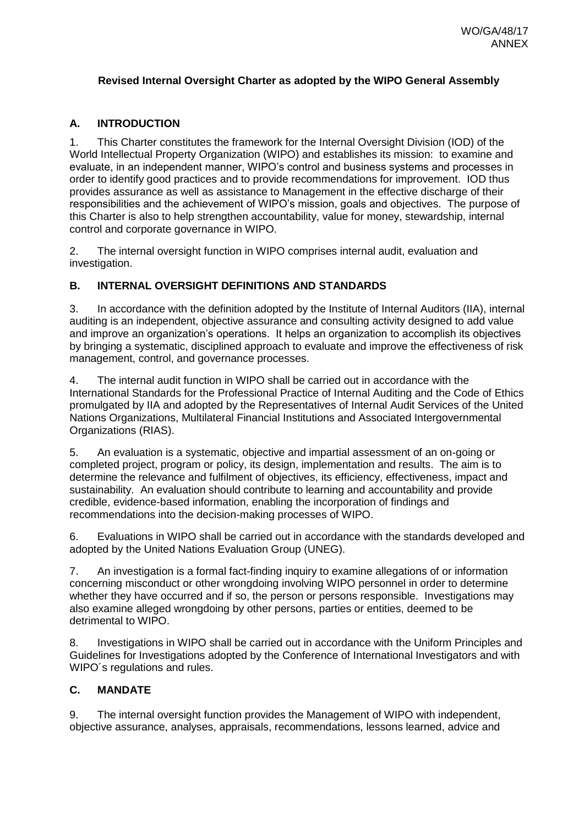## **Revised Internal Oversight Charter as adopted by the WIPO General Assembly**

## **A. INTRODUCTION**

1. This Charter constitutes the framework for the Internal Oversight Division (IOD) of the World Intellectual Property Organization (WIPO) and establishes its mission: to examine and evaluate, in an independent manner, WIPO's control and business systems and processes in order to identify good practices and to provide recommendations for improvement. IOD thus provides assurance as well as assistance to Management in the effective discharge of their responsibilities and the achievement of WIPO's mission, goals and objectives. The purpose of this Charter is also to help strengthen accountability, value for money, stewardship, internal control and corporate governance in WIPO.

2. The internal oversight function in WIPO comprises internal audit, evaluation and investigation.

### **B. INTERNAL OVERSIGHT DEFINITIONS AND STANDARDS**

3. In accordance with the definition adopted by the Institute of Internal Auditors (IIA), internal auditing is an independent, objective assurance and consulting activity designed to add value and improve an organization's operations. It helps an organization to accomplish its objectives by bringing a systematic, disciplined approach to evaluate and improve the effectiveness of risk management, control, and governance processes.

4. The internal audit function in WIPO shall be carried out in accordance with the International Standards for the Professional Practice of Internal Auditing and the Code of Ethics promulgated by IIA and adopted by the Representatives of Internal Audit Services of the United Nations Organizations, Multilateral Financial Institutions and Associated Intergovernmental Organizations (RIAS).

5. An evaluation is a systematic, objective and impartial assessment of an on-going or completed project, program or policy, its design, implementation and results. The aim is to determine the relevance and fulfilment of objectives, its efficiency, effectiveness, impact and sustainability. An evaluation should contribute to learning and accountability and provide credible, evidence-based information, enabling the incorporation of findings and recommendations into the decision-making processes of WIPO.

6. Evaluations in WIPO shall be carried out in accordance with the standards developed and adopted by the United Nations Evaluation Group (UNEG).

7. An investigation is a formal fact-finding inquiry to examine allegations of or information concerning misconduct or other wrongdoing involving WIPO personnel in order to determine whether they have occurred and if so, the person or persons responsible. Investigations may also examine alleged wrongdoing by other persons, parties or entities, deemed to be detrimental to WIPO.

8. Investigations in WIPO shall be carried out in accordance with the Uniform Principles and Guidelines for Investigations adopted by the Conference of International Investigators and with WIPO´s regulations and rules.

### **C. MANDATE**

9. The internal oversight function provides the Management of WIPO with independent, objective assurance, analyses, appraisals, recommendations, lessons learned, advice and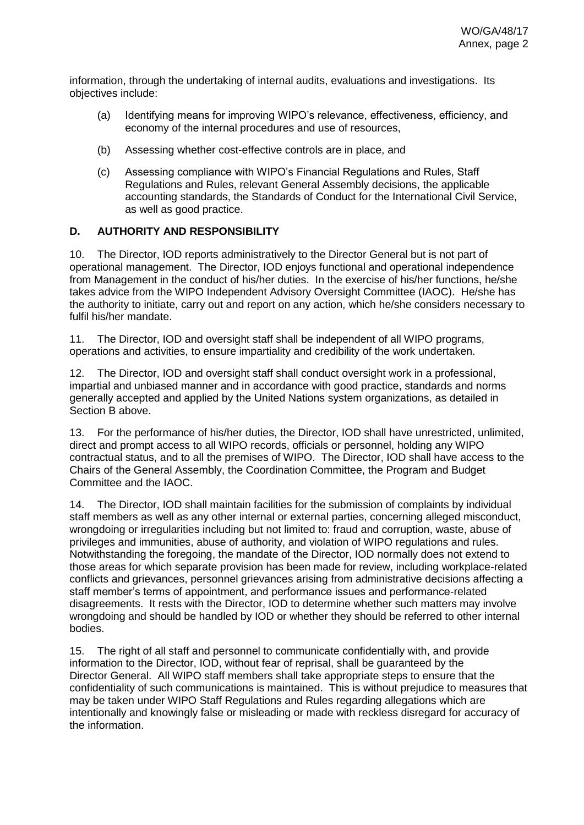information, through the undertaking of internal audits, evaluations and investigations. Its objectives include:

- (a) Identifying means for improving WIPO's relevance, effectiveness, efficiency, and economy of the internal procedures and use of resources,
- (b) Assessing whether cost-effective controls are in place, and
- (c) Assessing compliance with WIPO's Financial Regulations and Rules, Staff Regulations and Rules, relevant General Assembly decisions, the applicable accounting standards, the Standards of Conduct for the International Civil Service, as well as good practice.

### **D. AUTHORITY AND RESPONSIBILITY**

10. The Director, IOD reports administratively to the Director General but is not part of operational management. The Director, IOD enjoys functional and operational independence from Management in the conduct of his/her duties. In the exercise of his/her functions, he/she takes advice from the WIPO Independent Advisory Oversight Committee (IAOC). He/she has the authority to initiate, carry out and report on any action, which he/she considers necessary to fulfil his/her mandate.

11. The Director, IOD and oversight staff shall be independent of all WIPO programs, operations and activities, to ensure impartiality and credibility of the work undertaken.

12. The Director, IOD and oversight staff shall conduct oversight work in a professional, impartial and unbiased manner and in accordance with good practice, standards and norms generally accepted and applied by the United Nations system organizations, as detailed in Section B above.

13. For the performance of his/her duties, the Director, IOD shall have unrestricted, unlimited, direct and prompt access to all WIPO records, officials or personnel, holding any WIPO contractual status, and to all the premises of WIPO. The Director, IOD shall have access to the Chairs of the General Assembly, the Coordination Committee, the Program and Budget Committee and the IAOC.

14. The Director, IOD shall maintain facilities for the submission of complaints by individual staff members as well as any other internal or external parties, concerning alleged misconduct, wrongdoing or irregularities including but not limited to: fraud and corruption, waste, abuse of privileges and immunities, abuse of authority, and violation of WIPO regulations and rules. Notwithstanding the foregoing, the mandate of the Director, IOD normally does not extend to those areas for which separate provision has been made for review, including workplace-related conflicts and grievances, personnel grievances arising from administrative decisions affecting a staff member's terms of appointment, and performance issues and performance-related disagreements. It rests with the Director, IOD to determine whether such matters may involve wrongdoing and should be handled by IOD or whether they should be referred to other internal bodies.

15. The right of all staff and personnel to communicate confidentially with, and provide information to the Director, IOD, without fear of reprisal, shall be guaranteed by the Director General. All WIPO staff members shall take appropriate steps to ensure that the confidentiality of such communications is maintained. This is without prejudice to measures that may be taken under WIPO Staff Regulations and Rules regarding allegations which are intentionally and knowingly false or misleading or made with reckless disregard for accuracy of the information.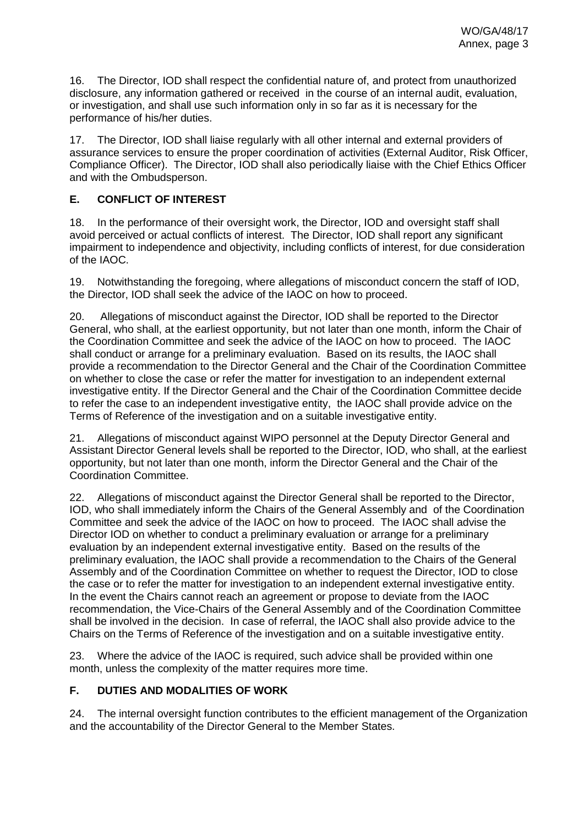16. The Director, IOD shall respect the confidential nature of, and protect from unauthorized disclosure, any information gathered or received in the course of an internal audit, evaluation, or investigation, and shall use such information only in so far as it is necessary for the performance of his/her duties.

17. The Director, IOD shall liaise regularly with all other internal and external providers of assurance services to ensure the proper coordination of activities (External Auditor, Risk Officer, Compliance Officer). The Director, IOD shall also periodically liaise with the Chief Ethics Officer and with the Ombudsperson.

## **E. CONFLICT OF INTEREST**

18. In the performance of their oversight work, the Director, IOD and oversight staff shall avoid perceived or actual conflicts of interest. The Director, IOD shall report any significant impairment to independence and objectivity, including conflicts of interest, for due consideration of the IAOC.

19. Notwithstanding the foregoing, where allegations of misconduct concern the staff of IOD, the Director, IOD shall seek the advice of the IAOC on how to proceed.

20. Allegations of misconduct against the Director, IOD shall be reported to the Director General, who shall, at the earliest opportunity, but not later than one month, inform the Chair of the Coordination Committee and seek the advice of the IAOC on how to proceed. The IAOC shall conduct or arrange for a preliminary evaluation. Based on its results, the IAOC shall provide a recommendation to the Director General and the Chair of the Coordination Committee on whether to close the case or refer the matter for investigation to an independent external investigative entity. If the Director General and the Chair of the Coordination Committee decide to refer the case to an independent investigative entity, the IAOC shall provide advice on the Terms of Reference of the investigation and on a suitable investigative entity.

21. Allegations of misconduct against WIPO personnel at the Deputy Director General and Assistant Director General levels shall be reported to the Director, IOD, who shall, at the earliest opportunity, but not later than one month, inform the Director General and the Chair of the Coordination Committee.

22. Allegations of misconduct against the Director General shall be reported to the Director, IOD, who shall immediately inform the Chairs of the General Assembly and of the Coordination Committee and seek the advice of the IAOC on how to proceed. The IAOC shall advise the Director IOD on whether to conduct a preliminary evaluation or arrange for a preliminary evaluation by an independent external investigative entity. Based on the results of the preliminary evaluation, the IAOC shall provide a recommendation to the Chairs of the General Assembly and of the Coordination Committee on whether to request the Director, IOD to close the case or to refer the matter for investigation to an independent external investigative entity. In the event the Chairs cannot reach an agreement or propose to deviate from the IAOC recommendation, the Vice-Chairs of the General Assembly and of the Coordination Committee shall be involved in the decision. In case of referral, the IAOC shall also provide advice to the Chairs on the Terms of Reference of the investigation and on a suitable investigative entity.

23. Where the advice of the IAOC is required, such advice shall be provided within one month, unless the complexity of the matter requires more time.

## **F. DUTIES AND MODALITIES OF WORK**

24. The internal oversight function contributes to the efficient management of the Organization and the accountability of the Director General to the Member States.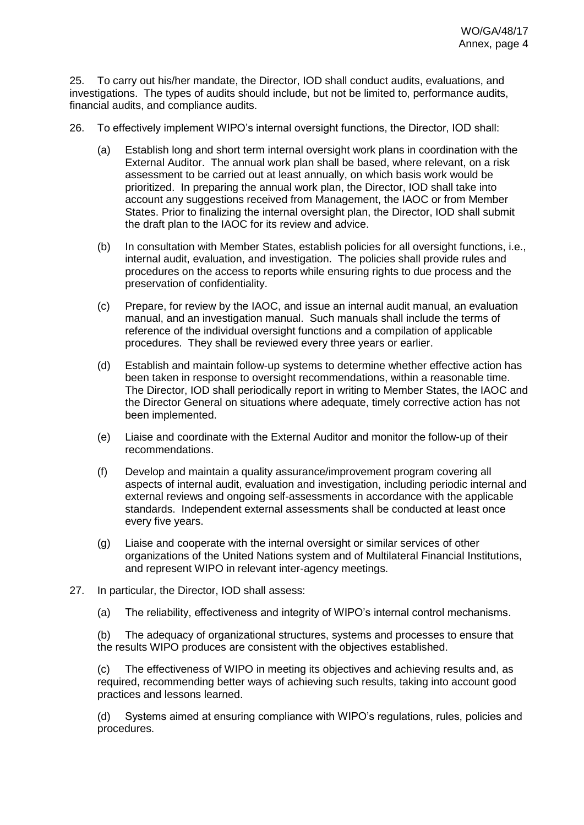25. To carry out his/her mandate, the Director, IOD shall conduct audits, evaluations, and investigations. The types of audits should include, but not be limited to, performance audits, financial audits, and compliance audits.

26. To effectively implement WIPO's internal oversight functions, the Director, IOD shall:

- (a) Establish long and short term internal oversight work plans in coordination with the External Auditor. The annual work plan shall be based, where relevant, on a risk assessment to be carried out at least annually, on which basis work would be prioritized. In preparing the annual work plan, the Director, IOD shall take into account any suggestions received from Management, the IAOC or from Member States. Prior to finalizing the internal oversight plan, the Director, IOD shall submit the draft plan to the IAOC for its review and advice.
- (b) In consultation with Member States, establish policies for all oversight functions, i.e., internal audit, evaluation, and investigation. The policies shall provide rules and procedures on the access to reports while ensuring rights to due process and the preservation of confidentiality.
- (c) Prepare, for review by the IAOC, and issue an internal audit manual, an evaluation manual, and an investigation manual. Such manuals shall include the terms of reference of the individual oversight functions and a compilation of applicable procedures. They shall be reviewed every three years or earlier.
- (d) Establish and maintain follow-up systems to determine whether effective action has been taken in response to oversight recommendations, within a reasonable time. The Director, IOD shall periodically report in writing to Member States, the IAOC and the Director General on situations where adequate, timely corrective action has not been implemented.
- (e) Liaise and coordinate with the External Auditor and monitor the follow-up of their recommendations.
- (f) Develop and maintain a quality assurance/improvement program covering all aspects of internal audit, evaluation and investigation, including periodic internal and external reviews and ongoing self-assessments in accordance with the applicable standards. Independent external assessments shall be conducted at least once every five years.
- (g) Liaise and cooperate with the internal oversight or similar services of other organizations of the United Nations system and of Multilateral Financial Institutions, and represent WIPO in relevant inter-agency meetings.
- 27. In particular, the Director, IOD shall assess:
	- (a) The reliability, effectiveness and integrity of WIPO's internal control mechanisms.

(b) The adequacy of organizational structures, systems and processes to ensure that the results WIPO produces are consistent with the objectives established.

(c) The effectiveness of WIPO in meeting its objectives and achieving results and, as required, recommending better ways of achieving such results, taking into account good practices and lessons learned.

(d) Systems aimed at ensuring compliance with WIPO's regulations, rules, policies and procedures.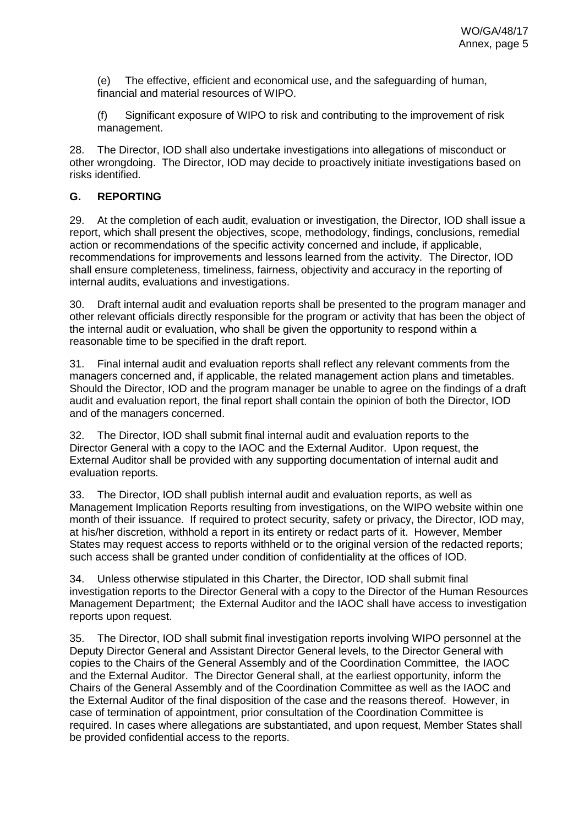(e) The effective, efficient and economical use, and the safeguarding of human, financial and material resources of WIPO.

(f) Significant exposure of WIPO to risk and contributing to the improvement of risk management.

28. The Director, IOD shall also undertake investigations into allegations of misconduct or other wrongdoing. The Director, IOD may decide to proactively initiate investigations based on risks identified.

## **G. REPORTING**

29. At the completion of each audit, evaluation or investigation, the Director, IOD shall issue a report, which shall present the objectives, scope, methodology, findings, conclusions, remedial action or recommendations of the specific activity concerned and include, if applicable, recommendations for improvements and lessons learned from the activity. The Director, IOD shall ensure completeness, timeliness, fairness, objectivity and accuracy in the reporting of internal audits, evaluations and investigations.

30. Draft internal audit and evaluation reports shall be presented to the program manager and other relevant officials directly responsible for the program or activity that has been the object of the internal audit or evaluation, who shall be given the opportunity to respond within a reasonable time to be specified in the draft report.

31. Final internal audit and evaluation reports shall reflect any relevant comments from the managers concerned and, if applicable, the related management action plans and timetables. Should the Director, IOD and the program manager be unable to agree on the findings of a draft audit and evaluation report, the final report shall contain the opinion of both the Director, IOD and of the managers concerned.

32. The Director, IOD shall submit final internal audit and evaluation reports to the Director General with a copy to the IAOC and the External Auditor. Upon request, the External Auditor shall be provided with any supporting documentation of internal audit and evaluation reports.

33. The Director, IOD shall publish internal audit and evaluation reports, as well as Management Implication Reports resulting from investigations, on the WIPO website within one month of their issuance. If required to protect security, safety or privacy, the Director, IOD may, at his/her discretion, withhold a report in its entirety or redact parts of it. However, Member States may request access to reports withheld or to the original version of the redacted reports; such access shall be granted under condition of confidentiality at the offices of IOD.

34. Unless otherwise stipulated in this Charter, the Director, IOD shall submit final investigation reports to the Director General with a copy to the Director of the Human Resources Management Department; the External Auditor and the IAOC shall have access to investigation reports upon request.

35. The Director, IOD shall submit final investigation reports involving WIPO personnel at the Deputy Director General and Assistant Director General levels, to the Director General with copies to the Chairs of the General Assembly and of the Coordination Committee, the IAOC and the External Auditor. The Director General shall, at the earliest opportunity, inform the Chairs of the General Assembly and of the Coordination Committee as well as the IAOC and the External Auditor of the final disposition of the case and the reasons thereof. However, in case of termination of appointment, prior consultation of the Coordination Committee is required. In cases where allegations are substantiated, and upon request, Member States shall be provided confidential access to the reports.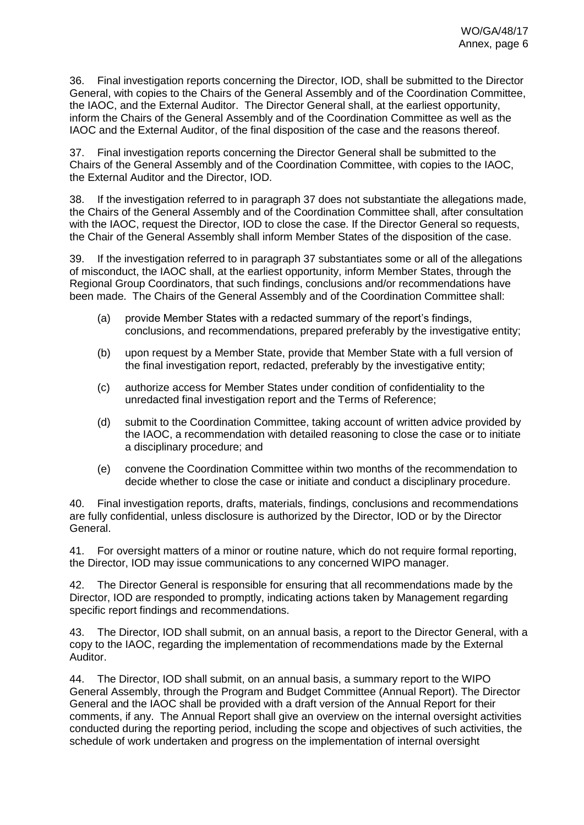36. Final investigation reports concerning the Director, IOD, shall be submitted to the Director General, with copies to the Chairs of the General Assembly and of the Coordination Committee, the IAOC, and the External Auditor. The Director General shall, at the earliest opportunity, inform the Chairs of the General Assembly and of the Coordination Committee as well as the IAOC and the External Auditor, of the final disposition of the case and the reasons thereof.

37. Final investigation reports concerning the Director General shall be submitted to the Chairs of the General Assembly and of the Coordination Committee, with copies to the IAOC, the External Auditor and the Director, IOD.

38. If the investigation referred to in paragraph 37 does not substantiate the allegations made, the Chairs of the General Assembly and of the Coordination Committee shall, after consultation with the IAOC, request the Director, IOD to close the case. If the Director General so requests, the Chair of the General Assembly shall inform Member States of the disposition of the case.

39. If the investigation referred to in paragraph 37 substantiates some or all of the allegations of misconduct, the IAOC shall, at the earliest opportunity, inform Member States, through the Regional Group Coordinators, that such findings, conclusions and/or recommendations have been made. The Chairs of the General Assembly and of the Coordination Committee shall:

- (a) provide Member States with a redacted summary of the report's findings, conclusions, and recommendations, prepared preferably by the investigative entity;
- (b) upon request by a Member State, provide that Member State with a full version of the final investigation report, redacted, preferably by the investigative entity;
- (c) authorize access for Member States under condition of confidentiality to the unredacted final investigation report and the Terms of Reference;
- (d) submit to the Coordination Committee, taking account of written advice provided by the IAOC, a recommendation with detailed reasoning to close the case or to initiate a disciplinary procedure; and
- (e) convene the Coordination Committee within two months of the recommendation to decide whether to close the case or initiate and conduct a disciplinary procedure.

40. Final investigation reports, drafts, materials, findings, conclusions and recommendations are fully confidential, unless disclosure is authorized by the Director, IOD or by the Director General.

41. For oversight matters of a minor or routine nature, which do not require formal reporting, the Director, IOD may issue communications to any concerned WIPO manager.

42. The Director General is responsible for ensuring that all recommendations made by the Director, IOD are responded to promptly, indicating actions taken by Management regarding specific report findings and recommendations.

43. The Director, IOD shall submit, on an annual basis, a report to the Director General, with a copy to the IAOC, regarding the implementation of recommendations made by the External Auditor.

44. The Director, IOD shall submit, on an annual basis, a summary report to the WIPO General Assembly, through the Program and Budget Committee (Annual Report). The Director General and the IAOC shall be provided with a draft version of the Annual Report for their comments, if any. The Annual Report shall give an overview on the internal oversight activities conducted during the reporting period, including the scope and objectives of such activities, the schedule of work undertaken and progress on the implementation of internal oversight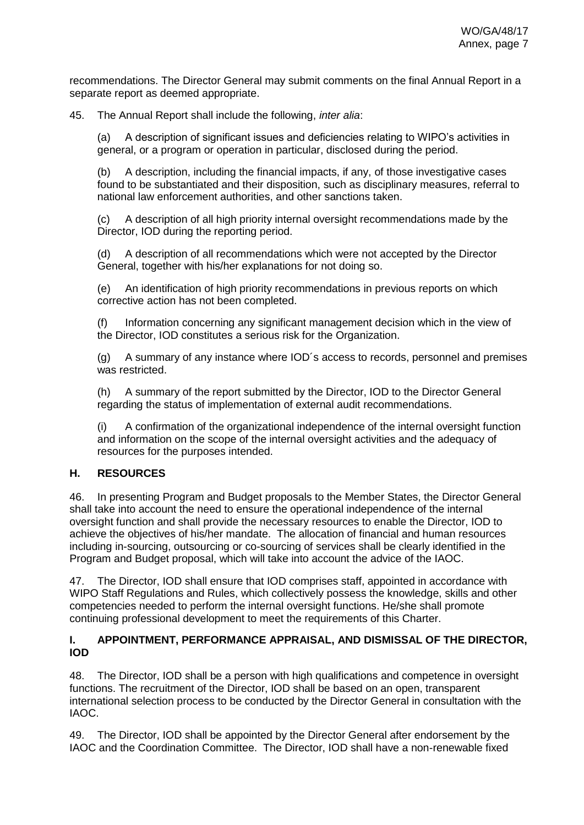recommendations. The Director General may submit comments on the final Annual Report in a separate report as deemed appropriate.

45. The Annual Report shall include the following, *inter alia*:

(a) A description of significant issues and deficiencies relating to WIPO's activities in general, or a program or operation in particular, disclosed during the period.

(b) A description, including the financial impacts, if any, of those investigative cases found to be substantiated and their disposition, such as disciplinary measures, referral to national law enforcement authorities, and other sanctions taken.

(c) A description of all high priority internal oversight recommendations made by the Director, IOD during the reporting period.

(d) A description of all recommendations which were not accepted by the Director General, together with his/her explanations for not doing so.

(e) An identification of high priority recommendations in previous reports on which corrective action has not been completed.

(f) Information concerning any significant management decision which in the view of the Director, IOD constitutes a serious risk for the Organization.

(g) A summary of any instance where IOD´s access to records, personnel and premises was restricted.

(h) A summary of the report submitted by the Director, IOD to the Director General regarding the status of implementation of external audit recommendations.

(i) A confirmation of the organizational independence of the internal oversight function and information on the scope of the internal oversight activities and the adequacy of resources for the purposes intended.

## **H. RESOURCES**

46. In presenting Program and Budget proposals to the Member States, the Director General shall take into account the need to ensure the operational independence of the internal oversight function and shall provide the necessary resources to enable the Director, IOD to achieve the objectives of his/her mandate. The allocation of financial and human resources including in-sourcing, outsourcing or co-sourcing of services shall be clearly identified in the Program and Budget proposal, which will take into account the advice of the IAOC.

47. The Director, IOD shall ensure that IOD comprises staff, appointed in accordance with WIPO Staff Regulations and Rules, which collectively possess the knowledge, skills and other competencies needed to perform the internal oversight functions. He/she shall promote continuing professional development to meet the requirements of this Charter.

### **I. APPOINTMENT, PERFORMANCE APPRAISAL, AND DISMISSAL OF THE DIRECTOR, IOD**

48. The Director, IOD shall be a person with high qualifications and competence in oversight functions. The recruitment of the Director, IOD shall be based on an open, transparent international selection process to be conducted by the Director General in consultation with the IAOC.

49. The Director, IOD shall be appointed by the Director General after endorsement by the IAOC and the Coordination Committee. The Director, IOD shall have a non-renewable fixed